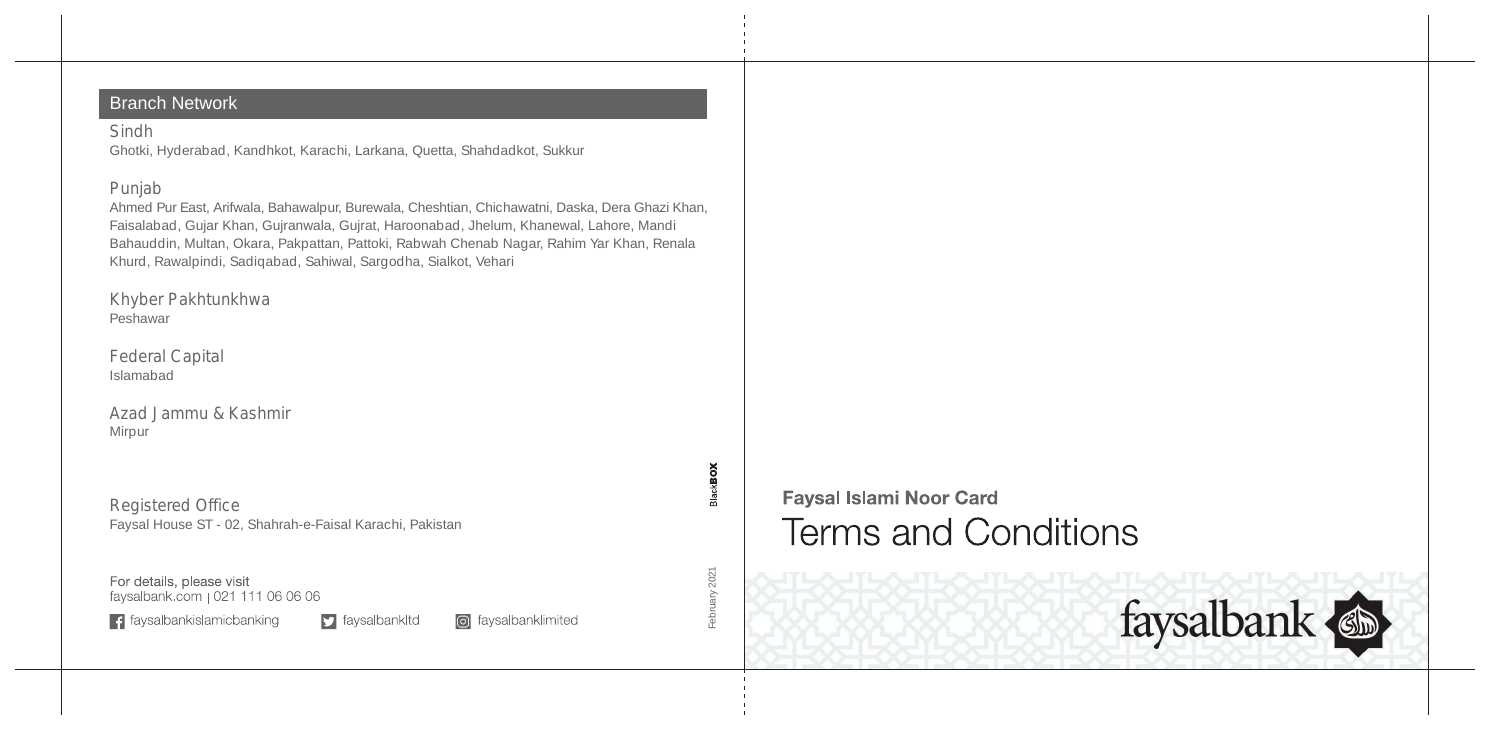#### Branch Network

#### Sindh

Ghotki, Hyderabad, Kandhkot, Karachi, Larkana, Quetta, Shahdadkot, Sukkur

#### Punjab

Ahmed Pur East, Arifwala, Bahawalpur, Burewala, Cheshtian, Chichawatni, Daska, Dera Ghazi Khan, Faisalabad, Gujar Khan, Gujranwala, Gujrat, Haroonabad, Jhelum, Khanewal, Lahore, Mandi Bahauddin, Multan, Okara, Pakpattan, Pattoki, Rabwah Chenab Nagar, Rahim Yar Khan, Renala Khurd, Rawalpindi, Sadiqabad, Sahiwal, Sargodha, Sialkot, Vehari

Khyber Pakhtunkhwa Peshawar

Federal Capital Islamabad

Azad Jammu & Kashmir Mirpur

Registered Office Faysal House ST - 02, Shahrah-e-Faisal Karachi, Pakistan

For details, please visit faysalbank.com | 021 111 06 06 06

 $\left| \cdot \right|$  faysalbankislamicbanking

 $\Box$  faysalbankltd c faysalbanklimited  $\,$ uary $2021$ February 2021

**SIACKBOX** 



# **Faysal Islami Noor Card Terms and Conditions**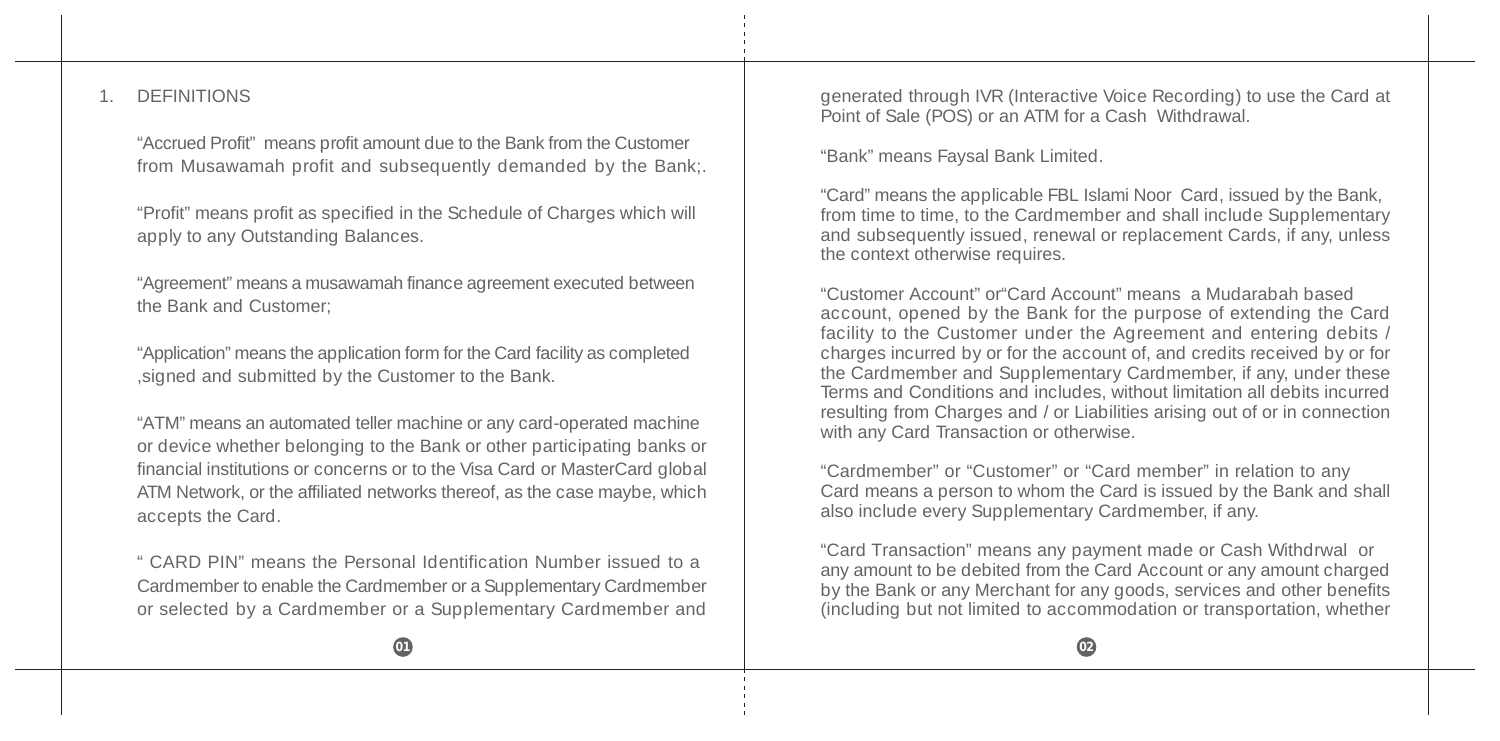#### 1. DEFINITIONS

"Accrued Profit" means profit amount due to the Bank from the Customer from Musawamah profit and subsequently demanded by the Bank;.

"Profit" means profit as specified in the Schedule of Charges which will apply to any Outstanding Balances.

"Agreement" means a musawamah finance agreement executed between the Bank and Customer;

"Application" means the application form for the Card facility as completed ,signed and submitted by the Customer to the Bank.

"ATM" means an automated teller machine or any card-operated machine or device whether belonging to the Bank or other participating banks or financial institutions or concerns or to the Visa Card or MasterCard global ATM Network, or the affiliated networks thereof, as the case maybe, which accepts the Card.

" CARD PIN" means the Personal Identification Number issued to a Cardmember to enable the Cardmember or a Supplementary Cardmember or selected by a Cardmember or a Supplementary Cardmember and generated through IVR (Interactive Voice Recording) to use the Card at Point of Sale (POS) or an ATM for a Cash Withdrawal.

"Bank" means Faysal Bank Limited.

"Card" means the applicable FBL Islami Noor Card, issued by the Bank, from time to time, to the Cardmember and shall include Supplementary and subsequently issued, renewal or replacement Cards, if any, unless the context otherwise requires.

"Customer Account" or"Card Account" means a Mudarabah based account, opened by the Bank for the purpose of extending the Card facility to the Customer under the Agreement and entering debits / charges incurred by or for the account of, and credits received by or for the Cardmember and Supplementary Cardmember, if any, under these Terms and Conditions and includes, without limitation all debits incurred resulting from Charges and / or Liabilities arising out of or in connection with any Card Transaction or otherwise.

"Cardmember" or "Customer" or "Card member" in relation to any Card means a person to whom the Card is issued by the Bank and shall also include every Supplementary Cardmember, if any.

"Card Transaction" means any payment made or Cash Withdrwal or any amount to be debited from the Card Account or any amount charged by the Bank or any Merchant for any goods, services and other benefits (including but not limited to accommodation or transportation, whether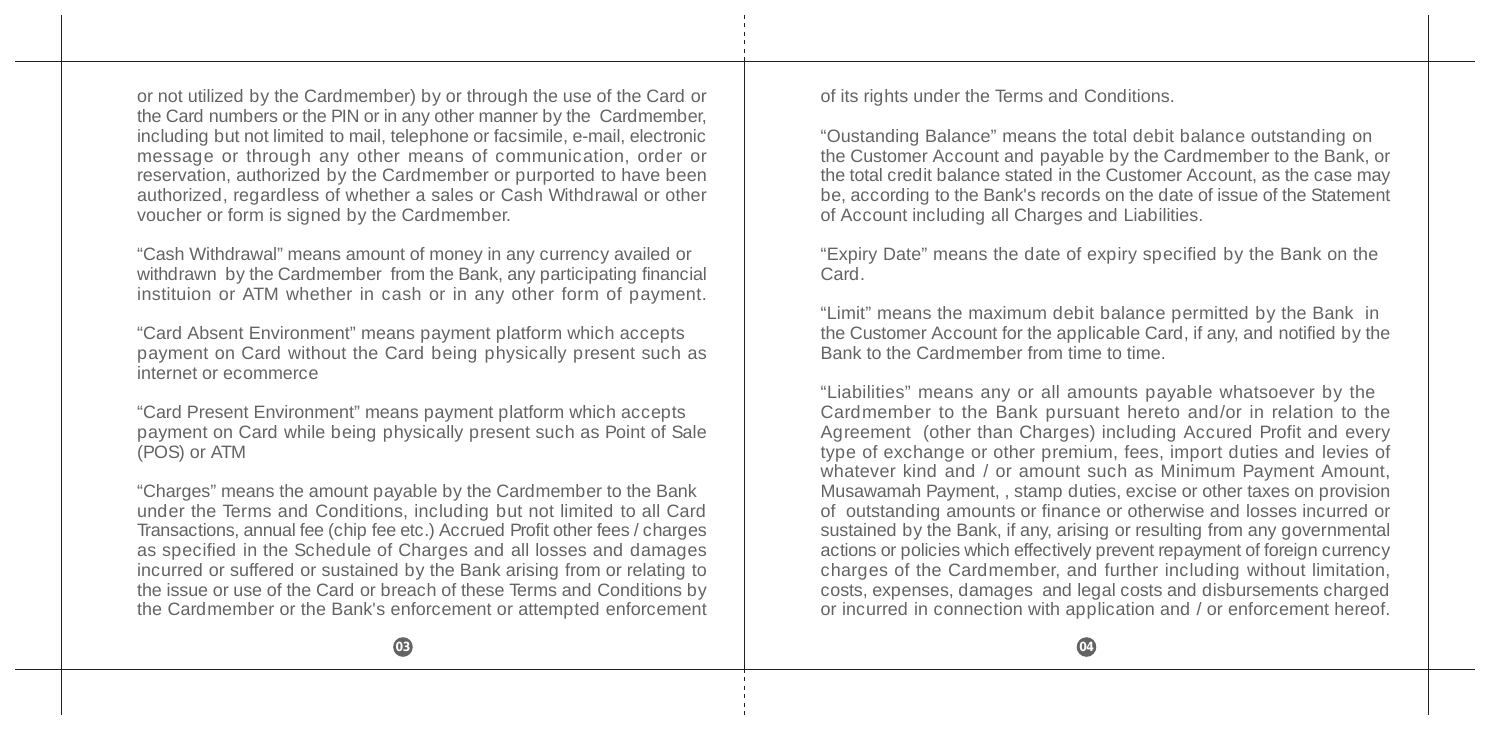or not utilized by the Cardmember) by or through the use of the Card or the Card numbers or the PIN or in any other manner by the Cardmember, including but not limited to mail, telephone or facsimile, e-mail, electronic message or through any other means of communication, order or reservation, authorized by the Cardmember or purported to have been authorized, regardless of whether a sales or Cash Withdrawal or other voucher or form is signed by the Cardmember.

"Cash Withdrawal" means amount of money in any currency availed or withdrawn by the Cardmember from the Bank, any participating financial instituion or ATM whether in cash or in any other form of payment.

"Card Absent Environment" means payment platform which accepts payment on Card without the Card being physically present such as internet or ecommerce

"Card Present Environment" means payment platform which accepts payment on Card while being physically present such as Point of Sale  $\hat{P}$ (POS) or ATM

"Charges" means the amount payable by the Cardmember to the Bank under the Terms and Conditions, including but not limited to all Card Transactions, annual fee (chip fee etc.) Accrued Profit other fees / charges as specified in the Schedule of Charges and all losses and damages incurred or suffered or sustained by the Bank arising from or relating to the issue or use of the Card or breach of these Terms and Conditions by the Cardmember or the Bank's enforcement or attempted enforcement

of its rights under the Terms and Conditions.

"Oustanding Balance" means the total debit balance outstanding on the Customer Account and payable by the Cardmember to the Bank, or the total credit balance stated in the Customer Account, as the case may be, according to the Bank's records on the date of issue of the Statement of Account including all Charges and Liabilities.

"Expiry Date" means the date of expiry specified by the Bank on the Card.

"Limit" means the maximum debit balance permitted by the Bank in the Customer Account for the applicable Card, if any, and notified by the Bank to the Cardmember from time to time.

"Liabilities" means any or all amounts payable whatsoever by the Cardmember to the Bank pursuant hereto and/or in relation to the Agreement (other than Charges) including Accured Profit and every type of exchange or other premium, fees, import duties and levies of whatever kind and / or amount such as Minimum Payment Amount, Musawamah Payment, , stamp duties, excise or other taxes on provision of outstanding amounts or finance or otherwise and losses incurred or sustained by the Bank, if any, arising or resulting from any governmental actions or policies which effectively prevent repayment of foreign currency charges of the Cardmember, and further including without limitation, costs, expenses, damages and legal costs and disbursements charged or incurred in connection with application and / or enforcement hereof.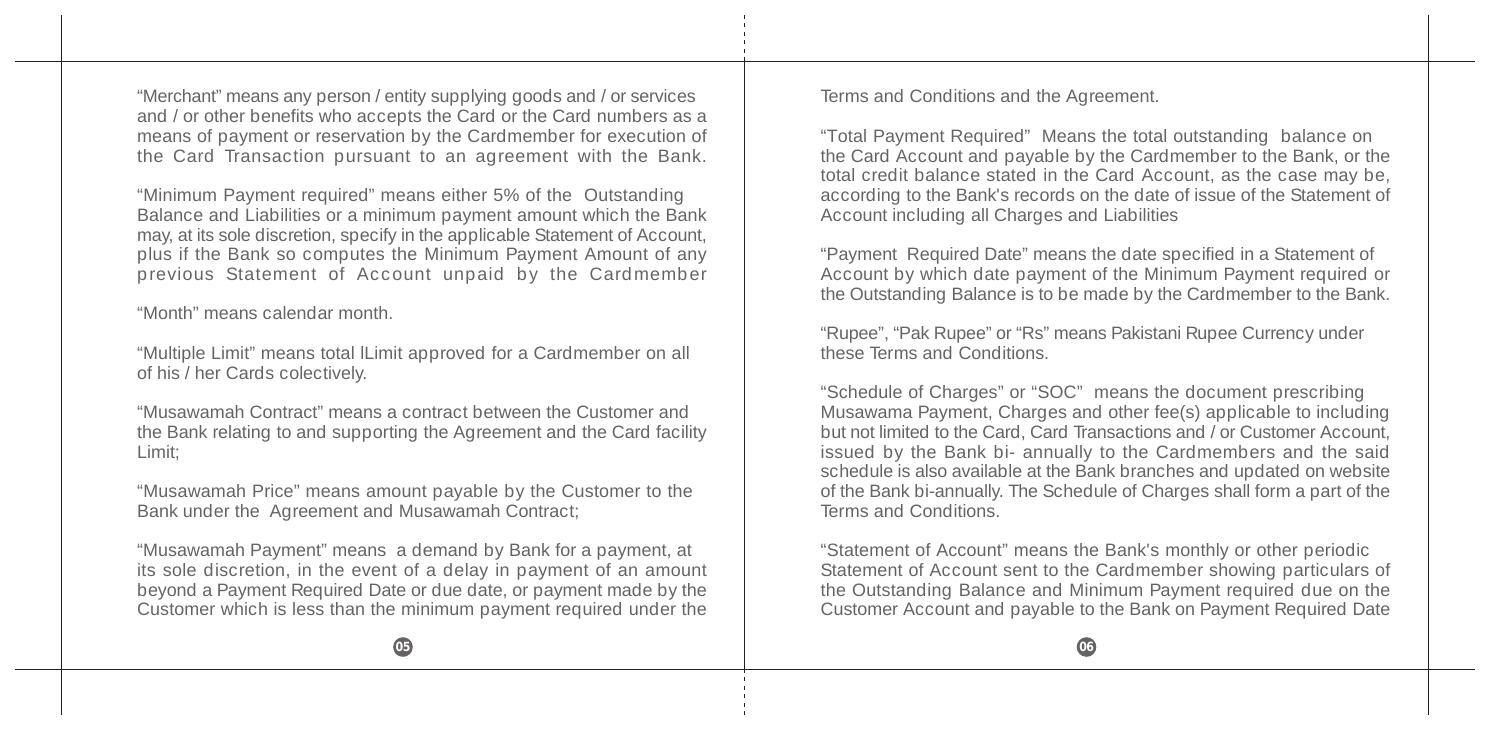"Merchant" means any person / entity supplying goods and / or services and / or other benefits who accepts the Card or the Card numbers as a means of payment or reservation by the Cardmember for execution of the Card Transaction pursuant to an agreement with the Bank.

"Minimum Payment required" means either 5% of the Outstanding Balance and Liabilities or a minimum payment amount which the Bank may, at its sole discretion, specify in the applicable Statement of Account, plus if the Bank so computes the Minimum Payment Amount of any previous Statement of Account unpaid by the Cardmember

"Month" means calendar month.

"Multiple Limit" means total lLimit approved for a Cardmember on all of his / her Cards colectively.

"Musawamah Contract" means a contract between the Customer and the Bank relating to and supporting the Agreement and the Card facility Limit;

"Musawamah Price" means amount payable by the Customer to the Bank under the Agreement and Musawamah Contract;

"Musawamah Payment" means a demand by Bank for a payment, at its sole discretion, in the event of a delay in payment of an amount beyond a Payment Required Date or due date, or payment made by the Customer which is less than the minimum payment required under the

Terms and Conditions and the Agreement.

"Total Payment Required" Means the total outstanding balance on the Card Account and payable by the Cardmember to the Bank, or the total credit balance stated in the Card Account, as the case may be, according to the Bank's records on the date of issue of the Statement of Account including all Charges and Liabilities

"Payment Required Date" means the date specified in a Statement of Account by which date payment of the Minimum Payment required or the Outstanding Balance is to be made by the Cardmember to the Bank.

"Rupee", "Pak Rupee" or "Rs" means Pakistani Rupee Currency under these Terms and Conditions.

"Schedule of Charges" or "SOC" means the document prescribing Musawama Payment, Charges and other fee(s) applicable to including but not limited to the Card, Card Transactions and / or Customer Account, issued by the Bank bi- annually to the Cardmembers and the said schedule is also available at the Bank branches and updated on website of the Bank bi-annually. The Schedule of Charges shall form a part of the Terms and Conditions.

"Statement of Account" means the Bank's monthly or other periodic Statement of Account sent to the Cardmember showing particulars of the Outstanding Balance and Minimum Payment required due on the Customer Account and payable to the Bank on Payment Required Date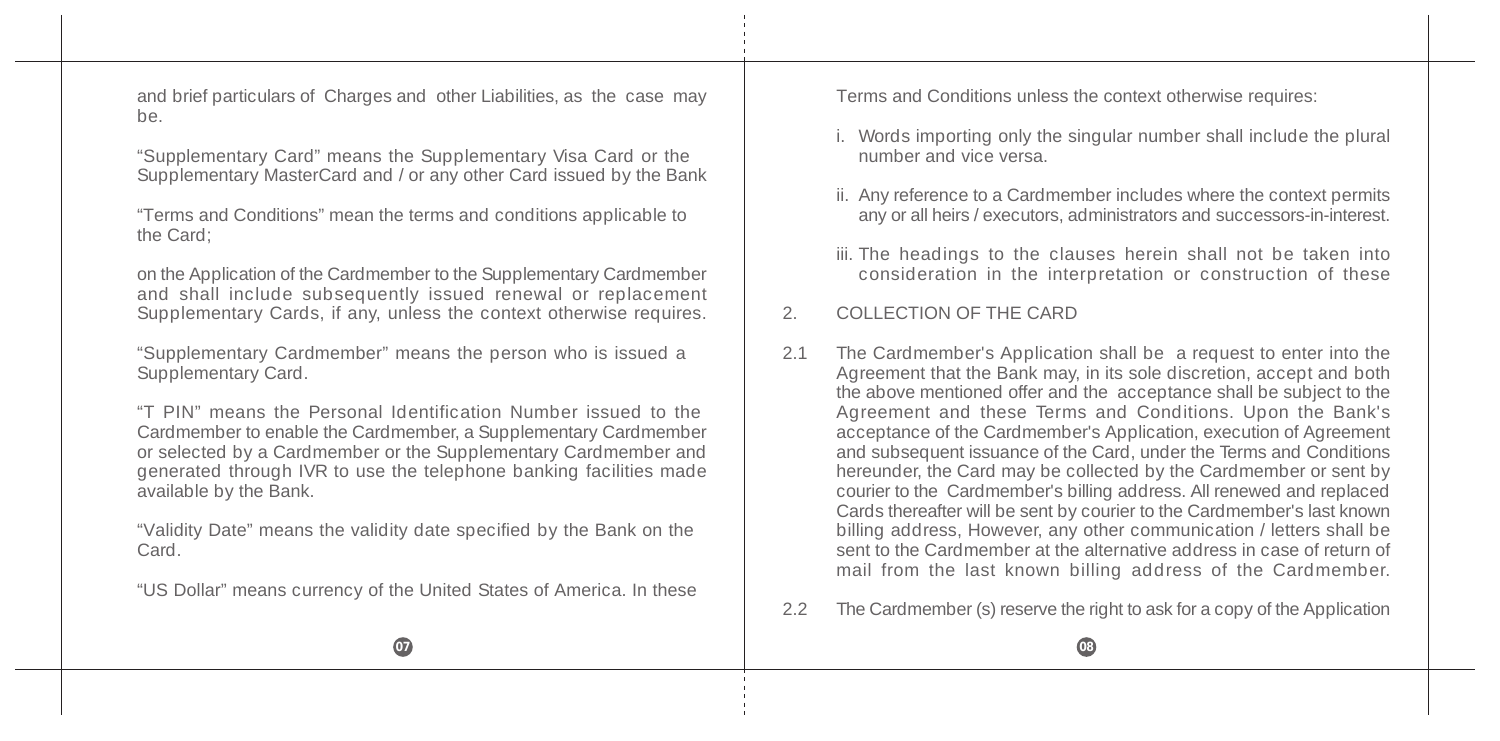and brief particulars of Charges and other Liabilities, as the case may be.

"Supplementary Card" means the Supplementary Visa Card or the Supplementary MasterCard and / or any other Card issued by the Bank

"Terms and Conditions" mean the terms and conditions applicable to the Card;

on the Application of the Cardmember to the Supplementary Cardmember and shall include subsequently issued renewal or replacement Supplementary Cards, if any, unless the context otherwise requires.

"Supplementary Cardmember" means the person who is issued a Supplementary Card.

"T PIN" means the Personal Identification Number issued to the Cardmember to enable the Cardmember, a Supplementary Cardmember or selected by a Cardmember or the Supplementary Cardmember and generated through IVR to use the telephone banking facilities made available by the Bank.

"Validity Date" means the validity date specified by the Bank on the Card.

"US Dollar" means currency of the United States of America. In these

Terms and Conditions unless the context otherwise requires:

- i. Words importing only the singular number shall include the plural number and vice versa.
- ii. Any reference to a Cardmember includes where the context permits any or all heirs / executors, administrators and successors-in-interest.
- iii. The headings to the clauses herein shall not be taken into consideration in the interpretation or construction of these

# 2. COLLECTION OF THE CARD

- 2.1 The Cardmember's Application shall be a request to enter into the Agreement that the Bank may, in its sole discretion, accept and both the above mentioned offer and the acceptance shall be subject to the Agreement and these Terms and Conditions. Upon the Bank's acceptance of the Cardmember's Application, execution of Agreement and subsequent issuance of the Card, under the Terms and Conditions hereunder, the Card may be collected by the Cardmember or sent by courier to the Cardmember's billing address. All renewed and replaced Cards thereafter will be sent by courier to the Cardmember's last known billing address, However, any other communication / letters shall be sent to the Cardmember at the alternative address in case of return of mail from the last known billing address of the Cardmember.
- 2.2 The Cardmember (s) reserve the right to ask for a copy of the Application

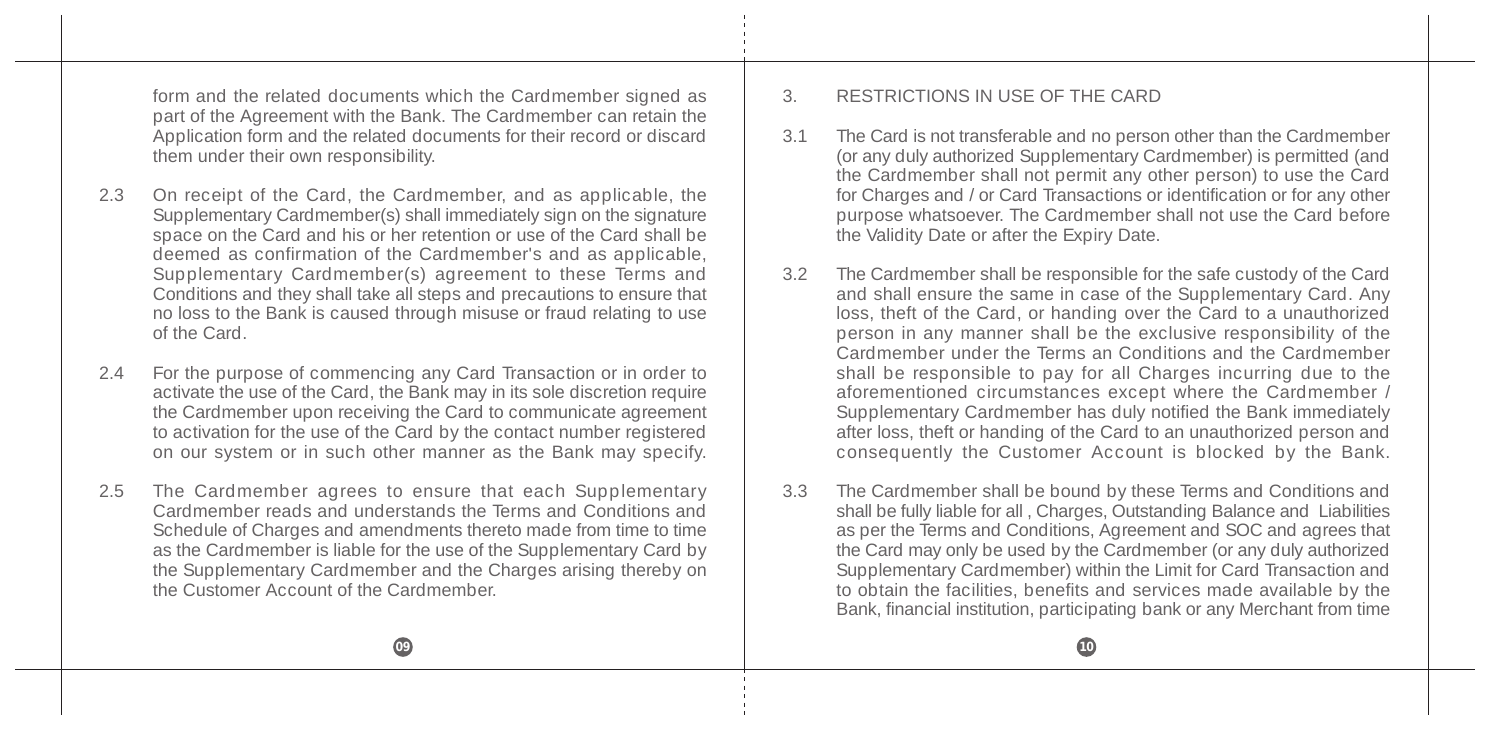form and the related documents which the Cardmember signed as part of the Agreement with the Bank. The Cardmember can retain the Application form and the related documents for their record or discard them under their own responsibility.

- 2.3 On receipt of the Card, the Cardmember, and as applicable, the Supplementary Cardmember(s) shall immediately sign on the signature space on the Card and his or her retention or use of the Card shall be deemed as confirmation of the Cardmember's and as applicable, Supplementary Cardmember(s) agreement to these Terms and Conditions and they shall take all steps and precautions to ensure that no loss to the Bank is caused through misuse or fraud relating to use of the Card.
- 2.4 For the purpose of commencing any Card Transaction or in order to activate the use of the Card, the Bank may in its sole discretion require the Cardmember upon receiving the Card to communicate agreement to activation for the use of the Card by the contact number registered on our system or in such other manner as the Bank may specify.
- 2.5 The Cardmember agrees to ensure that each Supplementary Cardmember reads and understands the Terms and Conditions and Schedule of Charges and amendments thereto made from time to time as the Cardmember is liable for the use of the Supplementary Card by the Supplementary Cardmember and the Charges arising thereby on the Customer Account of the Cardmember.

### 3. RESTRICTIONS IN USE OF THE CARD

- 3.1 The Card is not transferable and no person other than the Cardmember (or any duly authorized Supplementary Cardmember) is permitted (and the Cardmember shall not permit any other person) to use the Card for Charges and / or Card Transactions or identification or for any other purpose whatsoever. The Cardmember shall not use the Card before the Validity Date or after the Expiry Date.
- 3.2 The Cardmember shall be responsible for the safe custody of the Card and shall ensure the same in case of the Supplementary Card. Any loss, theft of the Card, or handing over the Card to a unauthorized person in any manner shall be the exclusive responsibility of the Cardmember under the Terms an Conditions and the Cardmember shall be responsible to pay for all Charges incurring due to the aforementioned circumstances except where the Cardmember / Supplementary Cardmember has duly notified the Bank immediately after loss, theft or handing of the Card to an unauthorized person and consequently the Customer Account is blocked by the Bank.
- 3.3 The Cardmember shall be bound by these Terms and Conditions and shall be fully liable for all, Charges, Outstanding Balance and Liabilities as per the Terms and Conditions, Agreement and SOC and agrees that the Card may only be used by the Cardmember (or any duly authorized Supplementary Cardmember) within the Limit for Card Transaction and to obtain the facilities, benefits and services made available by the Bank, financial institution, participating bank or any Merchant from time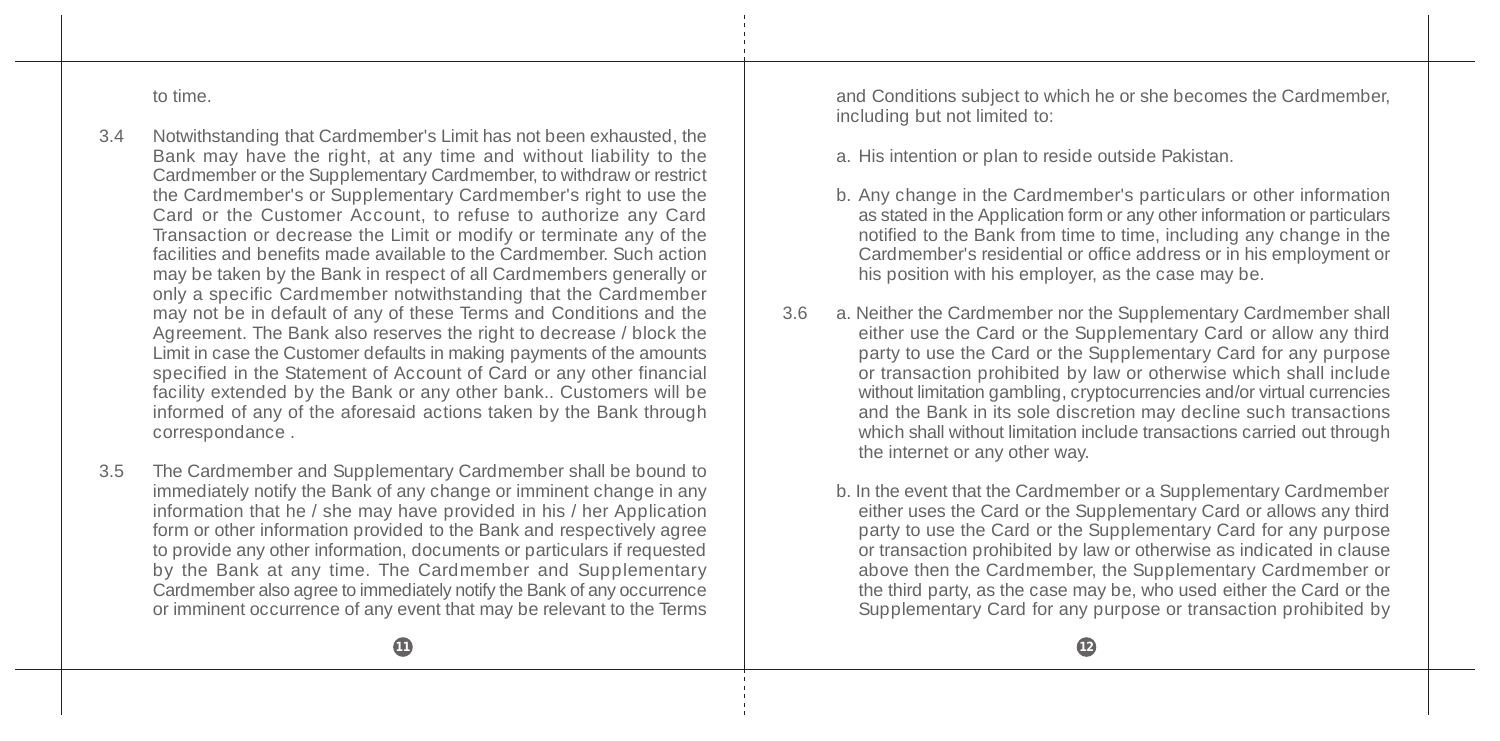to time.

- 3.4 Notwithstanding that Cardmember's Limit has not been exhausted, the Bank may have the right, at any time and without liability to the Cardmember or the Supplementary Cardmember, to withdraw or restrict the Cardmember's or Supplementary Cardmember's right to use the Card or the Customer Account, to refuse to authorize any Card Transaction or decrease the Limit or modify or terminate any of the facilities and benefits made available to the Cardmember. Such action may be taken by the Bank in respect of all Cardmembers generally or only a specific Cardmember notwithstanding that the Cardmember may not be in default of any of these Terms and Conditions and the Agreement. The Bank also reserves the right to decrease / block the Limit in case the Customer defaults in making payments of the amounts specified in the Statement of Account of Card or any other financial facility extended by the Bank or any other bank.. Customers will be informed of any of the aforesaid actions taken by the Bank through correspondance .
- 3.5 The Cardmember and Supplementary Cardmember shall be bound to immediately notify the Bank of any change or imminent change in any information that he / she may have provided in his / her Application form or other information provided to the Bank and respectively agree to provide any other information, documents or particulars if requested by the Bank at any time. The Cardmember and Supplementary Cardmember also agree to immediately notify the Bank of any occurrence or imminent occurrence of any event that may be relevant to the Terms

and Conditions subject to which he or she becomes the Cardmember, including but not limited to:

- a. His intention or plan to reside outside Pakistan.
- b. Any change in the Cardmember's particulars or other information as stated in the Application form or any other information or particulars notified to the Bank from time to time, including any change in the Cardmember's residential or office address or in his employment or his position with his employer, as the case may be.
- 3.6 a. Neither the Cardmember nor the Supplementary Cardmember shall either use the Card or the Supplementary Card or allow any third party to use the Card or the Supplementary Card for any purpose or transaction prohibited by law or otherwise which shall include without limitation gambling, cryptocurrencies and/or virtual currencies and the Bank in its sole discretion may decline such transactions which shall without limitation include transactions carried out through the internet or any other way.
	- b. In the event that the Cardmember or a Supplementary Cardmember either uses the Card or the Supplementary Card or allows any third party to use the Card or the Supplementary Card for any purpose or transaction prohibited by law or otherwise as indicated in clause above then the Cardmember, the Supplementary Cardmember or the third party, as the case may be, who used either the Card or the Supplementary Card for any purpose or transaction prohibited by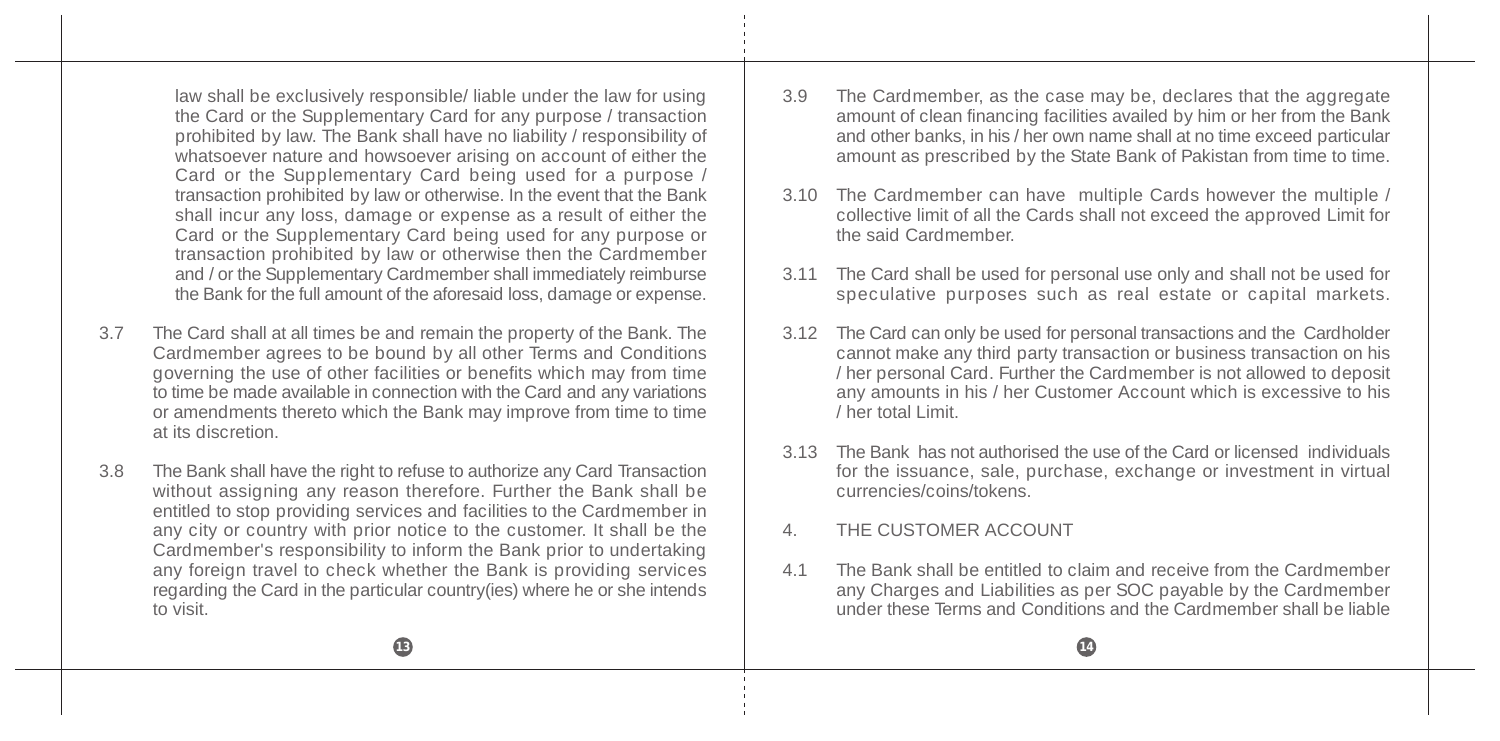law shall be exclusively responsible/ liable under the law for using the Card or the Supplementary Card for any purpose / transaction prohibited by law. The Bank shall have no liability / responsibility of whatsoever nature and howsoever arising on account of either the Card or the Supplementary Card being used for a purpose / transaction prohibited by law or otherwise. In the event that the Bank shall incur any loss, damage or expense as a result of either the Card or the Supplementary Card being used for any purpose or transaction prohibited by law or otherwise then the Cardmember and / or the Supplementary Cardmember shall immediately reimburse the Bank for the full amount of the aforesaid loss, damage or expense.

- 3.7 The Card shall at all times be and remain the property of the Bank. The Cardmember agrees to be bound by all other Terms and Conditions governing the use of other facilities or benefits which may from time to time be made available in connection with the Card and any variations or amendments thereto which the Bank may improve from time to time at its discretion.
- 3.8 The Bank shall have the right to refuse to authorize any Card Transaction without assigning any reason therefore. Further the Bank shall be entitled to stop providing services and facilities to the Cardmember in any city or country with prior notice to the customer. It shall be the Cardmember's responsibility to inform the Bank prior to undertaking any foreign travel to check whether the Bank is providing services regarding the Card in the particular country(ies) where he or she intends to visit.
- 3.9 The Cardmember, as the case may be, declares that the aggregate amount of clean financing facilities availed by him or her from the Bank and other banks, in his / her own name shall at no time exceed particular amount as prescribed by the State Bank of Pakistan from time to time.
- 3.10 The Cardmember can have multiple Cards however the multiple / collective limit of all the Cards shall not exceed the approved Limit for the said Cardmember.
- 3.11 The Card shall be used for personal use only and shall not be used for speculative purposes such as real estate or capital markets.
- 3.12 The Card can only be used for personal transactions and the Cardholder cannot make any third party transaction or business transaction on his / her personal Card. Further the Cardmember is not allowed to deposit any amounts in his / her Customer Account which is excessive to his / her total Limit.
- 3.13 The Bank has not authorised the use of the Card or licensed individuals for the issuance, sale, purchase, exchange or investment in virtual currencies/coins/tokens.
- 4. THE CUSTOMER ACCOUNT
- 4.1 The Bank shall be entitled to claim and receive from the Cardmember any Charges and Liabilities as per SOC payable by the Cardmember under these Terms and Conditions and the Cardmember shall be liable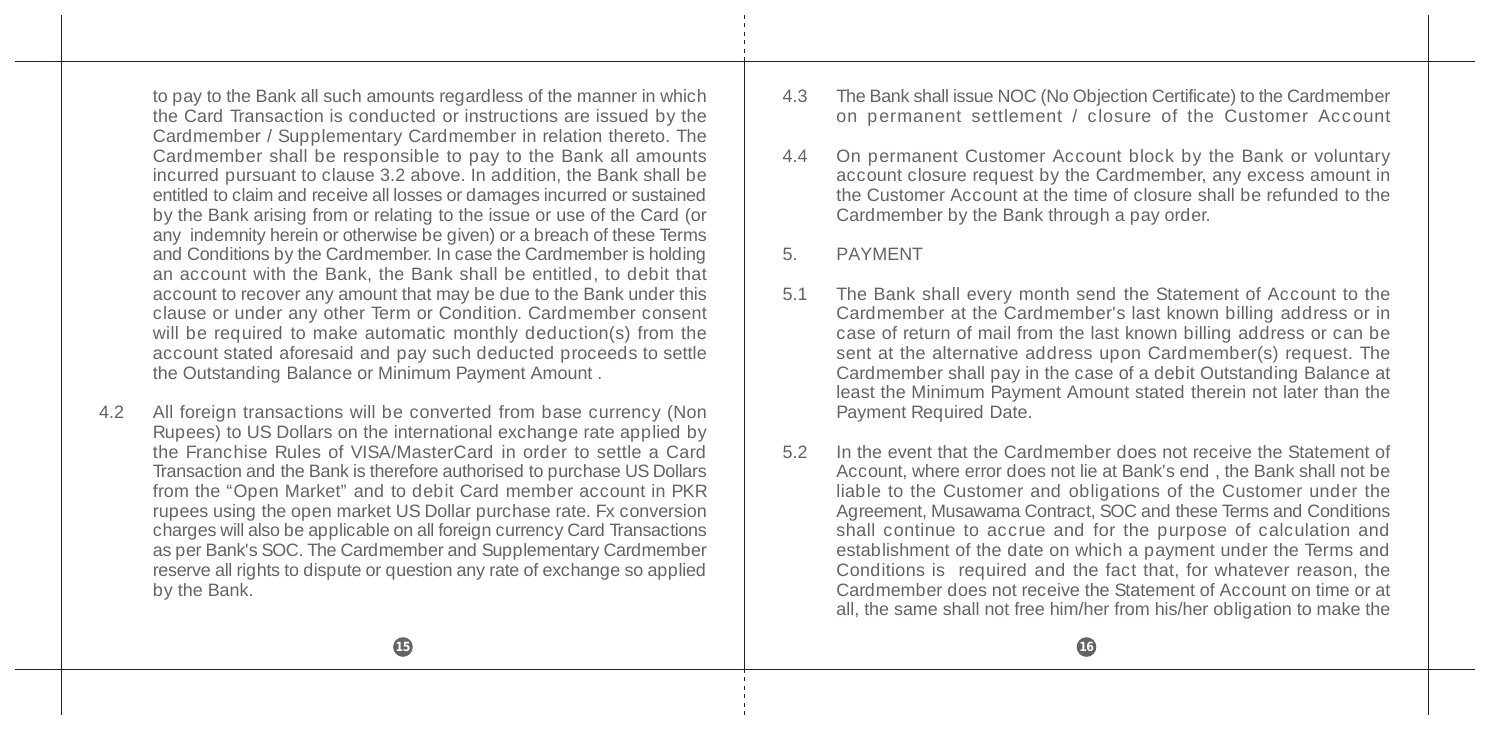to pay to the Bank all such amounts regardless of the manner in which the Card Transaction is conducted or instructions are issued by the Cardmember / Supplementary Cardmember in relation thereto. The Cardmember shall be responsible to pay to the Bank all amounts incurred pursuant to clause 3.2 above. In addition, the Bank shall be entitled to claim and receive all losses or damages incurred or sustained by the Bank arising from or relating to the issue or use of the Card (or any indemnity herein or otherwise be given) or a breach of these Terms and Conditions by the Cardmember. In case the Cardmember is holding an account with the Bank, the Bank shall be entitled, to debit that account to recover any amount that may be due to the Bank under this clause or under any other Term or Condition. Cardmember consent will be required to make automatic monthly deduction(s) from the account stated aforesaid and pay such deducted proceeds to settle the Outstanding Balance or Minimum Payment Amount .

4.2 All foreign transactions will be converted from base currency (Non Rupees) to US Dollars on the international exchange rate applied by the Franchise Rules of VISA/MasterCard in order to settle a Card Transaction and the Bank is therefore authorised to purchase US Dollars from the "Open Market" and to debit Card member account in PKR rupees using the open market US Dollar purchase rate. Fx conversion charges will also be applicable on all foreign currency Card Transactions as per Bank's SOC. The Cardmember and Supplementary Cardmember reserve all rights to dispute or question any rate of exchange so applied by the Bank.

- 4.3 The Bank shall issue NOC (No Objection Certificate) to the Cardmember on permanent settlement / closure of the Customer Account
- 4.4 On permanent Customer Account block by the Bank or voluntary account closure request by the Cardmember, any excess amount in the Customer Account at the time of closure shall be refunded to the Cardmember by the Bank through a pay order.
- 5. PAYMENT
- 5.1 The Bank shall every month send the Statement of Account to the Cardmember at the Cardmember's last known billing address or in case of return of mail from the last known billing address or can be sent at the alternative address upon Cardmember(s) request. The Cardmember shall pay in the case of a debit Outstanding Balance at least the Minimum Payment Amount stated therein not later than the Payment Required Date.
- 5.2 In the event that the Cardmember does not receive the Statement of Account, where error does not lie at Bank's end , the Bank shall not be liable to the Customer and obligations of the Customer under the Agreement, Musawama Contract, SOC and these Terms and Conditions shall continue to accrue and for the purpose of calculation and establishment of the date on which a payment under the Terms and Conditions is required and the fact that, for whatever reason, the Cardmember does not receive the Statement of Account on time or at all, the same shall not free him/her from his/her obligation to make the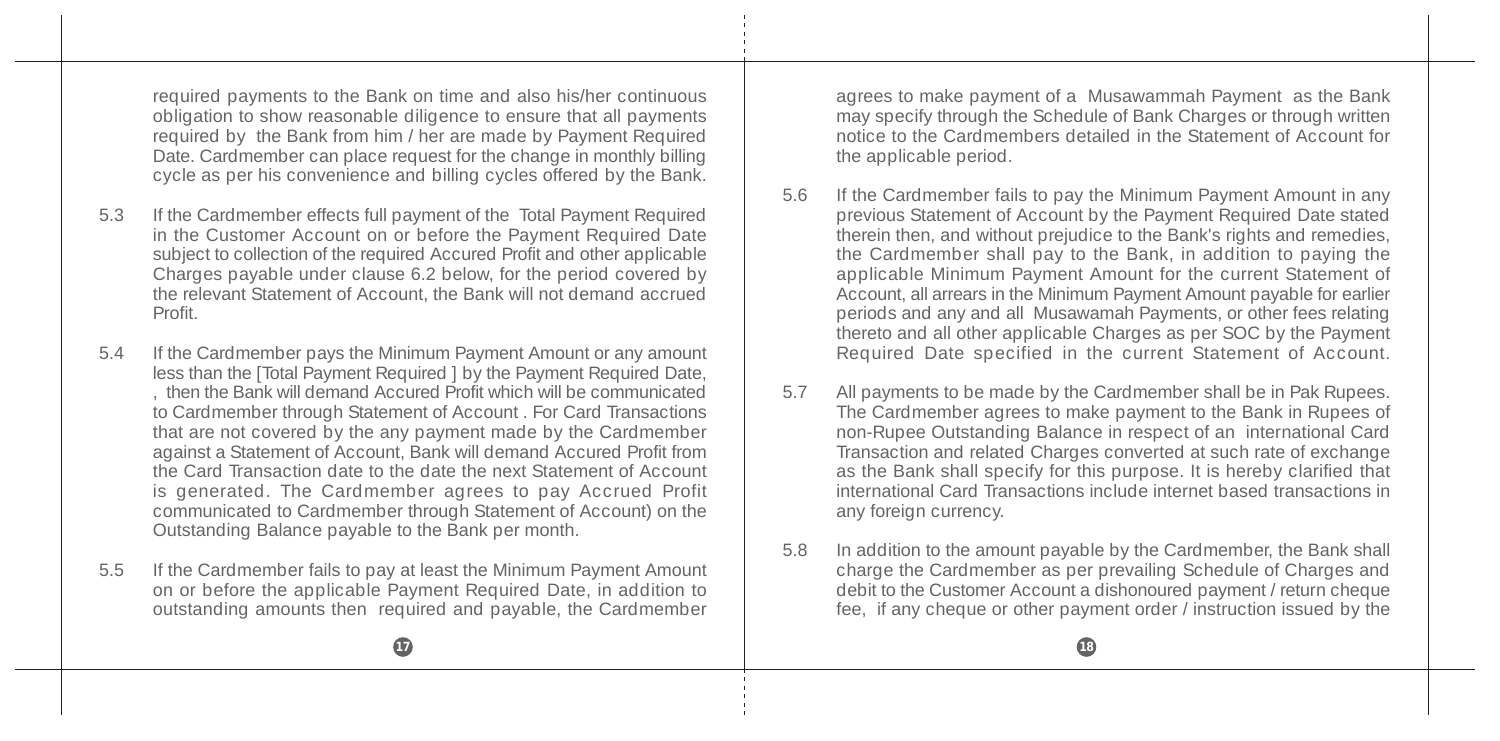required payments to the Bank on time and also his/her continuous obligation to show reasonable diligence to ensure that all payments required by the Bank from him / her are made by Payment Required Date. Cardmember can place request for the change in monthly billing cycle as per his convenience and billing cycles offered by the Bank.

- 5.3 If the Cardmember effects full payment of the Total Payment Required in the Customer Account on or before the Payment Required Date subject to collection of the required Accured Profit and other applicable Charges payable under clause 6.2 below, for the period covered by the relevant Statement of Account, the Bank will not demand accrued Profit.
- 5.4 If the Cardmember pays the Minimum Payment Amount or any amount less than the [Total Payment Required ] by the Payment Required Date, , then the Bank will demand Accured Profit which will be communicated to Cardmember through Statement of Account . For Card Transactions that are not covered by the any payment made by the Cardmember against a Statement of Account, Bank will demand Accured Profit from the Card Transaction date to the date the next Statement of Account is generated. The Cardmember agrees to pay Accrued Profit communicated to Cardmember through Statement of Account) on the Outstanding Balance payable to the Bank per month.
- 5.5 If the Cardmember fails to pay at least the Minimum Payment Amount on or before the applicable Payment Required Date, in addition to outstanding amounts then required and payable, the Cardmember

agrees to make payment of a Musawammah Payment as the Bank may specify through the Schedule of Bank Charges or through written notice to the Cardmembers detailed in the Statement of Account for the applicable period.

- 5.6 If the Cardmember fails to pay the Minimum Payment Amount in any previous Statement of Account by the Payment Required Date stated therein then, and without prejudice to the Bank's rights and remedies, the Cardmember shall pay to the Bank, in addition to paying the applicable Minimum Payment Amount for the current Statement of Account, all arrears in the Minimum Payment Amount payable for earlier periods and any and all Musawamah Payments, or other fees relating thereto and all other applicable Charges as per SOC by the Payment Required Date specified in the current Statement of Account.
- 5.7 All payments to be made by the Cardmember shall be in Pak Rupees. The Cardmember agrees to make payment to the Bank in Rupees of non-Rupee Outstanding Balance in respect of an international Card Transaction and related Charges converted at such rate of exchange as the Bank shall specify for this purpose. It is hereby clarified that international Card Transactions include internet based transactions in any foreign currency.
- 5.8 In addition to the amount payable by the Cardmember, the Bank shall charge the Cardmember as per prevailing Schedule of Charges and debit to the Customer Account a dishonoured payment / return cheque fee, if any cheque or other payment order / instruction issued by the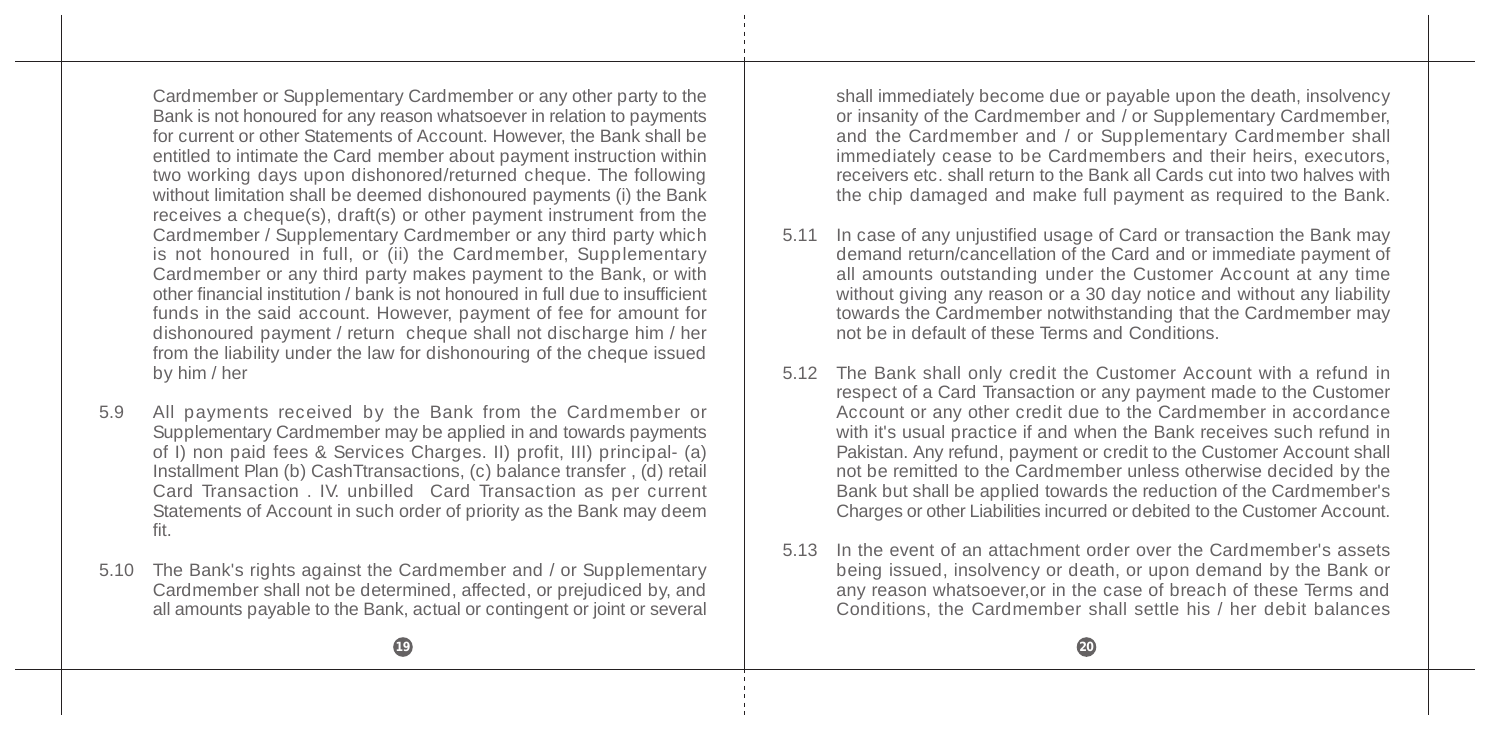Cardmember or Supplementary Cardmember or any other party to the Bank is not honoured for any reason whatsoever in relation to payments for current or other Statements of Account. However, the Bank shall be entitled to intimate the Card member about payment instruction within two working days upon dishonored/returned cheque. The following without limitation shall be deemed dishonoured payments (i) the Bank receives a cheque(s), draft(s) or other payment instrument from the Cardmember / Supplementary Cardmember or any third party which is not honoured in full, or (ii) the Cardmember, Supplementary Cardmember or any third party makes payment to the Bank, or with other financial institution / bank is not honoured in full due to insufficient funds in the said account. However, payment of fee for amount for dishonoured payment / return cheque shall not discharge him / her from the liability under the law for dishonouring of the cheque issued by him / her

- 5.9 All payments received by the Bank from the Cardmember or Supplementary Cardmember may be applied in and towards payments of I) non paid fees & Services Charges. II) profit, III) principal- (a) Installment Plan (b) CashTtransactions, (c) balance transfer , (d) retail Card Transaction . IV. unbilled Card Transaction as per current Statements of Account in such order of priority as the Bank may deem fit.
- 5.10 The Bank's rights against the Cardmember and / or Supplementary Cardmember shall not be determined, affected, or prejudiced by, and all amounts payable to the Bank, actual or contingent or joint or several

shall immediately become due or payable upon the death, insolvency or insanity of the Cardmember and / or Supplementary Cardmember, and the Cardmember and / or Supplementary Cardmember shall immediately cease to be Cardmembers and their heirs, executors, receivers etc. shall return to the Bank all Cards cut into two halves with the chip damaged and make full payment as required to the Bank.

- 5.11 In case of any unjustified usage of Card or transaction the Bank may demand return/cancellation of the Card and or immediate payment of all amounts outstanding under the Customer Account at any time without giving any reason or a 30 day notice and without any liability towards the Cardmember notwithstanding that the Cardmember may not be in default of these Terms and Conditions.
- 5.12 The Bank shall only credit the Customer Account with a refund in respect of a Card Transaction or any payment made to the Customer Account or any other credit due to the Cardmember in accordance with it's usual practice if and when the Bank receives such refund in Pakistan. Any refund, payment or credit to the Customer Account shall not be remitted to the Cardmember unless otherwise decided by the Bank but shall be applied towards the reduction of the Cardmember's Charges or other Liabilities incurred or debited to the Customer Account.
- 5.13 In the event of an attachment order over the Cardmember's assets being issued, insolvency or death, or upon demand by the Bank or any reason whatsoever,or in the case of breach of these Terms and Conditions, the Cardmember shall settle his / her debit balances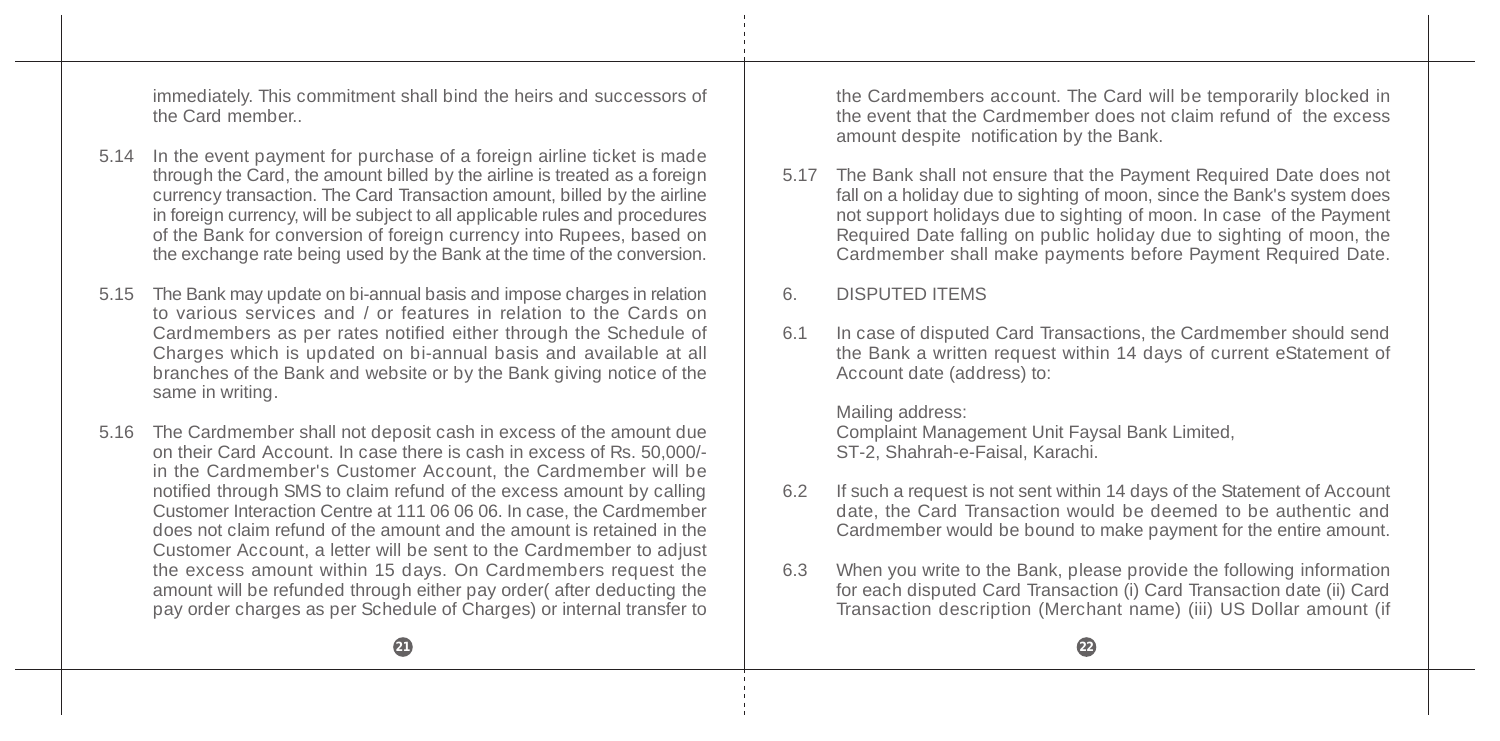immediately. This commitment shall bind the heirs and successors of the Card member..

- 5.14 In the event payment for purchase of a foreign airline ticket is made through the Card, the amount billed by the airline is treated as a foreign currency transaction. The Card Transaction amount, billed by the airline in foreign currency, will be subject to all applicable rules and procedures of the Bank for conversion of foreign currency into Rupees, based on the exchange rate being used by the Bank at the time of the conversion.
- 5.15 The Bank may update on bi-annual basis and impose charges in relation to various services and / or features in relation to the Cards on Cardmembers as per rates notified either through the Schedule of Charges which is updated on bi-annual basis and available at all branches of the Bank and website or by the Bank giving notice of the same in writing.
- 5.16 The Cardmember shall not deposit cash in excess of the amount due on their Card Account. In case there is cash in excess of Rs. 50,000/ in the Cardmember's Customer Account, the Cardmember will be notified through SMS to claim refund of the excess amount by calling Customer Interaction Centre at 111 06 06 06. In case, the Cardmember does not claim refund of the amount and the amount is retained in the Customer Account, a letter will be sent to the Cardmember to adjust the excess amount within 15 days. On Cardmembers request the amount will be refunded through either pay order( after deducting the pay order charges as per Schedule of Charges) or internal transfer to

the Cardmembers account. The Card will be temporarily blocked in the event that the Cardmember does not claim refund of the excess amount despite notification by the Bank.

5.17 The Bank shall not ensure that the Payment Required Date does not fall on a holiday due to sighting of moon, since the Bank's system does not support holidays due to sighting of moon. In case of the Payment Required Date falling on public holiday due to sighting of moon, the Cardmember shall make payments before Payment Required Date.

### 6. DISPUTED ITEMS

6.1 In case of disputed Card Transactions, the Cardmember should send the Bank a written request within 14 days of current eStatement of Account date (address) to:

Mailing address: Complaint Management Unit Faysal Bank Limited, ST-2, Shahrah-e-Faisal, Karachi.

- 6.2 If such a request is not sent within 14 days of the Statement of Account date, the Card Transaction would be deemed to be authentic and Cardmember would be bound to make payment for the entire amount.
- 6.3 When you write to the Bank, please provide the following information for each disputed Card Transaction (i) Card Transaction date (ii) Card Transaction description (Merchant name) (iii) US Dollar amount (if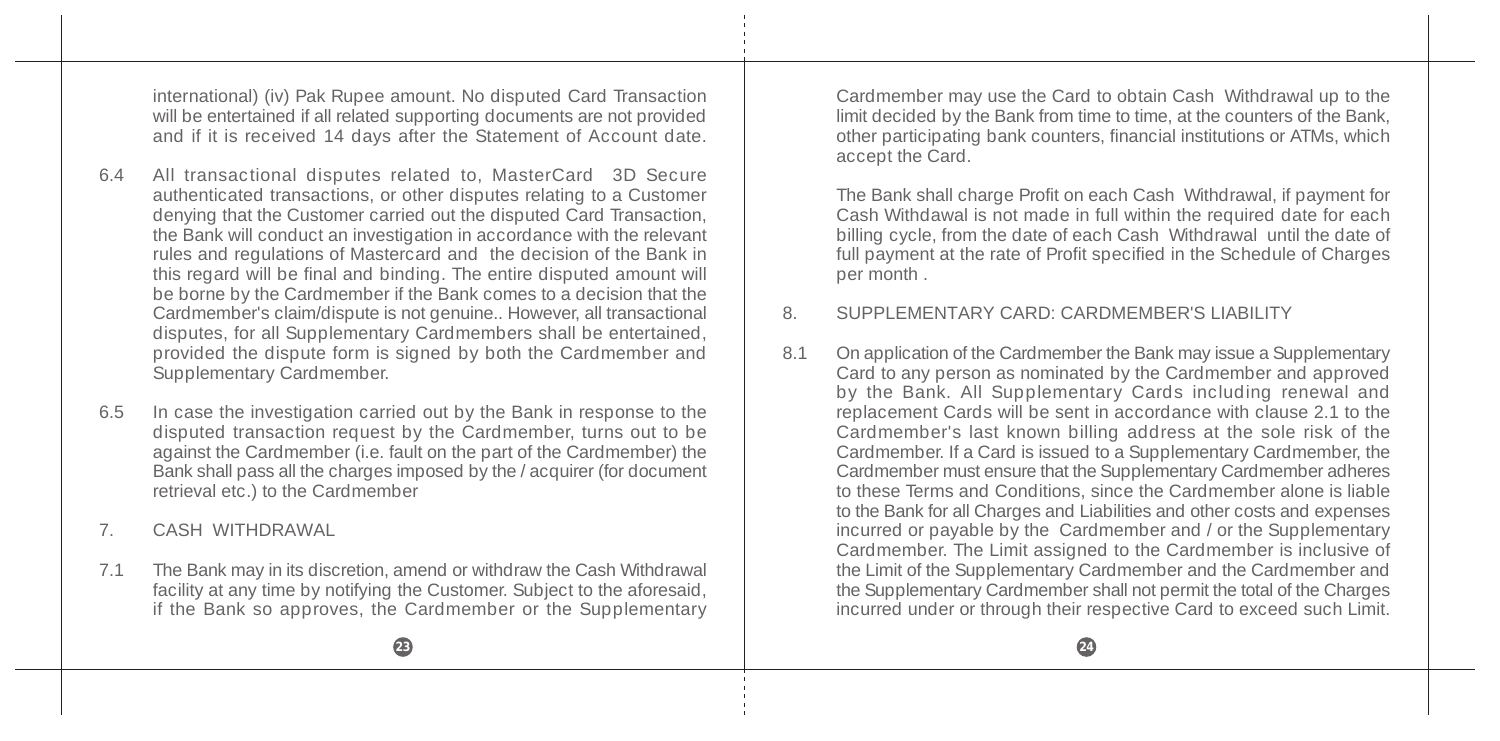international) (iv) Pak Rupee amount. No disputed Card Transaction will be entertained if all related supporting documents are not provided and if it is received 14 days after the Statement of Account date.

- 6.4 All transactional disputes related to, MasterCard 3D Secure authenticated transactions, or other disputes relating to a Customer denying that the Customer carried out the disputed Card Transaction, the Bank will conduct an investigation in accordance with the relevant rules and regulations of Mastercard and the decision of the Bank in this regard will be final and binding. The entire disputed amount will be borne by the Cardmember if the Bank comes to a decision that the Cardmember's claim/dispute is not genuine.. However, all transactional disputes, for all Supplementary Cardmembers shall be entertained, provided the dispute form is signed by both the Cardmember and Supplementary Cardmember.
- 6.5 In case the investigation carried out by the Bank in response to the disputed transaction request by the Cardmember, turns out to be against the Cardmember (i.e. fault on the part of the Cardmember) the Bank shall pass all the charges imposed by the / acquirer (for document retrieval etc.) to the Cardmember
- 7. CASH WITHDRAWAL
- 7.1 The Bank may in its discretion, amend or withdraw the Cash Withdrawal facility at any time by notifying the Customer. Subject to the aforesaid, if the Bank so approves, the Cardmember or the Supplementary

Cardmember may use the Card to obtain Cash Withdrawal up to the limit decided by the Bank from time to time, at the counters of the Bank, other participating bank counters, financial institutions or ATMs, which accept the Card.

The Bank shall charge Profit on each Cash Withdrawal, if payment for Cash Withdawal is not made in full within the required date for each billing cycle, from the date of each Cash Withdrawal until the date of full payment at the rate of Profit specified in the Schedule of Charges per month .

### 8. SUPPLEMENTARY CARD: CARDMEMBER'S LIABILITY

8.1 On application of the Cardmember the Bank may issue a Supplementary Card to any person as nominated by the Cardmember and approved by the Bank. All Supplementary Cards including renewal and replacement Cards will be sent in accordance with clause 2.1 to the Cardmember's last known billing address at the sole risk of the Cardmember. If a Card is issued to a Supplementary Cardmember, the Cardmember must ensure that the Supplementary Cardmember adheres to these Terms and Conditions, since the Cardmember alone is liable to the Bank for all Charges and Liabilities and other costs and expenses incurred or payable by the Cardmember and / or the Supplementary Cardmember. The Limit assigned to the Cardmember is inclusive of the Limit of the Supplementary Cardmember and the Cardmember and the Supplementary Cardmember shall not permit the total of the Charges incurred under or through their respective Card to exceed such Limit.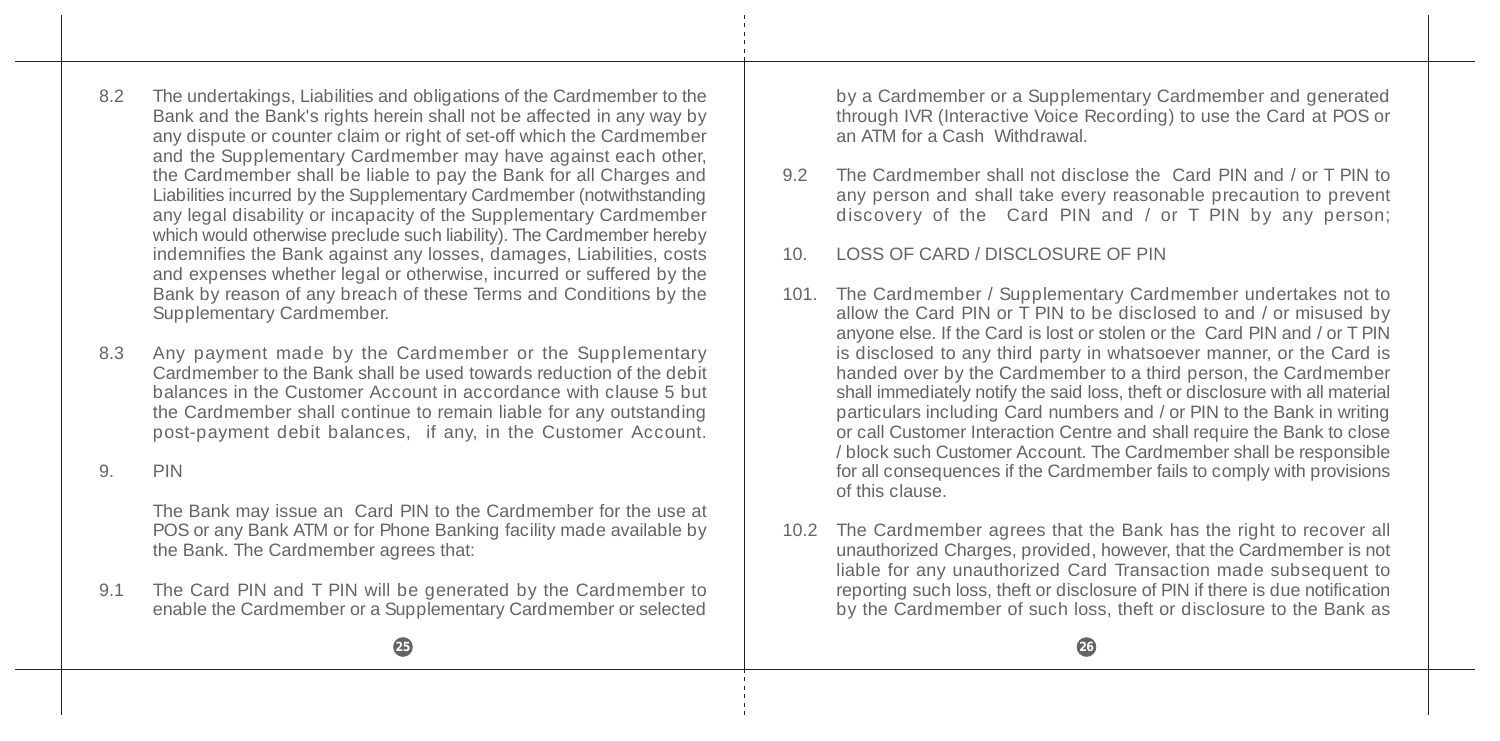8.2 The undertakings, Liabilities and obligations of the Cardmember to the Bank and the Bank's rights herein shall not be affected in any way by any dispute or counter claim or right of set-off which the Cardmember and the Supplementary Cardmember may have against each other, the Cardmember shall be liable to pay the Bank for all Charges and Liabilities incurred by the Supplementary Cardmember (notwithstanding any legal disability or incapacity of the Supplementary Cardmember which would otherwise preclude such liability). The Cardmember hereby indemnifies the Bank against any losses, damages, Liabilities, costs and expenses whether legal or otherwise, incurred or suffered by the Bank by reason of any breach of these Terms and Conditions by the Supplementary Cardmember.

8.3 Any payment made by the Cardmember or the Supplementary Cardmember to the Bank shall be used towards reduction of the debit balances in the Customer Account in accordance with clause 5 but the Cardmember shall continue to remain liable for any outstanding post-payment debit balances, if any, in the Customer Account.

9. PIN

The Bank may issue an Card PIN to the Cardmember for the use at POS or any Bank ATM or for Phone Banking facility made available by the Bank. The Cardmember agrees that:

9.1 The Card PIN and T PIN will be generated by the Cardmember to enable the Cardmember or a Supplementary Cardmember or selected by a Cardmember or a Supplementary Cardmember and generated through IVR (Interactive Voice Recording) to use the Card at POS or an ATM for a Cash Withdrawal.

- 9.2 The Cardmember shall not disclose the Card PIN and / or T PIN to any person and shall take every reasonable precaution to prevent discovery of the Card PIN and / or T PIN by any person;
- 10. LOSS OF CARD / DISCLOSURE OF PIN
- 101. The Cardmember / Supplementary Cardmember undertakes not to allow the Card PIN or T PIN to be disclosed to and / or misused by anyone else. If the Card is lost or stolen or the Card PIN and / or T PIN is disclosed to any third party in whatsoever manner, or the Card is handed over by the Cardmember to a third person, the Cardmember shall immediately notify the said loss, theft or disclosure with all material particulars including Card numbers and / or PIN to the Bank in writing or call Customer Interaction Centre and shall require the Bank to close / block such Customer Account. The Cardmember shall be responsible for all consequences if the Cardmember fails to comply with provisions of this clause.
- 10.2 The Cardmember agrees that the Bank has the right to recover all unauthorized Charges, provided, however, that the Cardmember is not liable for any unauthorized Card Transaction made subsequent to reporting such loss, theft or disclosure of PIN if there is due notification by the Cardmember of such loss, theft or disclosure to the Bank as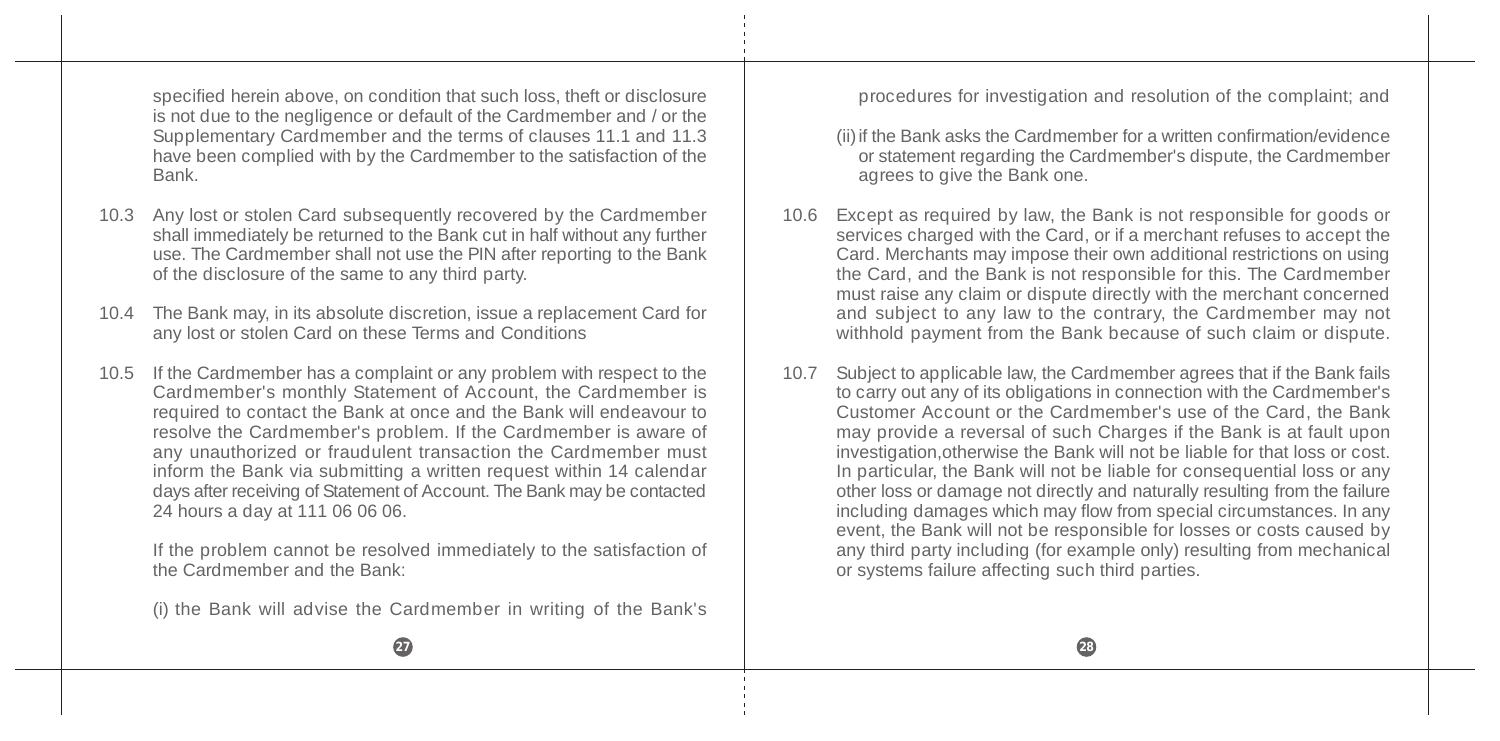specified herein above, on condition that such loss, theft or disclosure is not due to the negligence or default of the Cardmember and / or the Supplementary Cardmember and the terms of clauses 11.1 and 11.3 have been complied with by the Cardmember to the satisfaction of the Bank.

- 10.3 Any lost or stolen Card subsequently recovered by the Cardmember shall immediately be returned to the Bank cut in half without any further use. The Cardmember shall not use the PIN after reporting to the Bank of the disclosure of the same to any third party.
- 10.4 The Bank may, in its absolute discretion, issue a replacement Card for any lost or stolen Card on these Terms and Conditions
- 10.5 If the Cardmember has a complaint or any problem with respect to the Cardmember's monthly Statement of Account, the Cardmember is required to contact the Bank at once and the Bank will endeavour to resolve the Cardmember's problem. If the Cardmember is aware of any unauthorized or fraudulent transaction the Cardmember must inform the Bank via submitting a written request within 14 calendar days after receiving of Statement of Account. The Bank may be contacted 24 hours a day at 111 06 06 06.

If the problem cannot be resolved immediately to the satisfaction of the Cardmember and the Bank:

(i) the Bank will advise the Cardmember in writing of the Bank's

procedures for investigation and resolution of the complaint; and

- (ii)if the Bank asks the Cardmember for a written confirmation/evidence or statement regarding the Cardmember's dispute, the Cardmember agrees to give the Bank one.
- 10.6 Except as required by law, the Bank is not responsible for goods or services charged with the Card, or if a merchant refuses to accept the Card. Merchants may impose their own additional restrictions on using the Card, and the Bank is not responsible for this. The Cardmember must raise any claim or dispute directly with the merchant concerned and subject to any law to the contrary, the Cardmember may not withhold payment from the Bank because of such claim or dispute.
- 10.7 Subject to applicable law, the Cardmember agrees that if the Bank fails to carry out any of its obligations in connection with the Cardmember's Customer Account or the Cardmember's use of the Card, the Bank may provide a reversal of such Charges if the Bank is at fault upon investigation,otherwise the Bank will not be liable for that loss or cost. In particular, the Bank will not be liable for consequential loss or any other loss or damage not directly and naturally resulting from the failure including damages which may flow from special circumstances. In any event, the Bank will not be responsible for losses or costs caused by any third party including (for example only) resulting from mechanical or systems failure affecting such third parties.



**27 28**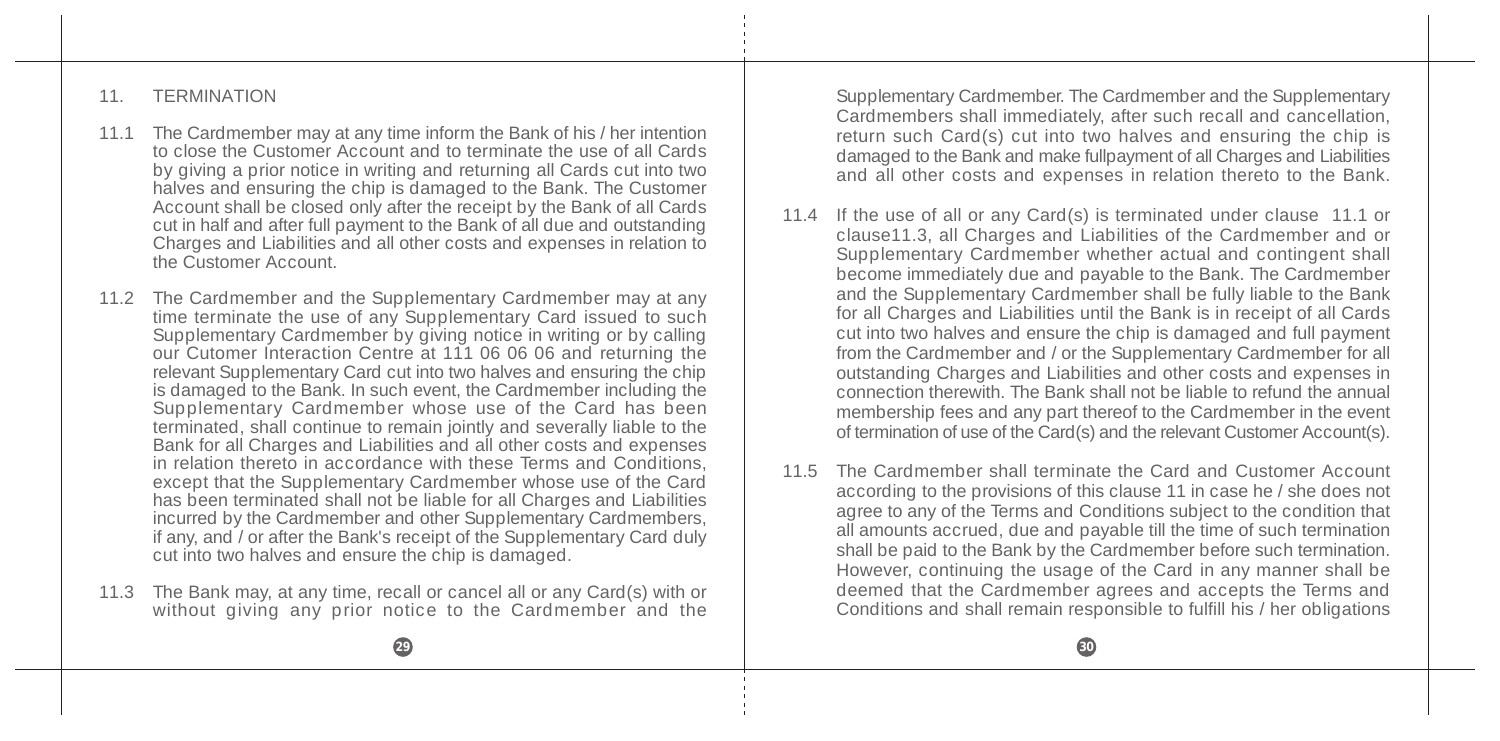#### 11. TERMINATION

- 11.1 The Cardmember may at any time inform the Bank of his / her intention to close the Customer Account and to terminate the use of all Cards by giving a prior notice in writing and returning all Cards cut into two halves and ensuring the chip is damaged to the Bank. The Customer Account shall be closed only after the receipt by the Bank of all Cards cut in half and after full payment to the Bank of all due and outstanding Charges and Liabilities and all other costs and expenses in relation to the Customer Account.
- 11.2 The Cardmember and the Supplementary Cardmember may at any time terminate the use of any Supplementary Card issued to such Supplementary Cardmember by giving notice in writing or by calling our Cutomer Interaction Centre at 111 06 06 06 and returning the relevant Supplementary Card cut into two halves and ensuring the chip is damaged to the Bank. In such event, the Cardmember including the Supplementary Cardmember whose use of the Card has been terminated, shall continue to remain jointly and severally liable to the Bank for all Charges and Liabilities and all other costs and expenses in relation thereto in accordance with these Terms and Conditions. except that the Supplementary Cardmember whose use of the Card has been terminated shall not be liable for all Charges and Liabilities incurred by the Cardmember and other Supplementary Cardmembers, if any, and / or after the Bank's receipt of the Supplementary Card duly cut into two halves and ensure the chip is damaged.
- 11.3 The Bank may, at any time, recall or cancel all or any Card(s) with or without giving any prior notice to the Cardmember and the

Supplementary Cardmember. The Cardmember and the Supplementary Cardmembers shall immediately, after such recall and cancellation, return such Card(s) cut into two halves and ensuring the chip is damaged to the Bank and make fullpayment of all Charges and Liabilities and all other costs and expenses in relation thereto to the Bank.

- 11.4 If the use of all or any Card(s) is terminated under clause 11.1 or clause11.3, all Charges and Liabilities of the Cardmember and or Supplementary Cardmember whether actual and contingent shall become immediately due and payable to the Bank. The Cardmember and the Supplementary Cardmember shall be fully liable to the Bank for all Charges and Liabilities until the Bank is in receipt of all Cards cut into two halves and ensure the chip is damaged and full payment from the Cardmember and / or the Supplementary Cardmember for all outstanding Charges and Liabilities and other costs and expenses in connection therewith. The Bank shall not be liable to refund the annual membership fees and any part thereof to the Cardmember in the event of termination of use of the Card(s) and the relevant Customer Account(s).
- 11.5 The Cardmember shall terminate the Card and Customer Account according to the provisions of this clause 11 in case he / she does not agree to any of the Terms and Conditions subject to the condition that all amounts accrued, due and payable till the time of such termination shall be paid to the Bank by the Cardmember before such termination. However, continuing the usage of the Card in any manner shall be deemed that the Cardmember agrees and accepts the Terms and Conditions and shall remain responsible to fulfill his / her obligations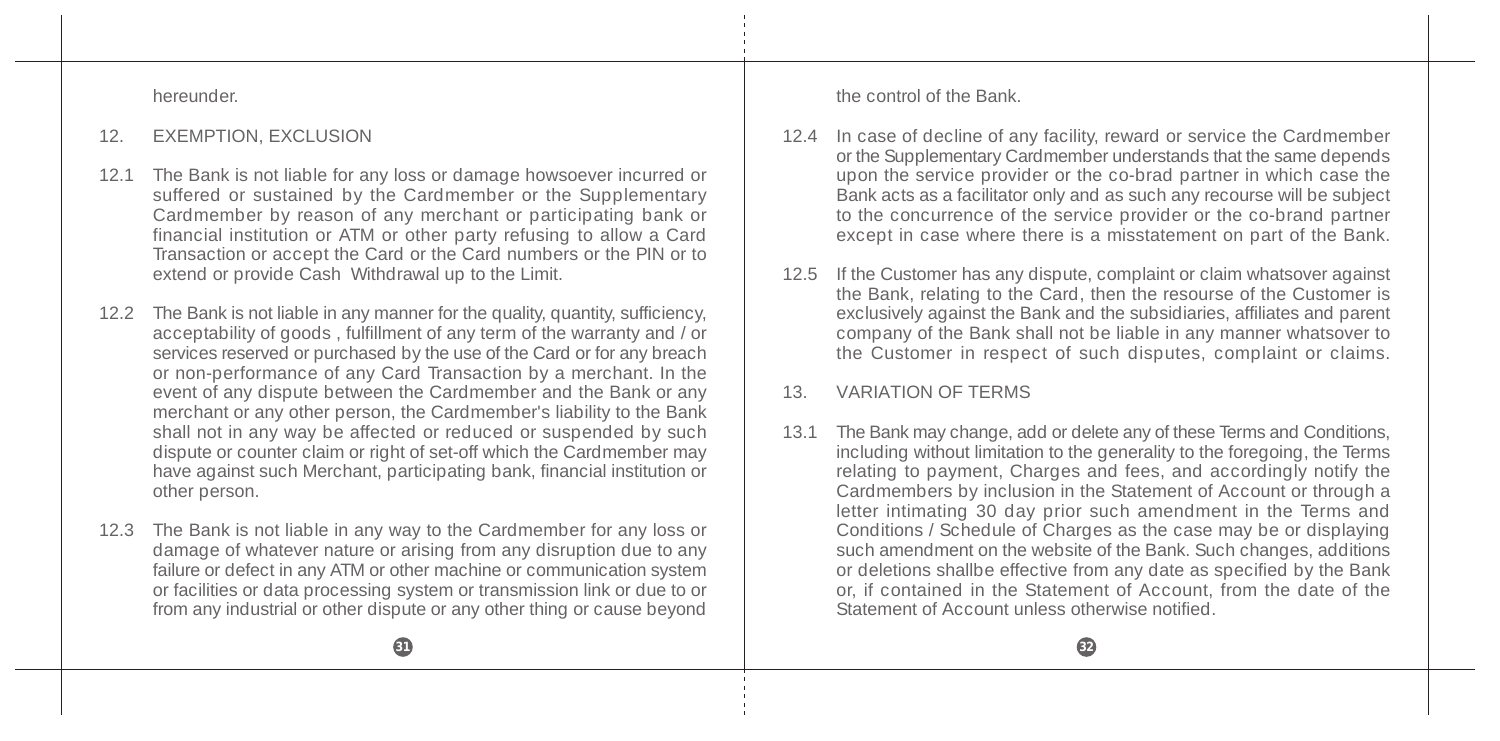hereunder.

#### 12. EXEMPTION, EXCLUSION

- 12.1 The Bank is not liable for any loss or damage howsoever incurred or suffered or sustained by the Cardmember or the Supplementary Cardmember by reason of any merchant or participating bank or financial institution or ATM or other party refusing to allow a Card Transaction or accept the Card or the Card numbers or the PIN or to extend or provide Cash Withdrawal up to the Limit.
- 12.2 The Bank is not liable in any manner for the quality, quantity, sufficiency, acceptability of goods , fulfillment of any term of the warranty and / or services reserved or purchased by the use of the Card or for any breach or non-performance of any Card Transaction by a merchant. In the event of any dispute between the Cardmember and the Bank or any merchant or any other person, the Cardmember's liability to the Bank shall not in any way be affected or reduced or suspended by such dispute or counter claim or right of set-off which the Cardmember may have against such Merchant, participating bank, financial institution or other person.
- 12.3 The Bank is not liable in any way to the Cardmember for any loss or damage of whatever nature or arising from any disruption due to any failure or defect in any ATM or other machine or communication system or facilities or data processing system or transmission link or due to or from any industrial or other dispute or any other thing or cause beyond

the control of the Bank.

- 12.4 In case of decline of any facility, reward or service the Cardmember or the Supplementary Cardmember understands that the same depends upon the service provider or the co-brad partner in which case the Bank acts as a facilitator only and as such any recourse will be subject to the concurrence of the service provider or the co-brand partner except in case where there is a misstatement on part of the Bank.
- 12.5 If the Customer has any dispute, complaint or claim whatsover against the Bank, relating to the Card, then the resourse of the Customer is exclusively against the Bank and the subsidiaries, affiliates and parent company of the Bank shall not be liable in any manner whatsover to the Customer in respect of such disputes, complaint or claims.

### 13. VARIATION OF TERMS

13.1 The Bank may change, add or delete any of these Terms and Conditions, including without limitation to the generality to the foregoing, the Terms relating to payment, Charges and fees, and accordingly notify the Cardmembers by inclusion in the Statement of Account or through a letter intimating 30 day prior such amendment in the Terms and Conditions / Schedule of Charges as the case may be or displaying such amendment on the website of the Bank. Such changes, additions or deletions shallbe effective from any date as specified by the Bank or, if contained in the Statement of Account, from the date of the Statement of Account unless otherwise notified.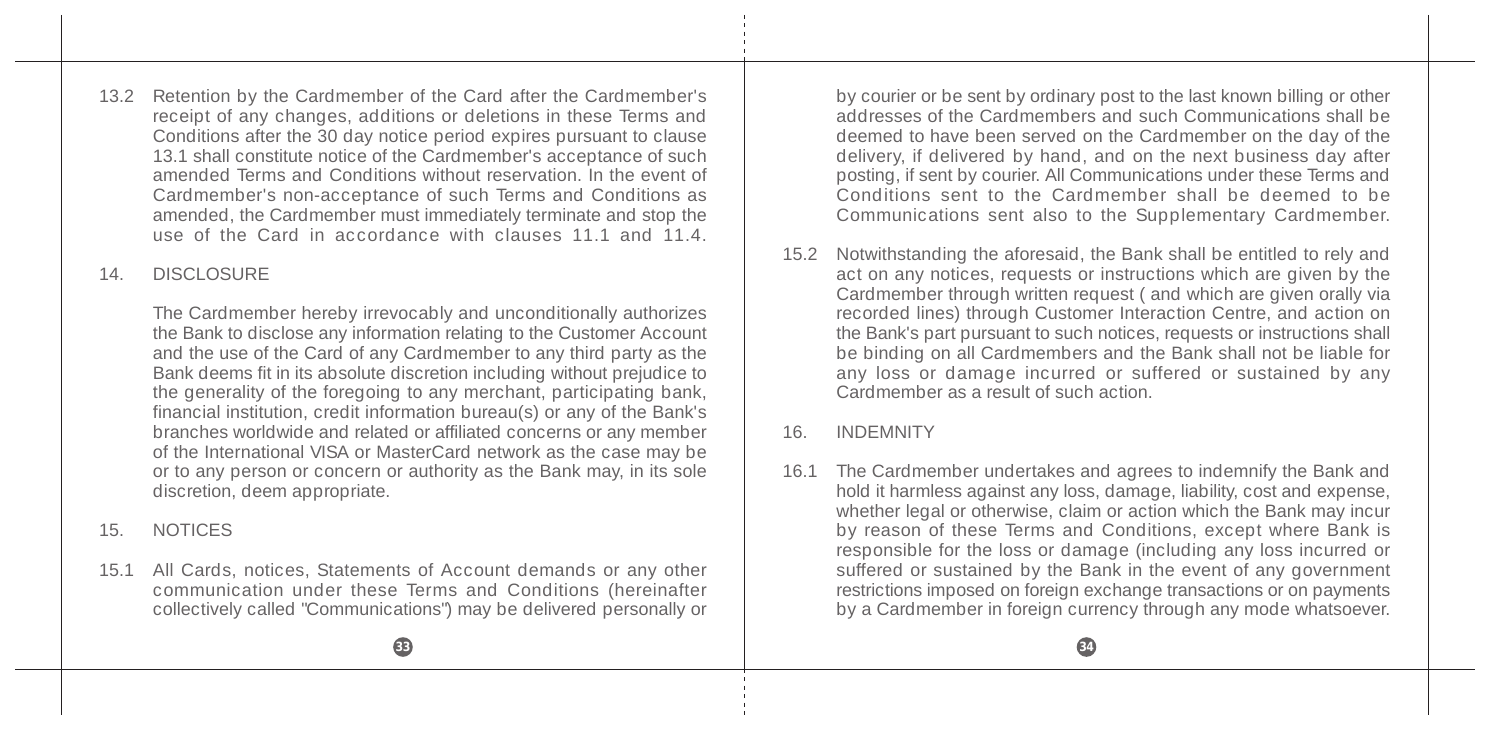13.2 Retention by the Cardmember of the Card after the Cardmember's receipt of any changes, additions or deletions in these Terms and Conditions after the 30 day notice period expires pursuant to clause 13.1 shall constitute notice of the Cardmember's acceptance of such amended Terms and Conditions without reservation. In the event of Cardmember's non-acceptance of such Terms and Conditions as amended, the Cardmember must immediately terminate and stop the use of the Card in accordance with clauses 11.1 and 11.4

# 14. DISCLOSURE

The Cardmember hereby irrevocably and unconditionally authorizes the Bank to disclose any information relating to the Customer Account and the use of the Card of any Cardmember to any third party as the Bank deems fit in its absolute discretion including without prejudice to the generality of the foregoing to any merchant, participating bank, financial institution, credit information bureau(s) or any of the Bank's branches worldwide and related or affiliated concerns or any member of the International VISA or MasterCard network as the case may be or to any person or concern or authority as the Bank may, in its sole discretion, deem appropriate.

15. NOTICES

15.1 All Cards, notices, Statements of Account demands or any other communication under these Terms and Conditions (hereinafter collectively called "Communications") may be delivered personally or by courier or be sent by ordinary post to the last known billing or other addresses of the Cardmembers and such Communications shall be deemed to have been served on the Cardmember on the day of the delivery, if delivered by hand, and on the next business day after posting, if sent by courier. All Communications under these Terms and Conditions sent to the Cardmember shall be deemed to be Communications sent also to the Supplementary Cardmember.

15.2 Notwithstanding the aforesaid, the Bank shall be entitled to rely and act on any notices, requests or instructions which are given by the Cardmember through written request ( and which are given orally via recorded lines) through Customer Interaction Centre, and action on the Bank's part pursuant to such notices, requests or instructions shall be binding on all Cardmembers and the Bank shall not be liable for any loss or damage incurred or suffered or sustained by any Cardmember as a result of such action.

### 16. INDEMNITY

16.1 The Cardmember undertakes and agrees to indemnify the Bank and hold it harmless against any loss, damage, liability, cost and expense, whether legal or otherwise, claim or action which the Bank may incur by reason of these Terms and Conditions, except where Bank is responsible for the loss or damage (including any loss incurred or suffered or sustained by the Bank in the event of any government restrictions imposed on foreign exchange transactions or on payments by a Cardmember in foreign currency through any mode whatsoever.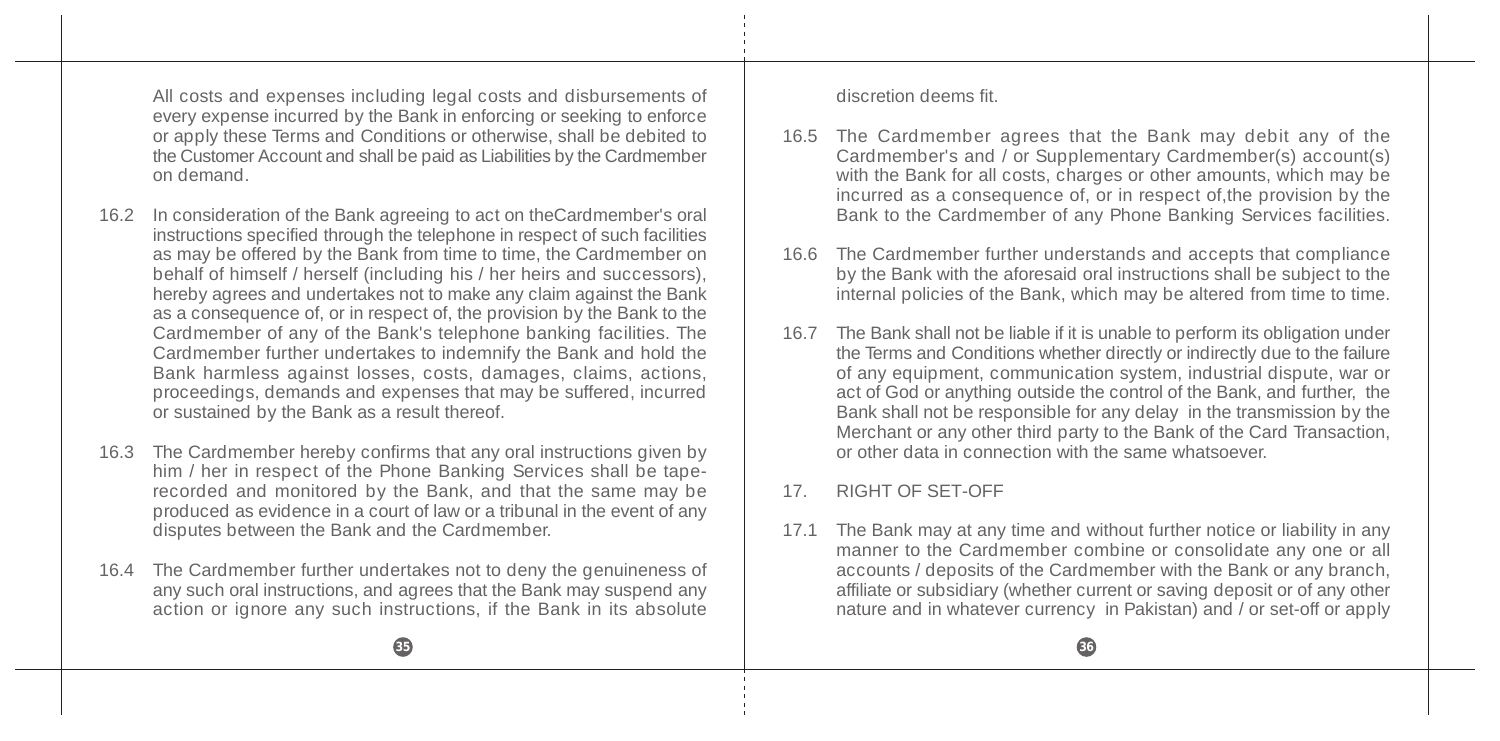All costs and expenses including legal costs and disbursements of every expense incurred by the Bank in enforcing or seeking to enforce or apply these Terms and Conditions or otherwise, shall be debited to the Customer Account and shall be paid as Liabilities by the Cardmember on demand.

- 16.2 In consideration of the Bank agreeing to act on theCardmember's oral instructions specified through the telephone in respect of such facilities as may be offered by the Bank from time to time, the Cardmember on behalf of himself / herself (including his / her heirs and successors), hereby agrees and undertakes not to make any claim against the Bank as a consequence of, or in respect of, the provision by the Bank to the Cardmember of any of the Bank's telephone banking facilities. The Cardmember further undertakes to indemnify the Bank and hold the Bank harmless against losses, costs, damages, claims, actions, proceedings, demands and expenses that may be suffered, incurred or sustained by the Bank as a result thereof.
- 16.3 The Cardmember hereby confirms that any oral instructions given by him / her in respect of the Phone Banking Services shall be taperecorded and monitored by the Bank, and that the same may be produced as evidence in a court of law or a tribunal in the event of any disputes between the Bank and the Cardmember.
- 16.4 The Cardmember further undertakes not to deny the genuineness of any such oral instructions, and agrees that the Bank may suspend any action or ignore any such instructions, if the Bank in its absolute

discretion deems fit.

- 16.5 The Cardmember agrees that the Bank may debit any of the Cardmember's and / or Supplementary Cardmember(s) account(s) with the Bank for all costs, charges or other amounts, which may be incurred as a consequence of, or in respect of,the provision by the Bank to the Cardmember of any Phone Banking Services facilities.
- 16.6 The Cardmember further understands and accepts that compliance by the Bank with the aforesaid oral instructions shall be subject to the internal policies of the Bank, which may be altered from time to time.
- 16.7 The Bank shall not be liable if it is unable to perform its obligation under the Terms and Conditions whether directly or indirectly due to the failure of any equipment, communication system, industrial dispute, war or act of God or anything outside the control of the Bank, and further, the Bank shall not be responsible for any delay in the transmission by the Merchant or any other third party to the Bank of the Card Transaction, or other data in connection with the same whatsoever.

### 17. RIGHT OF SET-OFF

17.1 The Bank may at any time and without further notice or liability in any manner to the Cardmember combine or consolidate any one or all accounts / deposits of the Cardmember with the Bank or any branch. affiliate or subsidiary (whether current or saving deposit or of any other nature and in whatever currency in Pakistan) and / or set-off or apply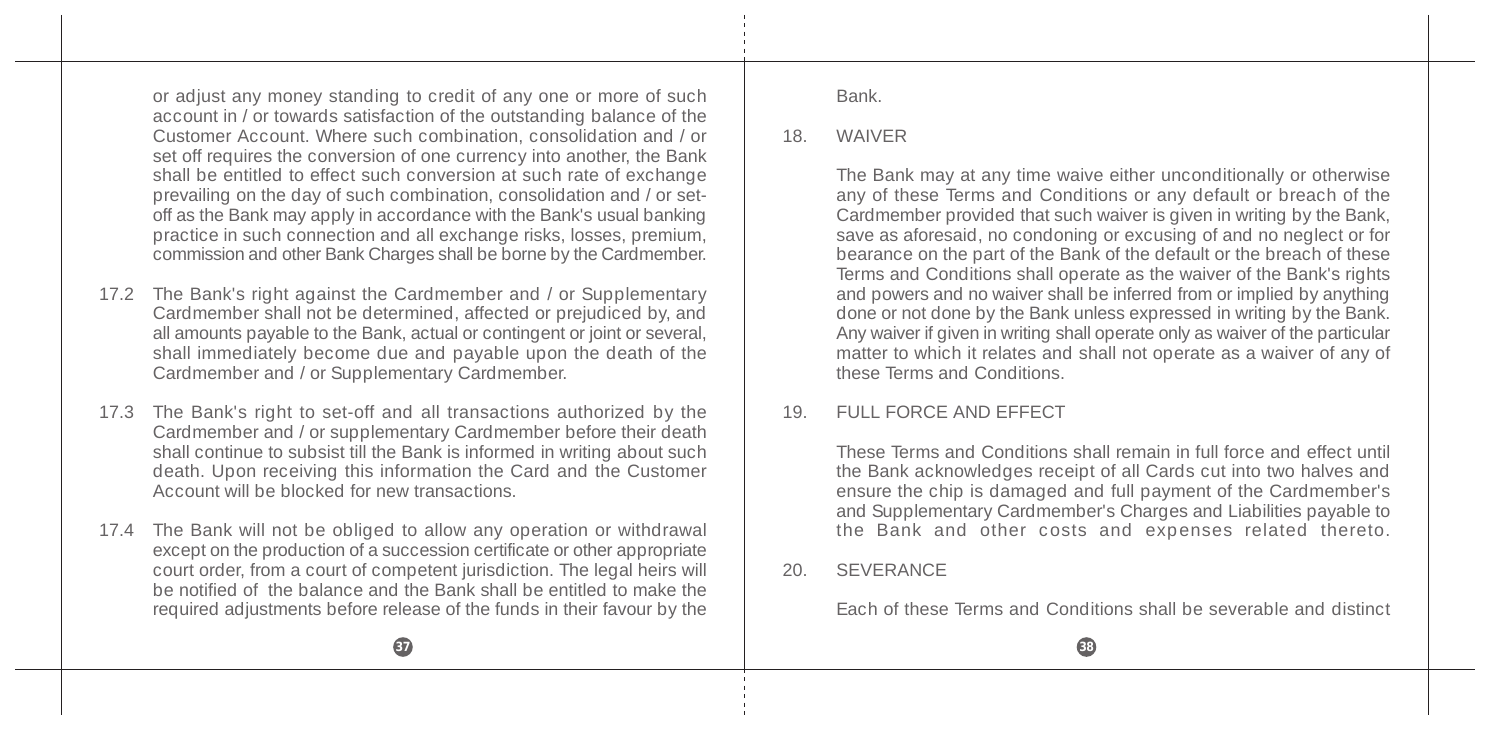or adjust any money standing to credit of any one or more of such account in / or towards satisfaction of the outstanding balance of the Customer Account. Where such combination, consolidation and / or set off requires the conversion of one currency into another, the Bank shall be entitled to effect such conversion at such rate of exchange prevailing on the day of such combination, consolidation and / or setoff as the Bank may apply in accordance with the Bank's usual banking practice in such connection and all exchange risks, losses, premium, commission and other Bank Charges shall be borne by the Cardmember.

- 17.2 The Bank's right against the Cardmember and / or Supplementary Cardmember shall not be determined, affected or prejudiced by, and all amounts payable to the Bank, actual or contingent or joint or several, shall immediately become due and payable upon the death of the Cardmember and / or Supplementary Cardmember.
- 17.3 The Bank's right to set-off and all transactions authorized by the Cardmember and / or supplementary Cardmember before their death shall continue to subsist till the Bank is informed in writing about such death. Upon receiving this information the Card and the Customer Account will be blocked for new transactions.
- 17.4 The Bank will not be obliged to allow any operation or withdrawal except on the production of a succession certificate or other appropriate court order, from a court of competent jurisdiction. The legal heirs will be notified of the balance and the Bank shall be entitled to make the required adjustments before release of the funds in their favour by the

Bank.

#### 18. WAIVER

The Bank may at any time waive either unconditionally or otherwise any of these Terms and Conditions or any default or breach of the Cardmember provided that such waiver is given in writing by the Bank, save as aforesaid, no condoning or excusing of and no neglect or for bearance on the part of the Bank of the default or the breach of these Terms and Conditions shall operate as the waiver of the Bank's rights and powers and no waiver shall be inferred from or implied by anything done or not done by the Bank unless expressed in writing by the Bank. Any waiver if given in writing shall operate only as waiver of the particular matter to which it relates and shall not operate as a waiver of any of these Terms and Conditions.

### 19. FULL FORCE AND EFFECT

These Terms and Conditions shall remain in full force and effect until the Bank acknowledges receipt of all Cards cut into two halves and ensure the chip is damaged and full payment of the Cardmember's and Supplementary Cardmember's Charges and Liabilities payable to the Bank and other costs and expenses related thereto.

#### 20. SEVERANCE

Each of these Terms and Conditions shall be severable and distinct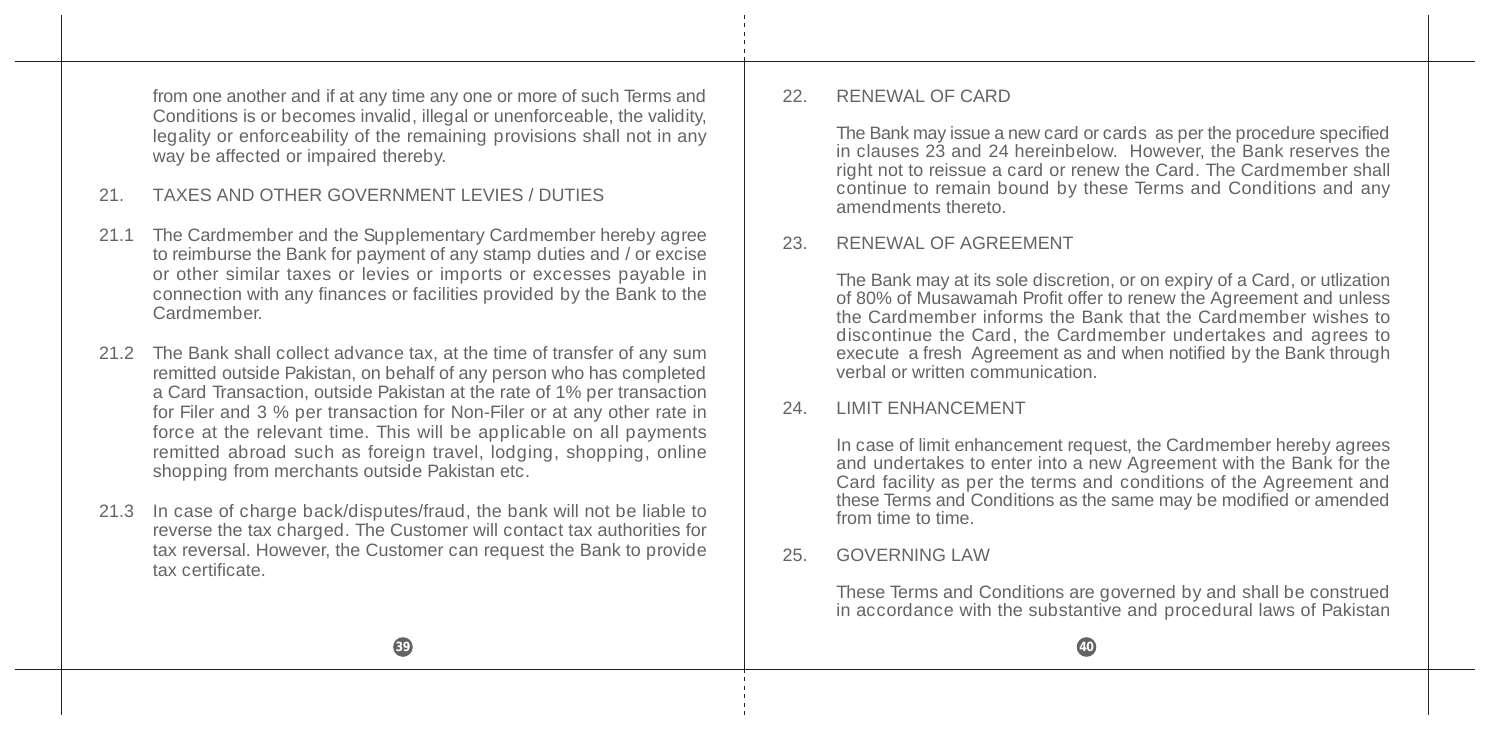from one another and if at any time any one or more of such Terms and Conditions is or becomes invalid, illegal or unenforceable, the validity, legality or enforceability of the remaining provisions shall not in any way be affected or impaired thereby.

# 21. TAXES AND OTHER GOVERNMENT LEVIES / DUTIES

- 21.1 The Cardmember and the Supplementary Cardmember hereby agree to reimburse the Bank for payment of any stamp duties and / or excise or other similar taxes or levies or imports or excesses payable in connection with any finances or facilities provided by the Bank to the Cardmember.
- 21.2 The Bank shall collect advance tax, at the time of transfer of any sum remitted outside Pakistan, on behalf of any person who has completed a Card Transaction, outside Pakistan at the rate of 1% per transaction for Filer and 3 % per transaction for Non-Filer or at any other rate in force at the relevant time. This will be applicable on all payments remitted abroad such as foreign travel, lodging, shopping, online shopping from merchants outside Pakistan etc.
- 21.3 In case of charge back/disputes/fraud, the bank will not be liable to reverse the tax charged. The Customer will contact tax authorities for tax reversal. However, the Customer can request the Bank to provide tax certificate.

#### 22. RENEWAL OF CARD

The Bank may issue a new card or cards as per the procedure specified in clauses 23 and 24 hereinbelow. However, the Bank reserves the right not to reissue a card or renew the Card. The Cardmember shall continue to remain bound by these Terms and Conditions and any amendments thereto.

#### 23. RENEWAL OF AGREEMENT

The Bank may at its sole discretion, or on expiry of a Card, or utlization of 80% of Musawamah Profit offer to renew the Agreement and unless the Cardmember informs the Bank that the Cardmember wishes to discontinue the Card, the Cardmember undertakes and agrees to execute a fresh Agreement as and when notified by the Bank through verbal or written communication.

### 24. LIMIT ENHANCEMENT

In case of limit enhancement request, the Cardmember hereby agrees and undertakes to enter into a new Agreement with the Bank for the Card facility as per the terms and conditions of the Agreement and these Terms and Conditions as the same may be modified or amended from time to time.

#### 25. GOVERNING LAW

These Terms and Conditions are governed by and shall be construed in accordance with the substantive and procedural laws of Pakistan

**39 40**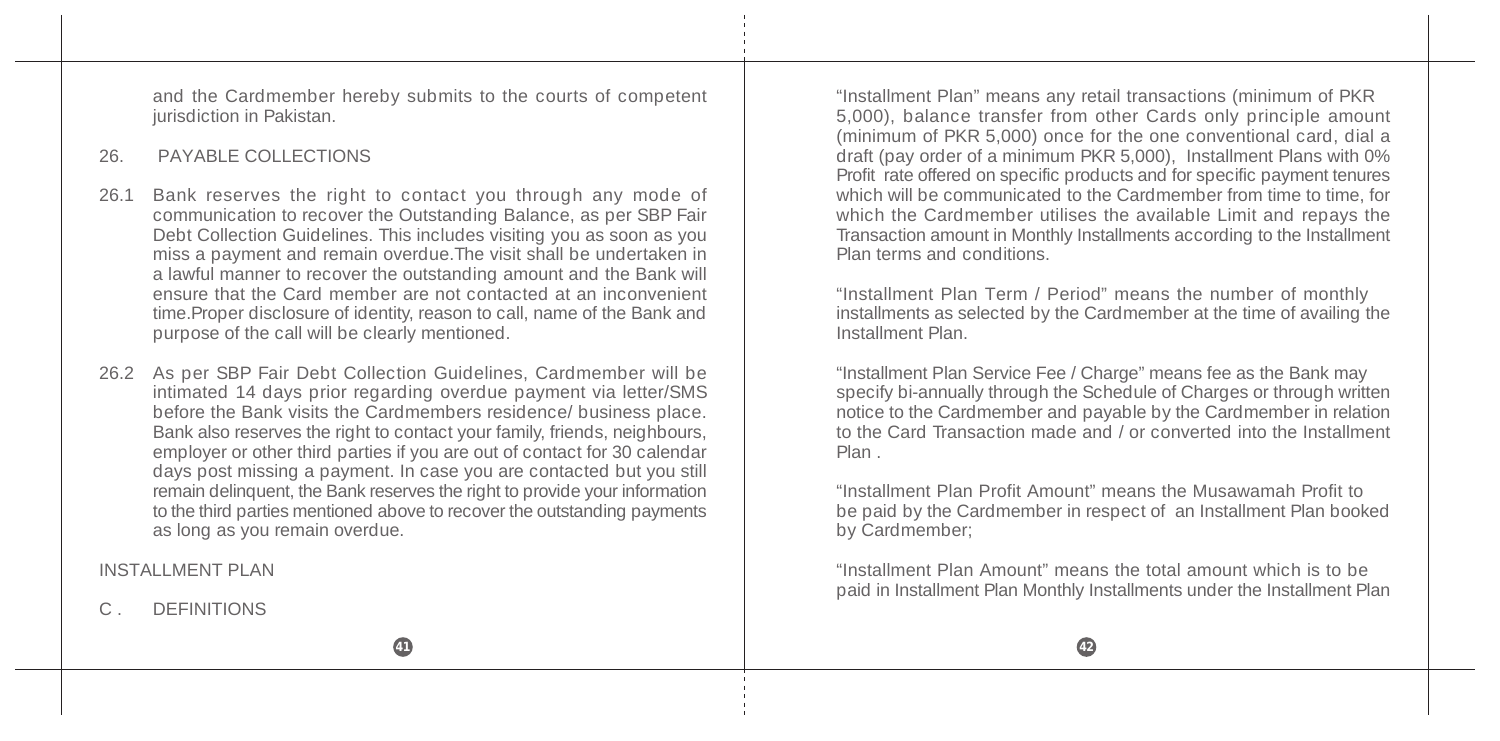and the Cardmember hereby submits to the courts of competent jurisdiction in Pakistan.

### 26. PAYABLE COLLECTIONS

- 26.1 Bank reserves the right to contact you through any mode of communication to recover the Outstanding Balance, as per SBP Fair Debt Collection Guidelines. This includes visiting you as soon as you miss a payment and remain overdue.The visit shall be undertaken in a lawful manner to recover the outstanding amount and the Bank will ensure that the Card member are not contacted at an inconvenient time.Proper disclosure of identity, reason to call, name of the Bank and purpose of the call will be clearly mentioned.
- 26.2 As per SBP Fair Debt Collection Guidelines, Cardmember will be intimated 14 days prior regarding overdue payment via letter/SMS before the Bank visits the Cardmembers residence/ business place. Bank also reserves the right to contact your family, friends, neighbours, employer or other third parties if you are out of contact for 30 calendar days post missing a payment. In case you are contacted but you still remain delinquent, the Bank reserves the right to provide your information to the third parties mentioned above to recover the outstanding payments as long as you remain overdue.

INSTALL MENT PLAN

**DEFINITIONS** 

"Installment Plan" means any retail transactions (minimum of PKR 5,000), balance transfer from other Cards only principle amount (minimum of PKR 5,000) once for the one conventional card, dial a draft (pay order of a minimum PKR 5,000), Installment Plans with 0% Profit rate offered on specific products and for specific payment tenures which will be communicated to the Cardmember from time to time, for which the Cardmember utilises the available Limit and repays the Transaction amount in Monthly Installments according to the Installment Plan terms and conditions.

"Installment Plan Term / Period" means the number of monthly installments as selected by the Cardmember at the time of availing the Installment Plan.

"Installment Plan Service Fee / Charge" means fee as the Bank may specify bi-annually through the Schedule of Charges or through written notice to the Cardmember and payable by the Cardmember in relation to the Card Transaction made and / or converted into the Installment Plan .

"Installment Plan Profit Amount" means the Musawamah Profit to be paid by the Cardmember in respect of an Installment Plan booked by Cardmember;

"Installment Plan Amount" means the total amount which is to be paid in Installment Plan Monthly Installments under the Installment Plan

**41 42**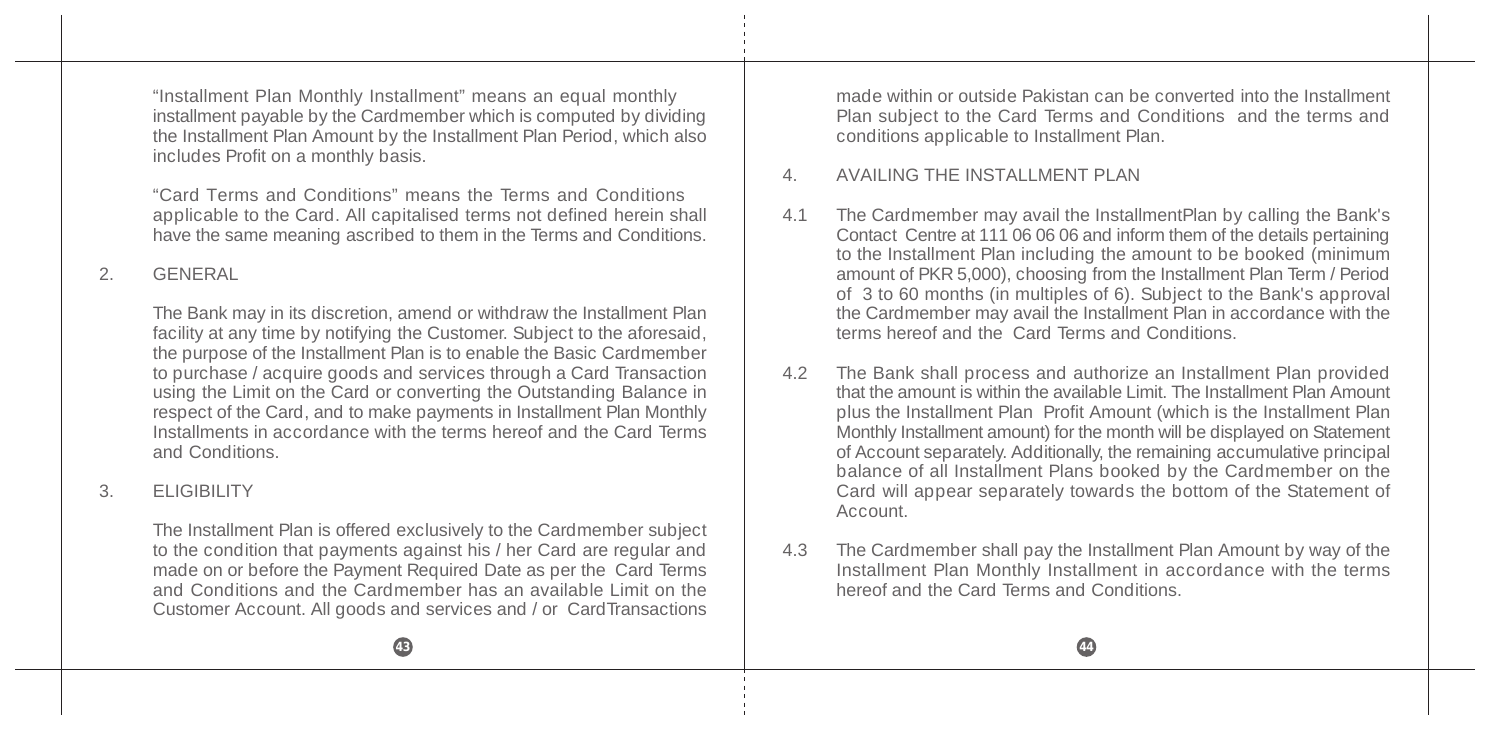"Installment Plan Monthly Installment" means an equal monthly installment payable by the Cardmember which is computed by dividing the Installment Plan Amount by the Installment Plan Period, which also includes Profit on a monthly basis.

"Card Terms and Conditions" means the Terms and Conditions applicable to the Card. All capitalised terms not defined herein shall have the same meaning ascribed to them in the Terms and Conditions.

# 2. GENERAL

The Bank may in its discretion, amend or withdraw the Installment Plan facility at any time by notifying the Customer. Subject to the aforesaid, the purpose of the Installment Plan is to enable the Basic Cardmember to purchase / acquire goods and services through a Card Transaction using the Limit on the Card or converting the Outstanding Balance in respect of the Card, and to make payments in Installment Plan Monthly Installments in accordance with the terms hereof and the Card Terms and Conditions.

### 3. ELIGIBILITY

The Installment Plan is offered exclusively to the Cardmember subject to the condition that payments against his / her Card are regular and made on or before the Payment Required Date as per the Card Terms and Conditions and the Cardmember has an available Limit on the Customer Account. All goods and services and / or CardTransactions

made within or outside Pakistan can be converted into the Installment Plan subject to the Card Terms and Conditions and the terms and conditions applicable to Installment Plan.

### 4 AVAILING THE INSTALL MENT PLAN

- 4.1 The Cardmember may avail the InstallmentPlan by calling the Bank's Contact Centre at 111 06 06 06 and inform them of the details pertaining to the Installment Plan including the amount to be booked (minimum amount of PKR 5,000), choosing from the Installment Plan Term / Period of 3 to 60 months (in multiples of 6). Subject to the Bank's approval the Cardmember may avail the Installment Plan in accordance with the terms hereof and the Card Terms and Conditions.
- 4.2 The Bank shall process and authorize an Installment Plan provided that the amount is within the available Limit. The Installment Plan Amount plus the Installment Plan Profit Amount (which is the Installment Plan Monthly Installment amount) for the month will be displayed on Statement of Account separately. Additionally, the remaining accumulative principal balance of all Installment Plans booked by the Cardmember on the Card will appear separately towards the bottom of the Statement of Account.
- 4.3 The Cardmember shall pay the Installment Plan Amount by way of the Installment Plan Monthly Installment in accordance with the terms hereof and the Card Terms and Conditions.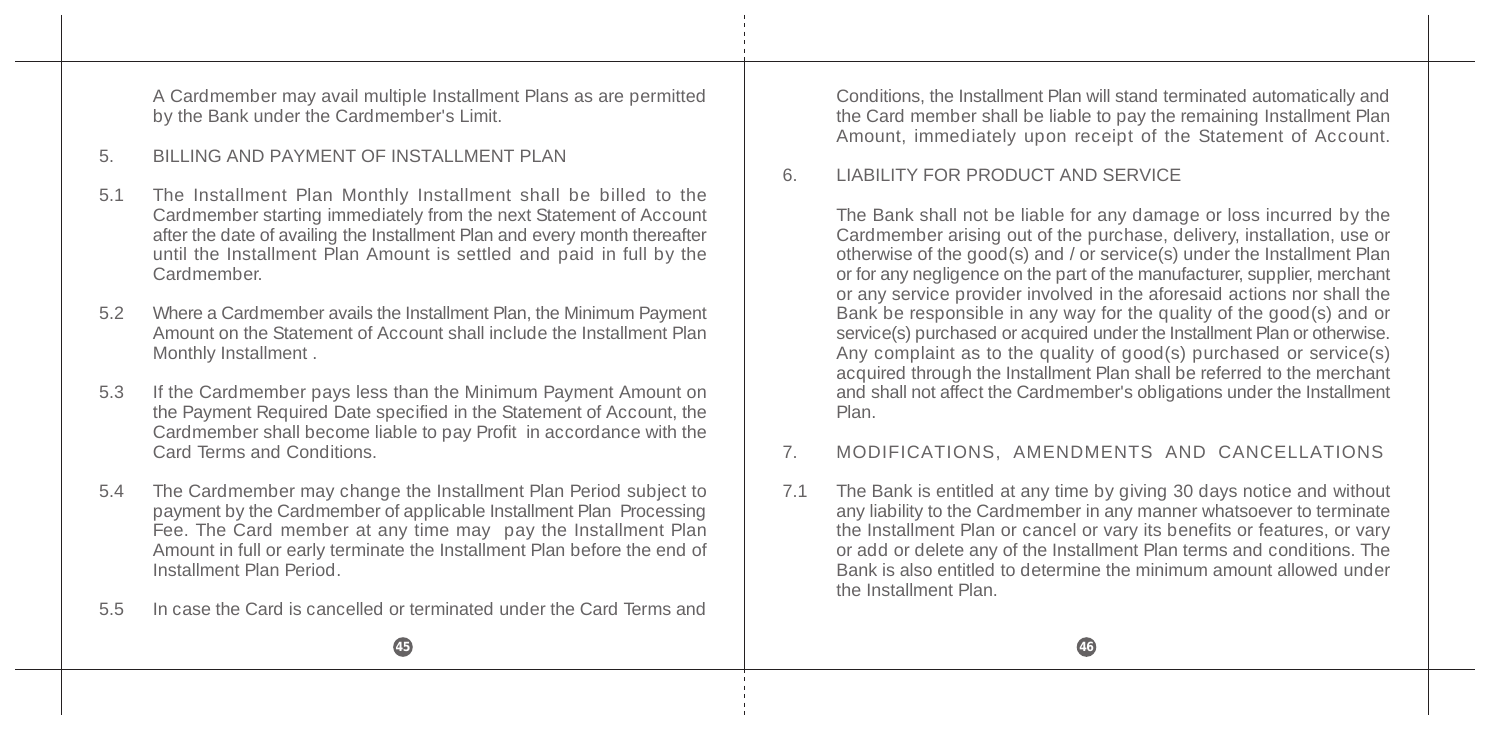A Cardmember may avail multiple Installment Plans as are permitted by the Bank under the Cardmember's Limit.

### 5. BILLING AND PAYMENT OF INSTALLMENT PLAN

- 5.1 The Installment Plan Monthly Installment shall be billed to the Cardmember starting immediately from the next Statement of Account after the date of availing the Installment Plan and every month thereafter until the Installment Plan Amount is settled and paid in full by the Cardmember.
- 5.2 Where a Cardmember avails the Installment Plan, the Minimum Payment Amount on the Statement of Account shall include the Installment Plan Monthly Installment .
- 5.3 If the Cardmember pays less than the Minimum Payment Amount on the Payment Required Date specified in the Statement of Account, the Cardmember shall become liable to pay Profit in accordance with the Card Terms and Conditions.
- 5.4 The Cardmember may change the Installment Plan Period subject to payment by the Cardmember of applicable Installment Plan Processing Fee. The Card member at any time may pay the Installment Plan Amount in full or early terminate the Installment Plan before the end of Installment Plan Period.
- 5.5 In case the Card is cancelled or terminated under the Card Terms and

Conditions, the Installment Plan will stand terminated automatically and the Card member shall be liable to pay the remaining Installment Plan Amount, immediately upon receipt of the Statement of Account.

### 6. LIABILITY FOR PRODUCT AND SERVICE

The Bank shall not be liable for any damage or loss incurred by the Cardmember arising out of the purchase, delivery, installation, use or otherwise of the good(s) and / or service(s) under the Installment Plan or for any negligence on the part of the manufacturer, supplier, merchant or any service provider involved in the aforesaid actions nor shall the Bank be responsible in any way for the quality of the good(s) and or service(s) purchased or acquired under the Installment Plan or otherwise. Any complaint as to the quality of good(s) purchased or service(s) acquired through the Installment Plan shall be referred to the merchant and shall not affect the Cardmember's obligations under the Installment Plan.

# 7. MODIFICATIONS, AMENDMENTS AND CANCELLATIONS

7.1 The Bank is entitled at any time by giving 30 days notice and without any liability to the Cardmember in any manner whatsoever to terminate the Installment Plan or cancel or vary its benefits or features, or vary or add or delete any of the Installment Plan terms and conditions. The Bank is also entitled to determine the minimum amount allowed under the Installment Plan.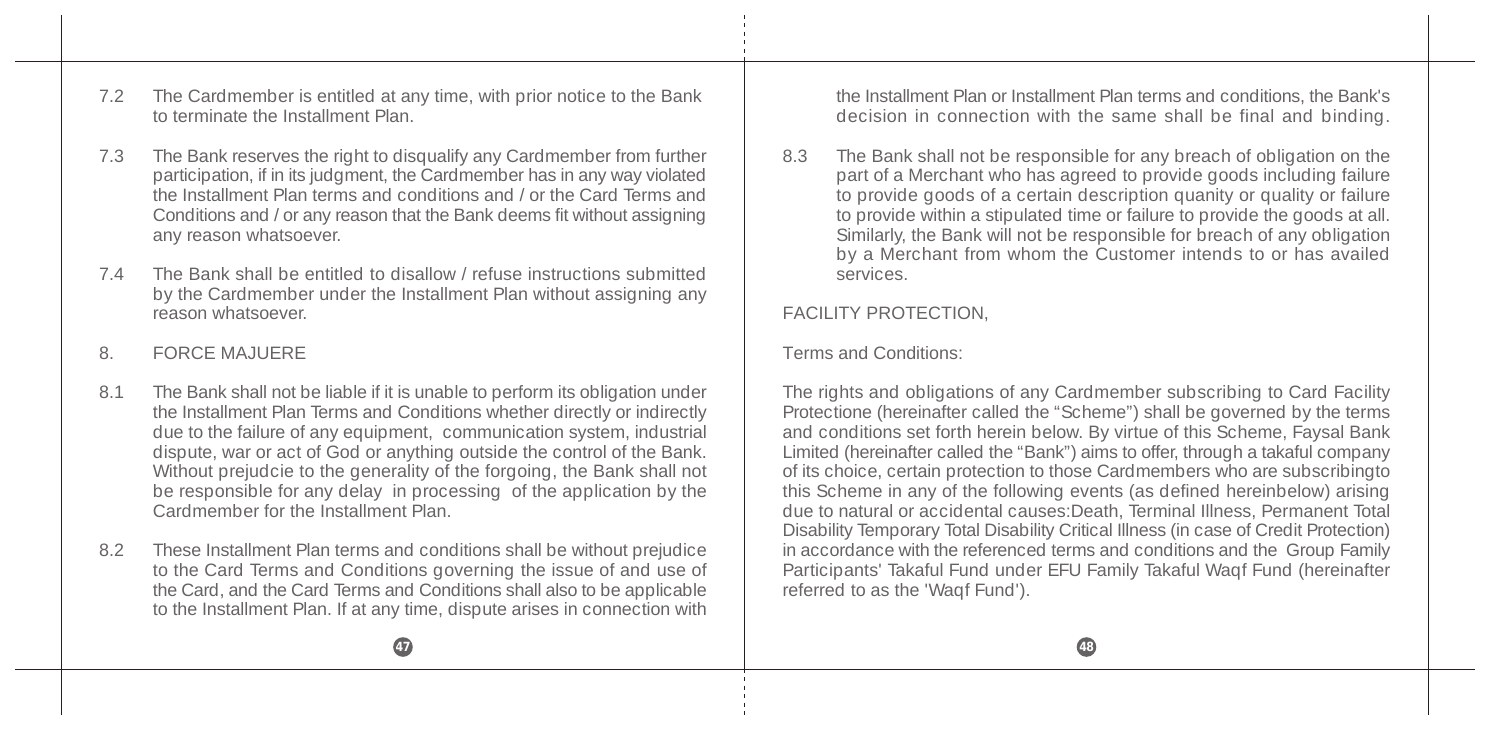7.2 The Cardmember is entitled at any time, with prior notice to the Bank to terminate the Installment Plan.

- 7.3 The Bank reserves the right to disqualify any Cardmember from further participation, if in its judgment, the Cardmember has in any way violated the Installment Plan terms and conditions and / or the Card Terms and Conditions and / or any reason that the Bank deems fit without assigning any reason whatsoever.
- 7.4 The Bank shall be entitled to disallow / refuse instructions submitted by the Cardmember under the Installment Plan without assigning any reason whatsoever.

### 8. FORCE MAJUERE

- 8.1 The Bank shall not be liable if it is unable to perform its obligation under the Installment Plan Terms and Conditions whether directly or indirectly due to the failure of any equipment, communication system, industrial dispute, war or act of God or anything outside the control of the Bank. Without prejudcie to the generality of the forgoing, the Bank shall not be responsible for any delay in processing of the application by the Cardmember for the Installment Plan.
- 8.2 These Installment Plan terms and conditions shall be without prejudice to the Card Terms and Conditions governing the issue of and use of the Card, and the Card Terms and Conditions shall also to be applicable to the Installment Plan. If at any time, dispute arises in connection with

the Installment Plan or Installment Plan terms and conditions, the Bank's decision in connection with the same shall be final and binding.

8.3 The Bank shall not be responsible for any breach of obligation on the part of a Merchant who has agreed to provide goods including failure to provide goods of a certain description quanity or quality or failure to provide within a stipulated time or failure to provide the goods at all. Similarly, the Bank will not be responsible for breach of any obligation by a Merchant from whom the Customer intends to or has availed services.

### FACILITY PROTECTION,

#### Terms and Conditions:

The rights and obligations of any Cardmember subscribing to Card Facility Protectione (hereinafter called the "Scheme") shall be governed by the terms and conditions set forth herein below. By virtue of this Scheme, Faysal Bank Limited (hereinafter called the "Bank") aims to offer, through a takaful company of its choice, certain protection to those Cardmembers who are subscribingto this Scheme in any of the following events (as defined hereinbelow) arising due to natural or accidental causes:Death, Terminal Illness, Permanent Total Disability Temporary Total Disability Critical Illness (in case of Credit Protection) in accordance with the referenced terms and conditions and the Group Family Participants' Takaful Fund under EFU Family Takaful Waqf Fund (hereinafter referred to as the 'Waqf Fund').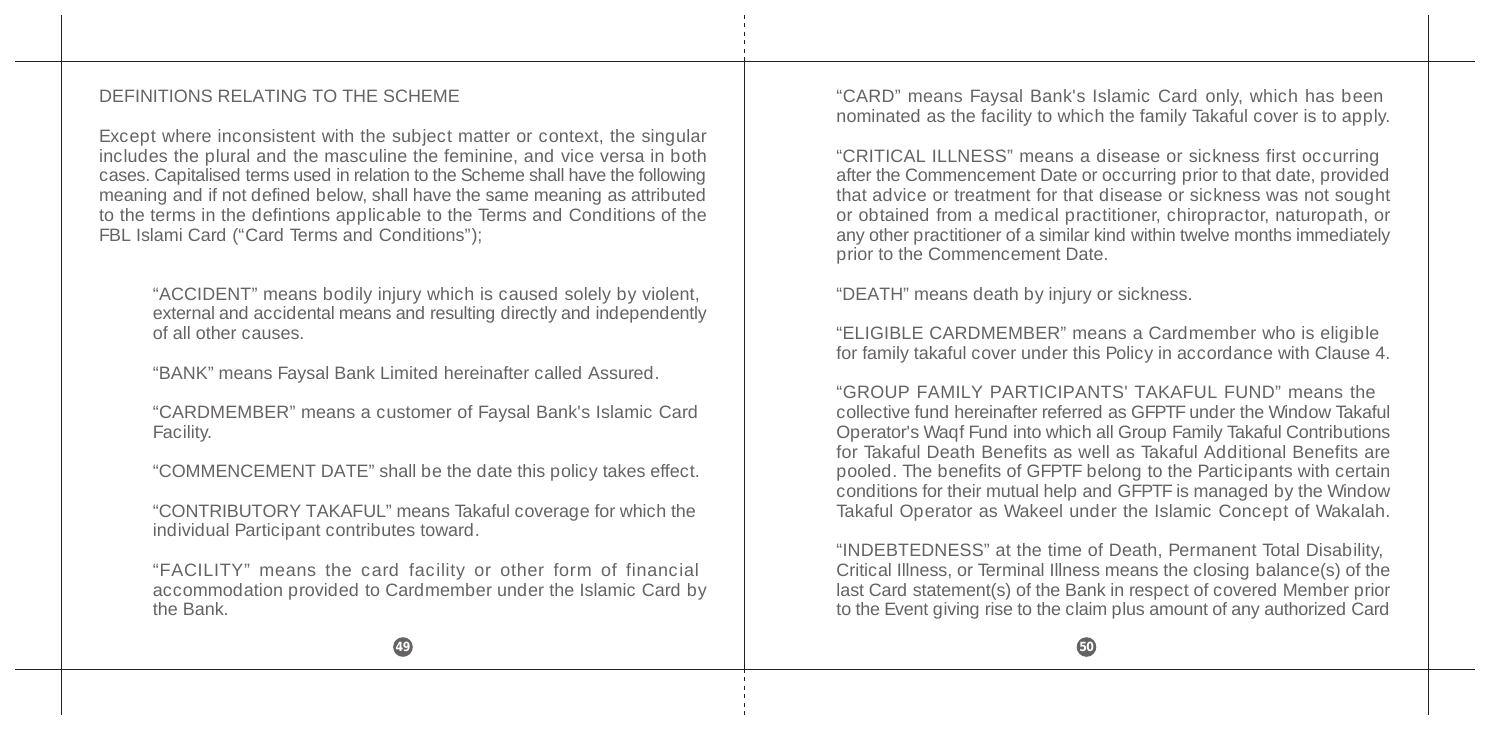#### DEFINITIONS RELATING TO THE SCHEME

Except where inconsistent with the subject matter or context, the singular includes the plural and the masculine the feminine, and vice versa in both cases. Capitalised terms used in relation to the Scheme shall have the following meaning and if not defined below, shall have the same meaning as attributed to the terms in the defintions applicable to the Terms and Conditions of the FBL Islami Card ("Card Terms and Conditions");

"ACCIDENT" means bodily injury which is caused solely by violent, external and accidental means and resulting directly and independently of all other causes.

"BANK" means Faysal Bank Limited hereinafter called Assured.

"CARDMEMBER" means a customer of Faysal Bank's Islamic Card Facility.

"COMMENCEMENT DATE" shall be the date this policy takes effect.

"CONTRIBUTORY TAKAFUL" means Takaful coverage for which the individual Participant contributes toward.

"FACILITY" means the card facility or other form of financial accommodation provided to Cardmember under the Islamic Card by the Bank.

"CARD" means Faysal Bank's Islamic Card only, which has been nominated as the facility to which the family Takaful cover is to apply.

"CRITICAL ILLNESS" means a disease or sickness first occurring after the Commencement Date or occurring prior to that date, provided that advice or treatment for that disease or sickness was not sought or obtained from a medical practitioner, chiropractor, naturopath, or any other practitioner of a similar kind within twelve months immediately prior to the Commencement Date.

"DEATH" means death by injury or sickness.

"ELIGIBLE CARDMEMBER" means a Cardmember who is eligible for family takaful cover under this Policy in accordance with Clause 4.

"GROUP FAMILY PARTICIPANTS' TAKAFUL FUND" means the collective fund hereinafter referred as GFPTF under the Window Takaful Operator's Waqf Fund into which all Group Family Takaful Contributions for Takaful Death Benefits as well as Takaful Additional Benefits are pooled. The benefits of GFPTF belong to the Participants with certain conditions for their mutual help and GFPTF is managed by the Window Takaful Operator as Wakeel under the Islamic Concept of Wakalah.

"INDEBTEDNESS" at the time of Death, Permanent Total Disability, Critical Illness, or Terminal Illness means the closing balance(s) of the last Card statement(s) of the Bank in respect of covered Member prior to the Event giving rise to the claim plus amount of any authorized Card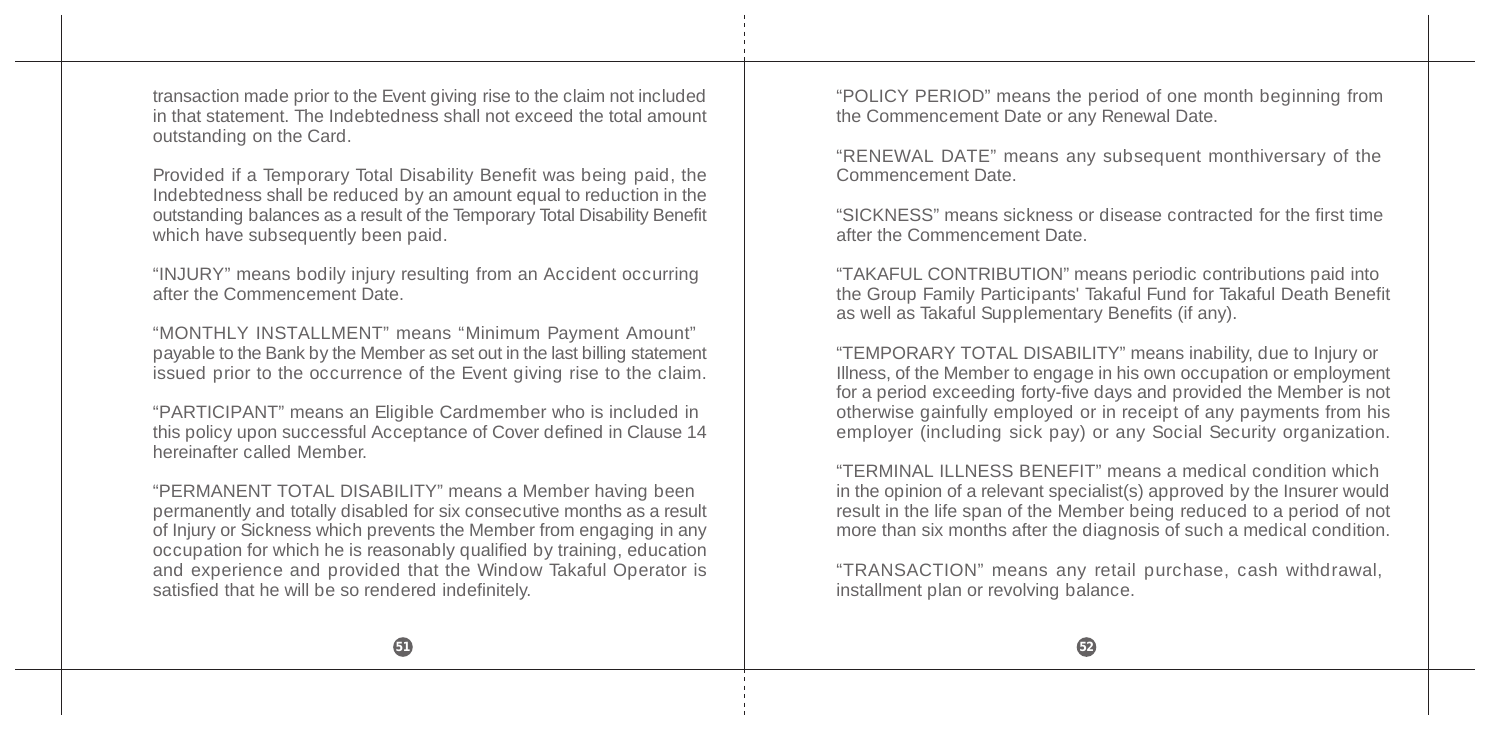transaction made prior to the Event giving rise to the claim not included in that statement. The Indebtedness shall not exceed the total amount outstanding on the Card.

Provided if a Temporary Total Disability Benefit was being paid, the Indebtedness shall be reduced by an amount equal to reduction in the outstanding balances as a result of the Temporary Total Disability Benefit which have subsequently been paid.

"INJURY" means bodily injury resulting from an Accident occurring after the Commencement Date.

"MONTHLY INSTALLMENT" means "Minimum Payment Amount" payable to the Bank by the Member as set out in the last billing statement issued prior to the occurrence of the Event giving rise to the claim.

"PARTICIPANT" means an Eligible Cardmember who is included in this policy upon successful Acceptance of Cover defined in Clause 14 hereinafter called Member

"PERMANENT TOTAL DISABILITY" means a Member having been permanently and totally disabled for six consecutive months as a result of Injury or Sickness which prevents the Member from engaging in any occupation for which he is reasonably qualified by training, education and experience and provided that the Window Takaful Operator is satisfied that he will be so rendered indefinitely.

"POLICY PERIOD" means the period of one month beginning from the Commencement Date or any Renewal Date.

"RENEWAL DATE" means any subsequent monthiversary of the Commencement Date.

"SICKNESS" means sickness or disease contracted for the first time after the Commencement Date.

"TAKAFUL CONTRIBUTION" means periodic contributions paid into the Group Family Participants' Takaful Fund for Takaful Death Benefit as well as Takaful Supplementary Benefits (if any).

"TEMPORARY TOTAL DISABILITY" means inability, due to Injury or Illness, of the Member to engage in his own occupation or employment for a period exceeding forty-five days and provided the Member is not otherwise gainfully employed or in receipt of any payments from his employer (including sick pay) or any Social Security organization.

"TERMINAL ILLNESS BENEFIT" means a medical condition which in the opinion of a relevant specialist(s) approved by the Insurer would result in the life span of the Member being reduced to a period of not more than six months after the diagnosis of such a medical condition.

"TRANSACTION" means any retail purchase, cash withdrawal, installment plan or revolving balance.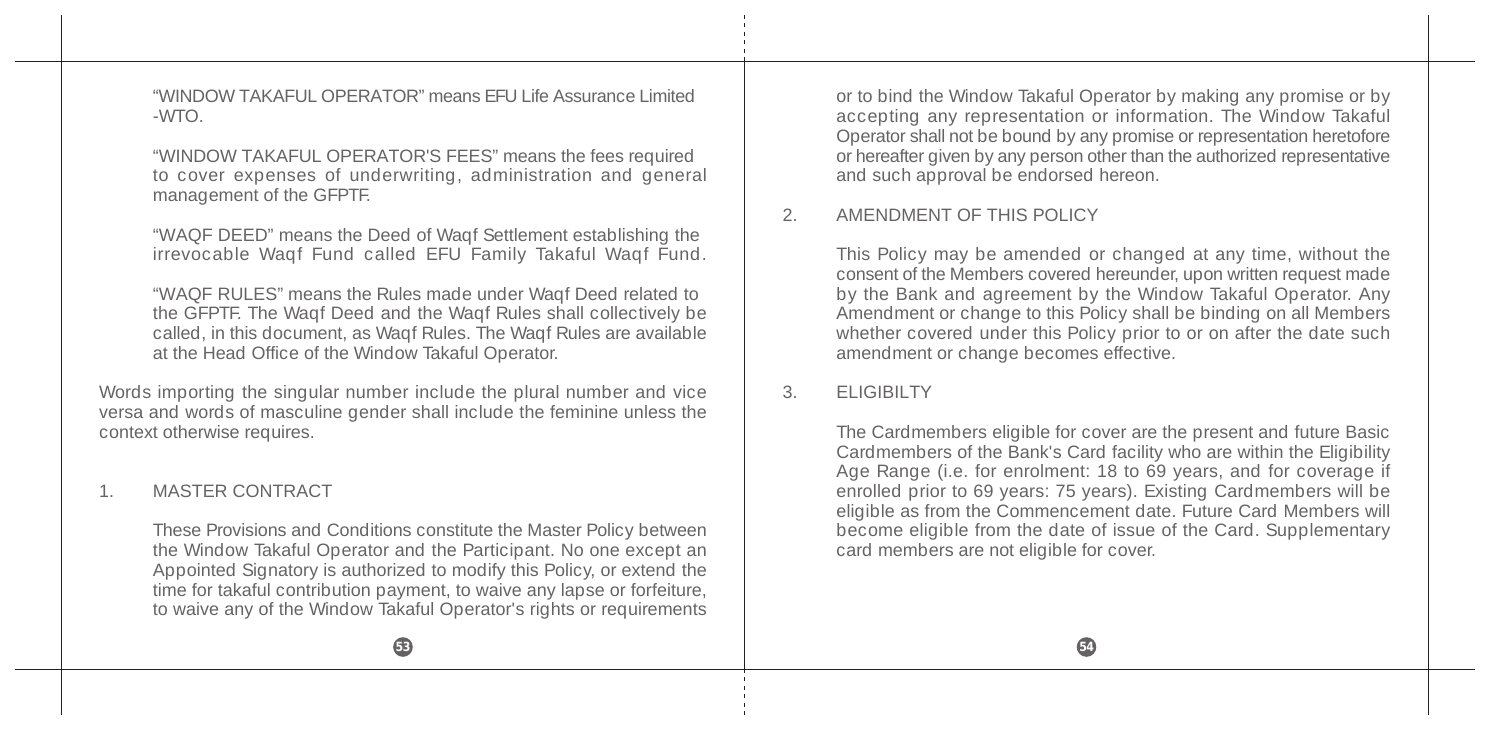"WINDOW TAKAFUL OPERATOR" means EFU Life Assurance Limited -WTO.

"WINDOW TAKAFUL OPERATOR'S FEES" means the fees required to cover expenses of underwriting, administration and general management of the GFPTF.

"WAQF DEED" means the Deed of Waqf Settlement establishing the irrevocable Waqf Fund called EFU Family Takaful Waqf Fund.

"WAQF RULES" means the Rules made under Waqf Deed related to the GFPTF. The Waqf Deed and the Waqf Rules shall collectively be called, in this document, as Waqf Rules. The Waqf Rules are available at the Head Office of the Window Takaful Operator.

Words importing the singular number include the plural number and vice versa and words of masculine gender shall include the feminine unless the context otherwise requires.

#### 1. MASTER CONTRACT

These Provisions and Conditions constitute the Master Policy between the Window Takaful Operator and the Participant. No one except an Appointed Signatory is authorized to modify this Policy, or extend the time for takaful contribution payment, to waive any lapse or forfeiture, to waive any of the Window Takaful Operator's rights or requirements

or to bind the Window Takaful Operator by making any promise or by accepting any representation or information. The Window Takaful Operator shall not be bound by any promise or representation heretofore or hereafter given by any person other than the authorized representative and such approval be endorsed hereon.

#### 2. AMENDMENT OF THIS POLICY

This Policy may be amended or changed at any time, without the consent of the Members covered hereunder, upon written request made by the Bank and agreement by the Window Takaful Operator. Any Amendment or change to this Policy shall be binding on all Members whether covered under this Policy prior to or on after the date such amendment or change becomes effective.

#### 3. ELIGIBILTY

The Cardmembers eligible for cover are the present and future Basic Cardmembers of the Bank's Card facility who are within the Eligibility Age Range (i.e. for enrolment: 18 to 69 years, and for coverage if enrolled prior to 69 years: 75 years). Existing Cardmembers will be eligible as from the Commencement date. Future Card Members will become eligible from the date of issue of the Card. Supplementary card members are not eligible for cover.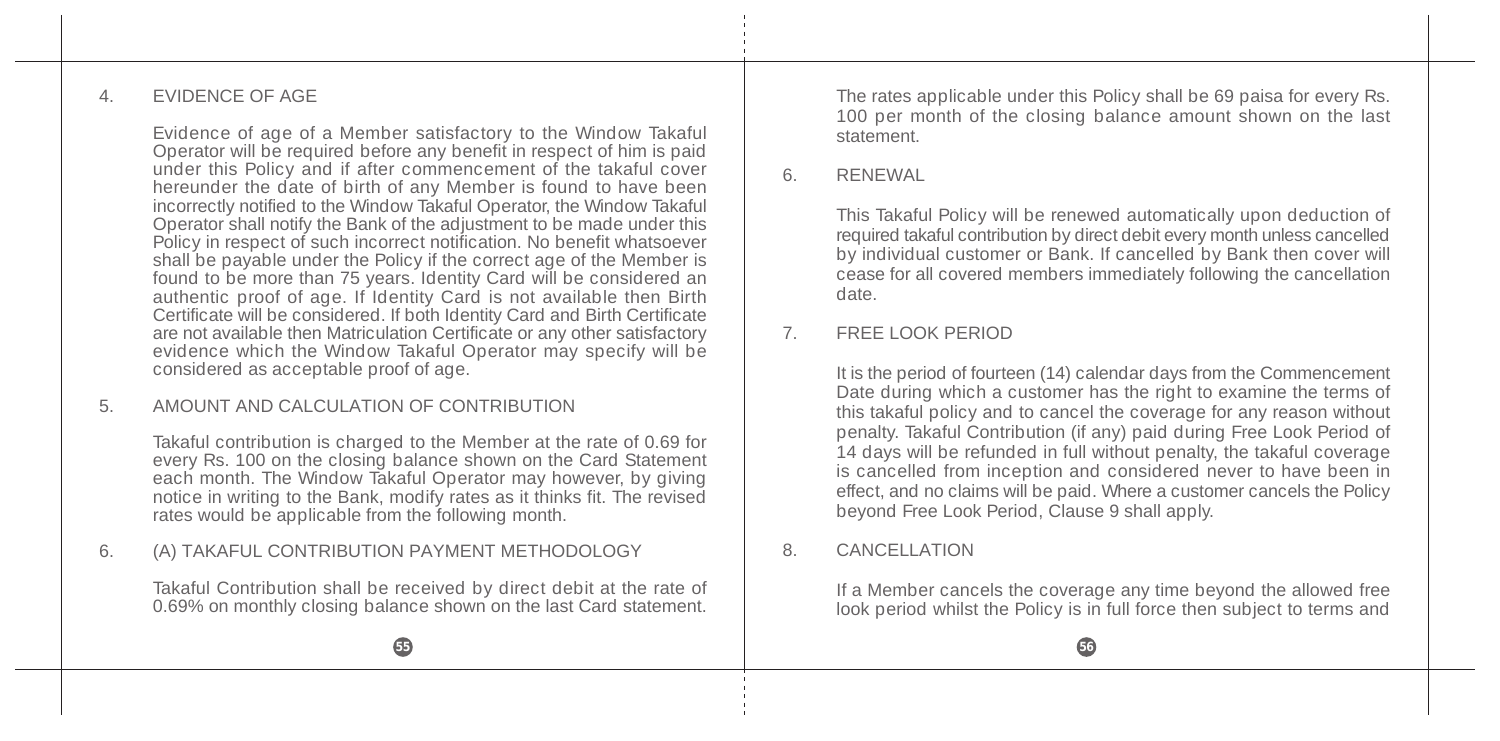### 4. EVIDENCE OF AGE

Evidence of age of a Member satisfactory to the Window Takaful Operator will be required before any benefit in respect of him is paid under this Policy and if after commencement of the takaful cover hereunder the date of birth of any Member is found to have been incorrectly notified to the Window Takaful Operator, the Window Takaful Operator shall notify the Bank of the adjustment to be made under this Policy in respect of such incorrect notification. No benefit whatsoever shall be payable under the Policy if the correct age of the Member is found to be more than 75 years. Identity Card will be considered an authentic proof of age. If Identity Card is not available then Birth Certificate will be considered. If both Identity Card and Birth Certificate are not available then Matriculation Certificate or any other satisfactory evidence which the Window Takaful Operator may specify will be considered as acceptable proof of age.

# 5. AMOUNT AND CALCULATION OF CONTRIBUTION

Takaful contribution is charged to the Member at the rate of 0.69 for every Rs. 100 on the closing balance shown on the Card Statement each month. The Window Takaful Operator may however, by giving notice in writing to the Bank, modify rates as it thinks fit. The revised rates would be applicable from the following month.

# 6. (A) TAKAFUL CONTRIBUTION PAYMENT METHODOLOGY

Takaful Contribution shall be received by direct debit at the rate of 0.69% on monthly closing balance shown on the last Card statement.

The rates applicable under this Policy shall be 69 paisa for every Rs. 100 per month of the closing balance amount shown on the last statement.

### 6. RENEWAL

This Takaful Policy will be renewed automatically upon deduction of required takaful contribution by direct debit every month unless cancelled by individual customer or Bank. If cancelled by Bank then cover will cease for all covered members immediately following the cancellation date.

### 7. FREE LOOK PERIOD

It is the period of fourteen (14) calendar days from the Commencement Date during which a customer has the right to examine the terms of this takaful policy and to cancel the coverage for any reason without penalty. Takaful Contribution (if any) paid during Free Look Period of 14 days will be refunded in full without penalty, the takaful coverage is cancelled from inception and considered never to have been in effect, and no claims will be paid. Where a customer cancels the Policy beyond Free Look Period, Clause 9 shall apply.

### 8. CANCELLATION

If a Member cancels the coverage any time beyond the allowed free look period whilst the Policy is in full force then subject to terms and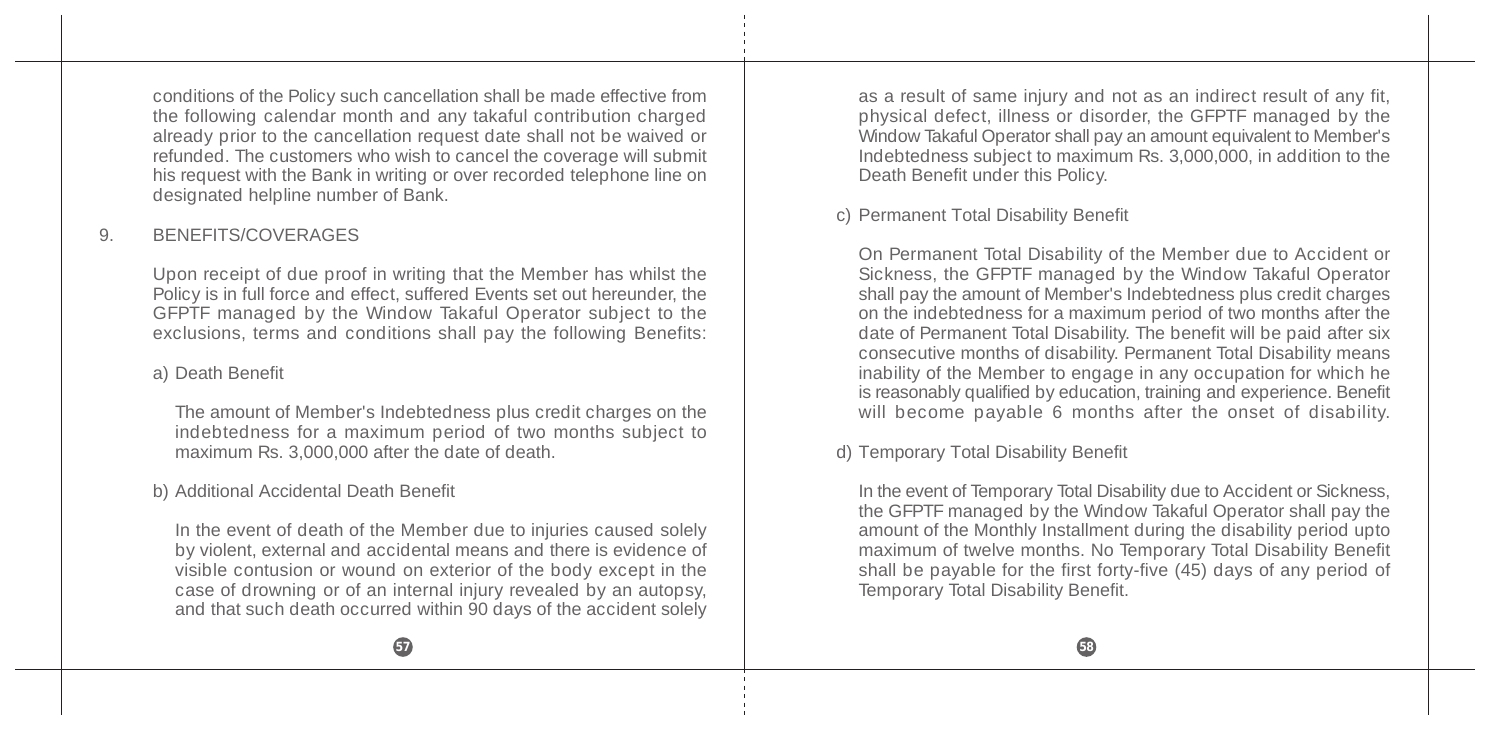conditions of the Policy such cancellation shall be made effective from the following calendar month and any takaful contribution charged already prior to the cancellation request date shall not be waived or refunded. The customers who wish to cancel the coverage will submit his request with the Bank in writing or over recorded telephone line on designated helpline number of Bank.

### 9. BENEFITS/COVERAGES

Upon receipt of due proof in writing that the Member has whilst the Policy is in full force and effect, suffered Events set out hereunder, the GFPTF managed by the Window Takaful Operator subject to the exclusions, terms and conditions shall pay the following Benefits:

### a) Death Benefit

The amount of Member's Indebtedness plus credit charges on the indebtedness for a maximum period of two months subject to maximum Rs. 3,000,000 after the date of death.

#### b) Additional Accidental Death Benefit

In the event of death of the Member due to injuries caused solely by violent, external and accidental means and there is evidence of visible contusion or wound on exterior of the body except in the case of drowning or of an internal injury revealed by an autopsy, and that such death occurred within 90 days of the accident solely as a result of same injury and not as an indirect result of any fit, physical defect, illness or disorder, the GFPTF managed by the Window Takaful Operator shall pay an amount equivalent to Member's Indebtedness subject to maximum Rs. 3,000,000, in addition to the Death Benefit under this Policy.

#### c) Permanent Total Disability Benefit

On Permanent Total Disability of the Member due to Accident or Sickness, the GFPTF managed by the Window Takaful Operator shall pay the amount of Member's Indebtedness plus credit charges on the indebtedness for a maximum period of two months after the date of Permanent Total Disability. The benefit will be paid after six consecutive months of disability. Permanent Total Disability means inability of the Member to engage in any occupation for which he is reasonably qualified by education, training and experience. Benefit will become payable 6 months after the onset of disability.

#### d) Temporary Total Disability Benefit

In the event of Temporary Total Disability due to Accident or Sickness, the GFPTF managed by the Window Takaful Operator shall pay the amount of the Monthly Installment during the disability period upto maximum of twelve months. No Temporary Total Disability Benefit shall be payable for the first forty-five  $(45)$  days of any period of Temporary Total Disability Benefit.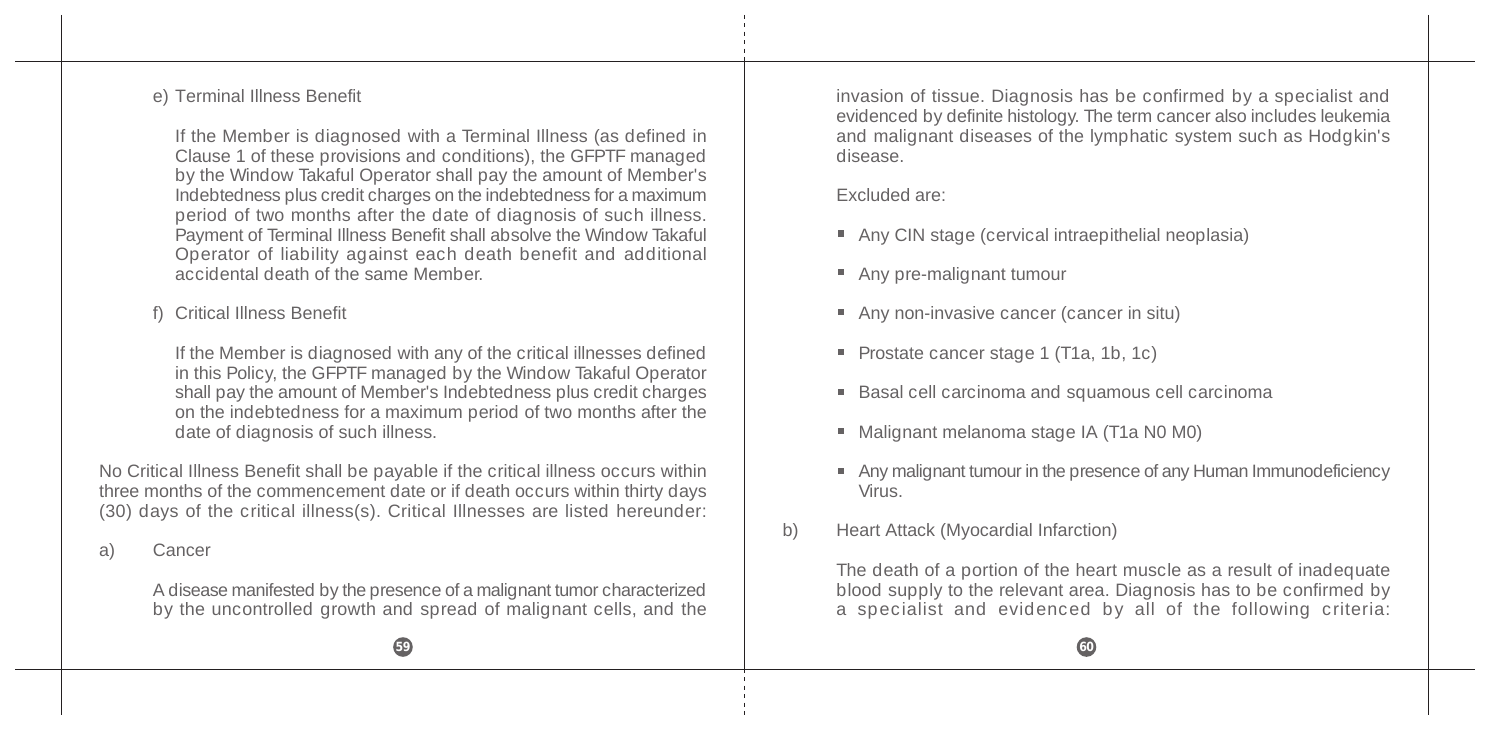#### e) Terminal Illness Benefit

If the Member is diagnosed with a Terminal Illness (as defined in Clause 1 of these provisions and conditions), the GFPTF managed by the Window Takaful Operator shall pay the amount of Member's Indebtedness plus credit charges on the indebtedness for a maximum period of two months after the date of diagnosis of such illness. Payment of Terminal Illness Benefit shall absolve the Window Takaful Operator of liability against each death benefit and additional accidental death of the same Member.

f) Critical Illness Benefit

If the Member is diagnosed with any of the critical illnesses defined in this Policy, the GFPTF managed by the Window Takaful Operator shall pay the amount of Member's Indebtedness plus credit charges on the indebtedness for a maximum period of two months after the date of diagnosis of such illness.

No Critical Illness Benefit shall be payable if the critical illness occurs within three months of the commencement date or if death occurs within thirty days (30) days of the critical illness(s). Critical Illnesses are listed hereunder:

a) Cancer

A disease manifested by the presence of a malignant tumor characterized by the uncontrolled growth and spread of malignant cells, and the invasion of tissue. Diagnosis has be confirmed by a specialist and evidenced by definite histology. The term cancer also includes leukemia and malignant diseases of the lymphatic system such as Hodgkin's disease.

Excluded are:

- Any CIN stage (cervical intraepithelial neoplasia)
- Any pre-malignant tumour
- Any non-invasive cancer (cancer in situ)
- Prostate cancer stage 1 (T1a, 1b, 1c)
- Basal cell carcinoma and squamous cell carcinoma
- Malignant melanoma stage IA (T1a N0 M0)
- Any malignant tumour in the presence of any Human Immunodeficiency Virus.
- b) Heart Attack (Myocardial Infarction)

The death of a portion of the heart muscle as a result of inadequate blood supply to the relevant area. Diagnosis has to be confirmed by a specialist and evidenced by all of the following criteria:

**59 60**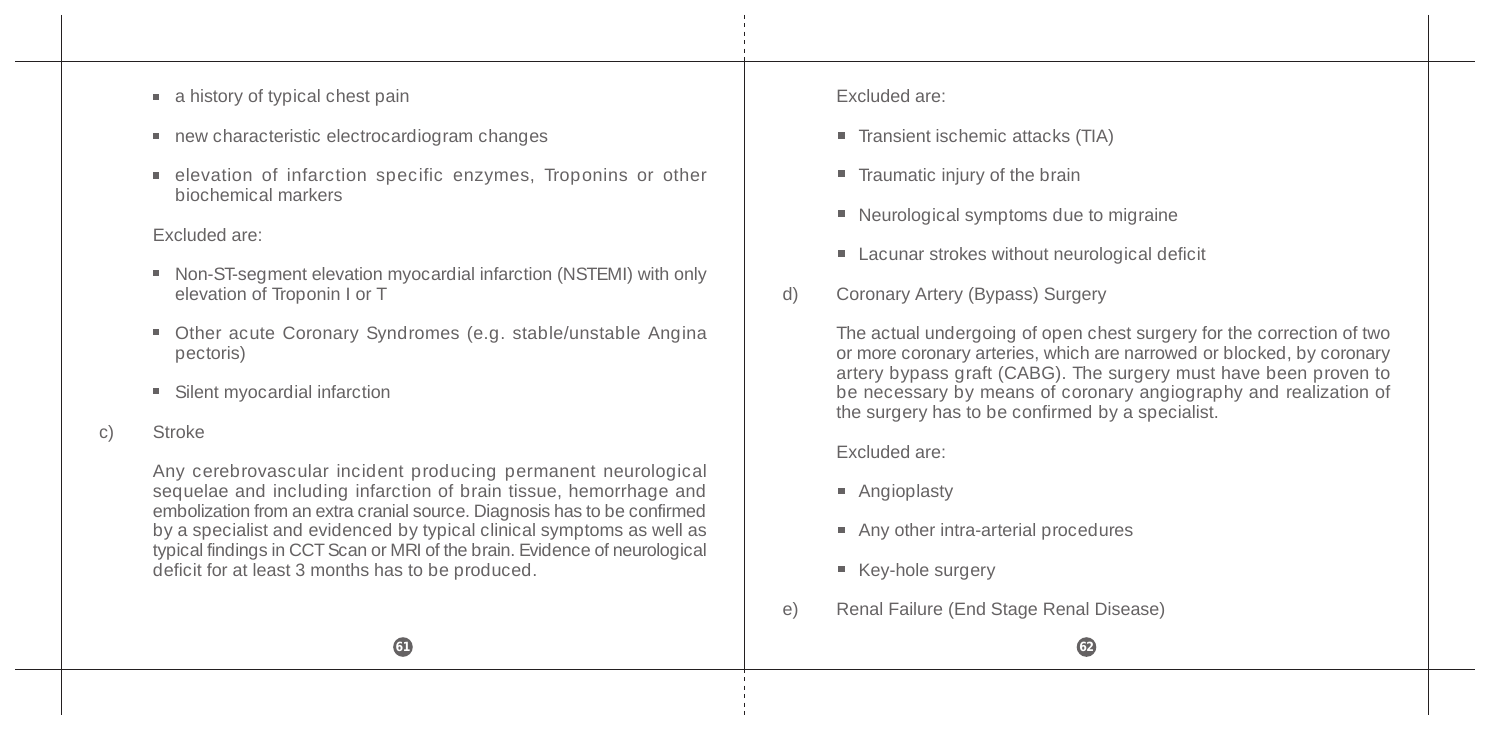- a history of typical chest pain
- new characteristic electrocardiogram changes
- elevation of infarction specific enzymes, Troponins or other biochemical markers

#### Excluded are:

- Non-ST-segment elevation myocardial infarction (NSTEMI) with only elevation of Troponin I or T
- Other acute Coronary Syndromes (e.g. stable/unstable Angina pectoris)
- Silent myocardial infarction
- c) Stroke

Any cerebrovascular incident producing permanent neurological sequelae and including infarction of brain tissue, hemorrhage and embolization from an extra cranial source. Diagnosis has to be confirmed by a specialist and evidenced by typical clinical symptoms as well as typical findings in CCT Scan or MRI of the brain. Evidence of neurological deficit for at least 3 months has to be produced.

Excluded are:

- Transient ischemic attacks (TIA)
- Traumatic injury of the brain
- Neurological symptoms due to migraine
- Lacunar strokes without neurological deficit
- d) Coronary Artery (Bypass) Surgery

The actual undergoing of open chest surgery for the correction of two or more coronary arteries, which are narrowed or blocked, by coronary artery bypass graft (CABG). The surgery must have been proven to be necessary by means of coronary angiography and realization of the surgery has to be confirmed by a specialist.

Excluded are:

**Angioplasty** 

**61 62**

- Any other intra-arterial procedures
- Key-hole surgery
- e) Renal Failure (End Stage Renal Disease)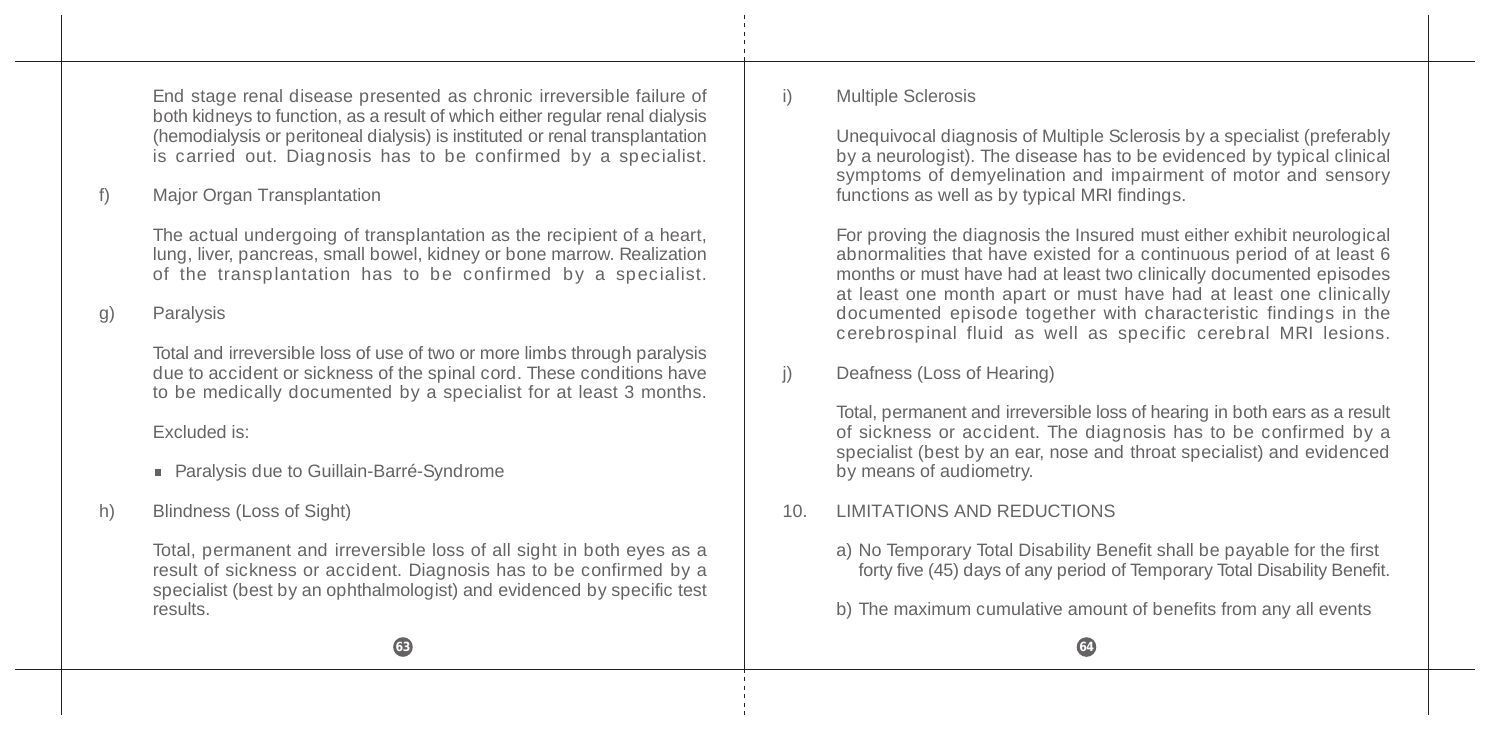End stage renal disease presented as chronic irreversible failure of both kidneys to function, as a result of which either regular renal dialysis (hemodialysis or peritoneal dialysis) is instituted or renal transplantation is carried out. Diagnosis has to be confirmed by a specialist.

# f) Major Organ Transplantation

The actual undergoing of transplantation as the recipient of a heart, lung, liver, pancreas, small bowel, kidney or bone marrow. Realization of the transplantation has to be confirmed by a specialist.

### g) Paralysis

Total and irreversible loss of use of two or more limbs through paralysis due to accident or sickness of the spinal cord. These conditions have to be medically documented by a specialist for at least 3 months.

#### Excluded is:

- Paralysis due to Guillain-Barré-Syndrome
- h) Blindness (Loss of Sight)

Total, permanent and irreversible loss of all sight in both eyes as a result of sickness or accident. Diagnosis has to be confirmed by a specialist (best by an ophthalmologist) and evidenced by specific test results.

### i) Multiple Sclerosis

Unequivocal diagnosis of Multiple Sclerosis by a specialist (preferably by a neurologist). The disease has to be evidenced by typical clinical symptoms of demyelination and impairment of motor and sensory functions as well as by typical MRI findings.

For proving the diagnosis the Insured must either exhibit neurological abnormalities that have existed for a continuous period of at least 6 months or must have had at least two clinically documented episodes at least one month apart or must have had at least one clinically documented episode together with characteristic findings in the cerebrospinal fluid as well as specific cerebral MRI lesions.

# j) Deafness (Loss of Hearing)

Total, permanent and irreversible loss of hearing in both ears as a result of sickness or accident. The diagnosis has to be confirmed by a specialist (best by an ear, nose and throat specialist) and evidenced by means of audiometry.

# 10. LIMITATIONS AND REDUCTIONS

a) No Temporary Total Disability Benefit shall be payable for the first forty five (45) days of any period of Temporary Total Disability Benefit.

b) The maximum cumulative amount of benefits from any all events

**63 63** *64 64* **<b>***64 64 64 64* **<b>***64 64 64 64 64 64 64*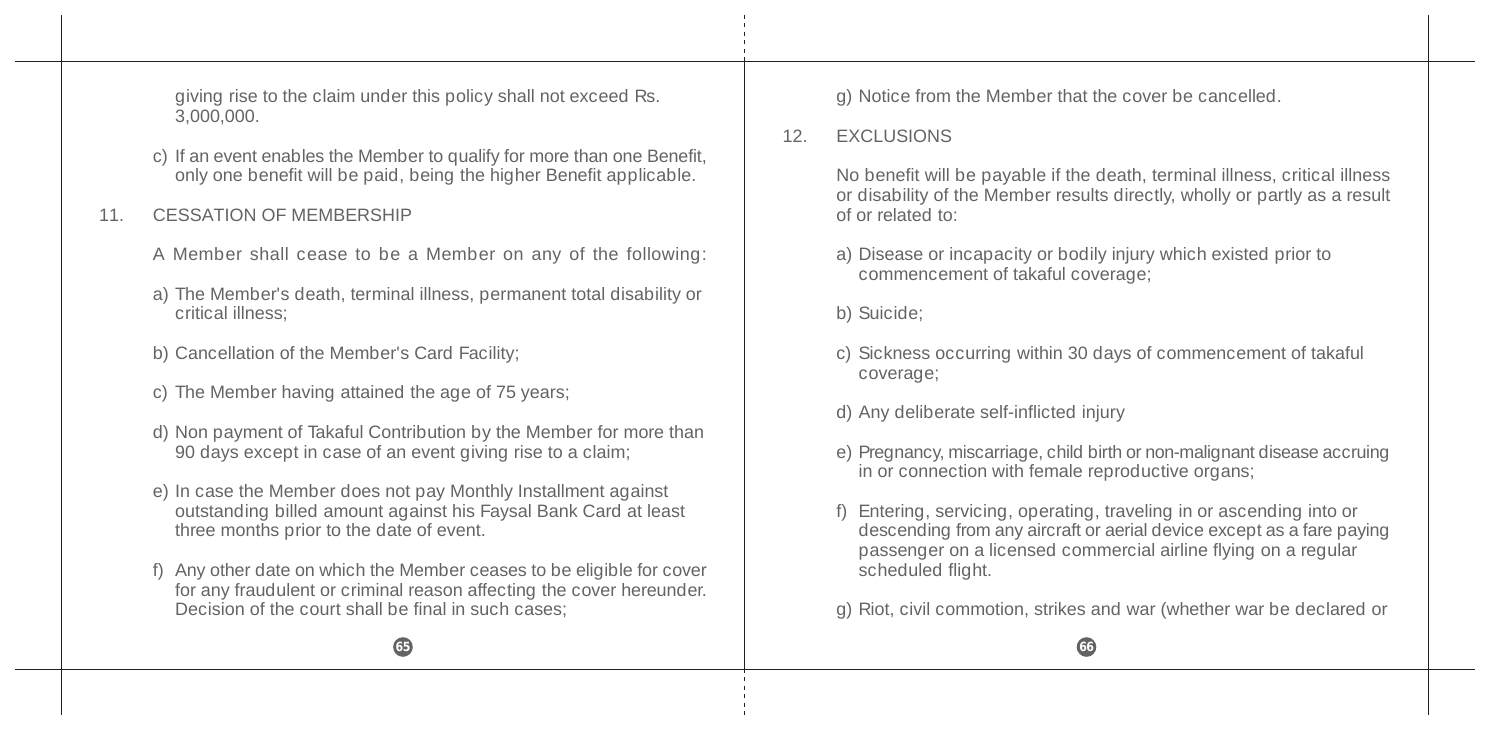giving rise to the claim under this policy shall not exceed Rs. 3,000,000.

c) If an event enables the Member to qualify for more than one Benefit, only one benefit will be paid, being the higher Benefit applicable.

# 11. CESSATION OF MEMBERSHIP

- A Member shall cease to be a Member on any of the following:
- a) The Member's death, terminal illness, permanent total disability or critical illness;
- b) Cancellation of the Member's Card Facility;
- c) The Member having attained the age of 75 years;
- d) Non payment of Takaful Contribution by the Member for more than 90 days except in case of an event giving rise to a claim;
- e) In case the Member does not pay Monthly Installment against outstanding billed amount against his Faysal Bank Card at least three months prior to the date of event.
- f) Any other date on which the Member ceases to be eligible for cover for any fraudulent or criminal reason affecting the cover hereunder. Decision of the court shall be final in such cases;

g) Notice from the Member that the cover be cancelled.

# 12. EXCLUSIONS

No benefit will be payable if the death, terminal illness, critical illness or disability of the Member results directly, wholly or partly as a result of or related to:

- a) Disease or incapacity or bodily injury which existed prior to commencement of takaful coverage;
- b) Suicide;
- c) Sickness occurring within 30 days of commencement of takaful coverage;
- d) Any deliberate self-inflicted injury
- e) Pregnancy, miscarriage, child birth or non-malignant disease accruing in or connection with female reproductive organs;
- f) Entering, servicing, operating, traveling in or ascending into or descending from any aircraft or aerial device except as a fare paying passenger on a licensed commercial airline flying on a regular scheduled flight.
- g) Riot, civil commotion, strikes and war (whether war be declared or

**65 66**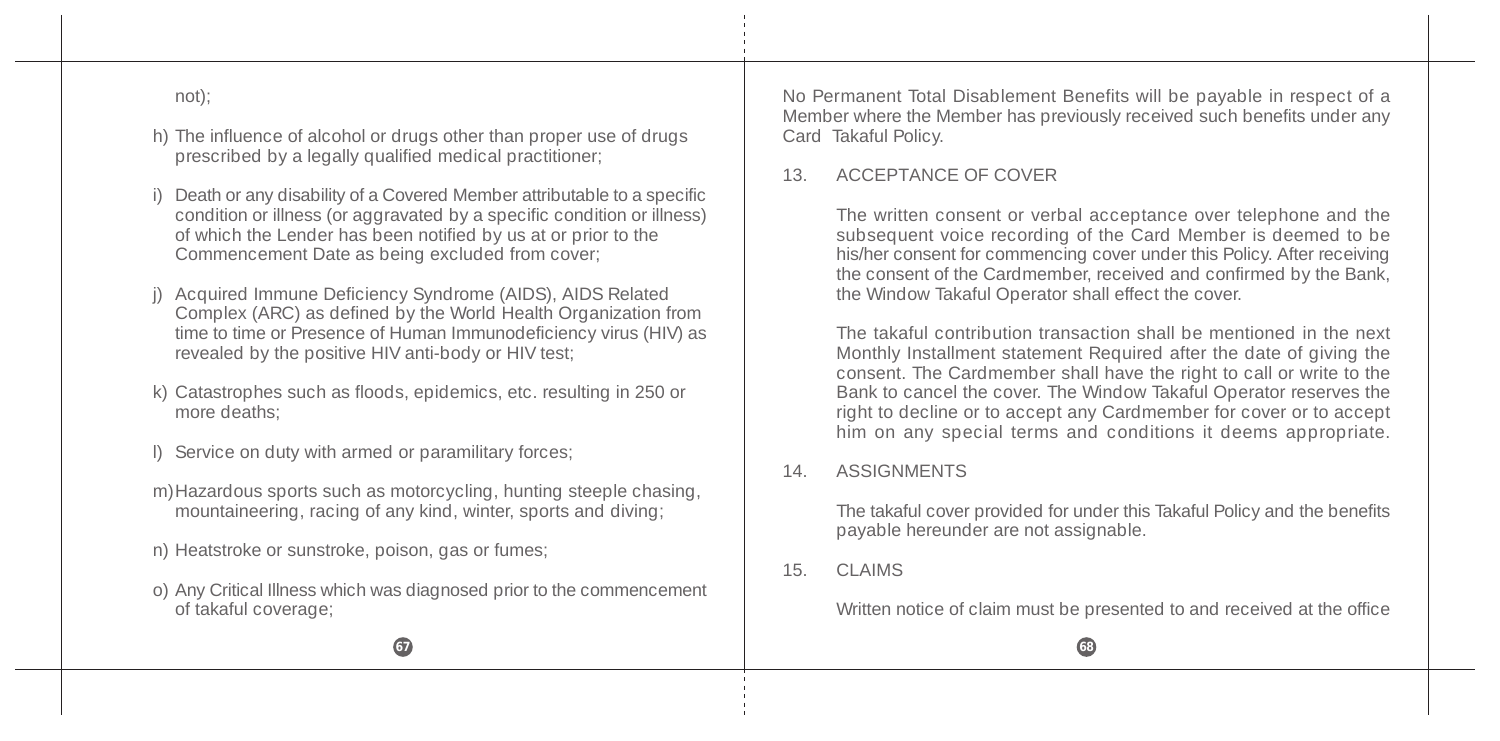not);

- h) The influence of alcohol or drugs other than proper use of drugs prescribed by a legally qualified medical practitioner;
- i) Death or any disability of a Covered Member attributable to a specific condition or illness (or aggravated by a specific condition or illness) of which the Lender has been notified by us at or prior to the Commencement Date as being excluded from cover;
- j) Acquired Immune Deficiency Syndrome (AIDS), AIDS Related Complex (ARC) as defined by the World Health Organization from time to time or Presence of Human Immunodeficiency virus (HIV) as revealed by the positive HIV anti-body or HIV test;
- k) Catastrophes such as floods, epidemics, etc. resulting in 250 or more deaths;
- l) Service on duty with armed or paramilitary forces;
- m)Hazardous sports such as motorcycling, hunting steeple chasing, mountaineering, racing of any kind, winter, sports and diving;
- n) Heatstroke or sunstroke, poison, gas or fumes;
- o) Any Critical Illness which was diagnosed prior to the commencement of takaful coverage;

No Permanent Total Disablement Benefits will be payable in respect of a Member where the Member has previously received such benefits under any Card Takaful Policy.

#### 13. ACCEPTANCE OF COVER

The written consent or verbal acceptance over telephone and the subsequent voice recording of the Card Member is deemed to be his/her consent for commencing cover under this Policy. After receiving the consent of the Cardmember, received and confirmed by the Bank, the Window Takaful Operator shall effect the cover.

The takaful contribution transaction shall be mentioned in the next Monthly Installment statement Required after the date of giving the consent. The Cardmember shall have the right to call or write to the Bank to cancel the cover. The Window Takaful Operator reserves the right to decline or to accept any Cardmember for cover or to accept him on any special terms and conditions it deems appropriate.

### 14. ASSIGNMENTS

The takaful cover provided for under this Takaful Policy and the benefits payable hereunder are not assignable.

### 15. CLAIMS

Written notice of claim must be presented to and received at the office

**67 688 688 688 688 688 688 688 688 688 688 688 688 688 688**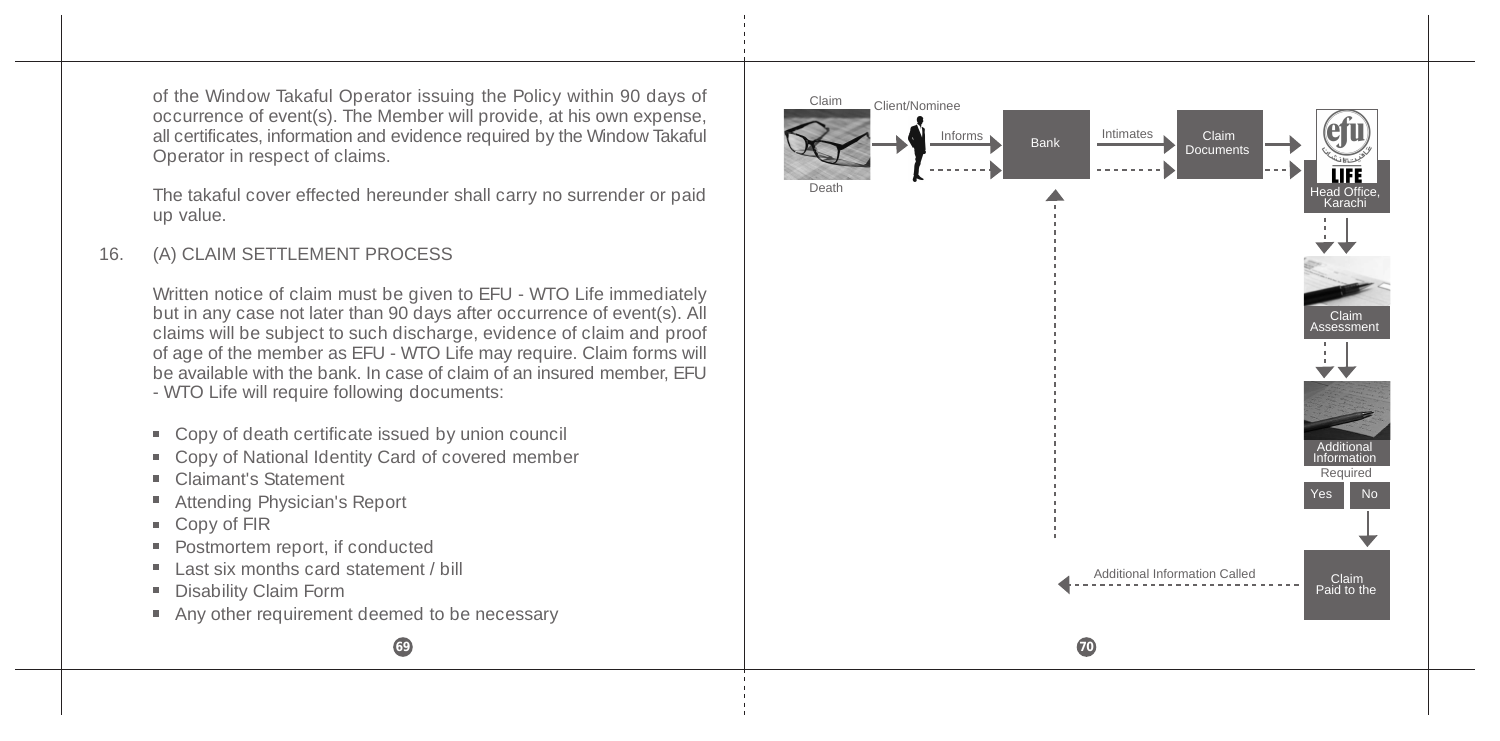of the Window Takaful Operator issuing the Policy within 90 days of occurrence of event(s). The Member will provide, at his own expense, all certificates, information and evidence required by the Window Takaful Operator in respect of claims.

The takaful cover effected hereunder shall carry no surrender or paid up value.

### 16. (A) CLAIM SETTLEMENT PROCESS

Written notice of claim must be given to EFU - WTO Life immediately but in any case not later than 90 days after occurrence of event(s). All claims will be subject to such discharge, evidence of claim and proof of age of the member as EFU - WTO Life may require. Claim forms will be available with the bank. In case of claim of an insured member, EFU - WTO Life will require following documents:

- Copy of death certificate issued by union council
- Copy of National Identity Card of covered member
- Claimant's Statement
- Attending Physician's Report
- Copy of FIR
- Postmortem report, if conducted m.
- Last six months card statement / bill
- ٠ Disability Claim Form
- Any other requirement deemed to be necessary

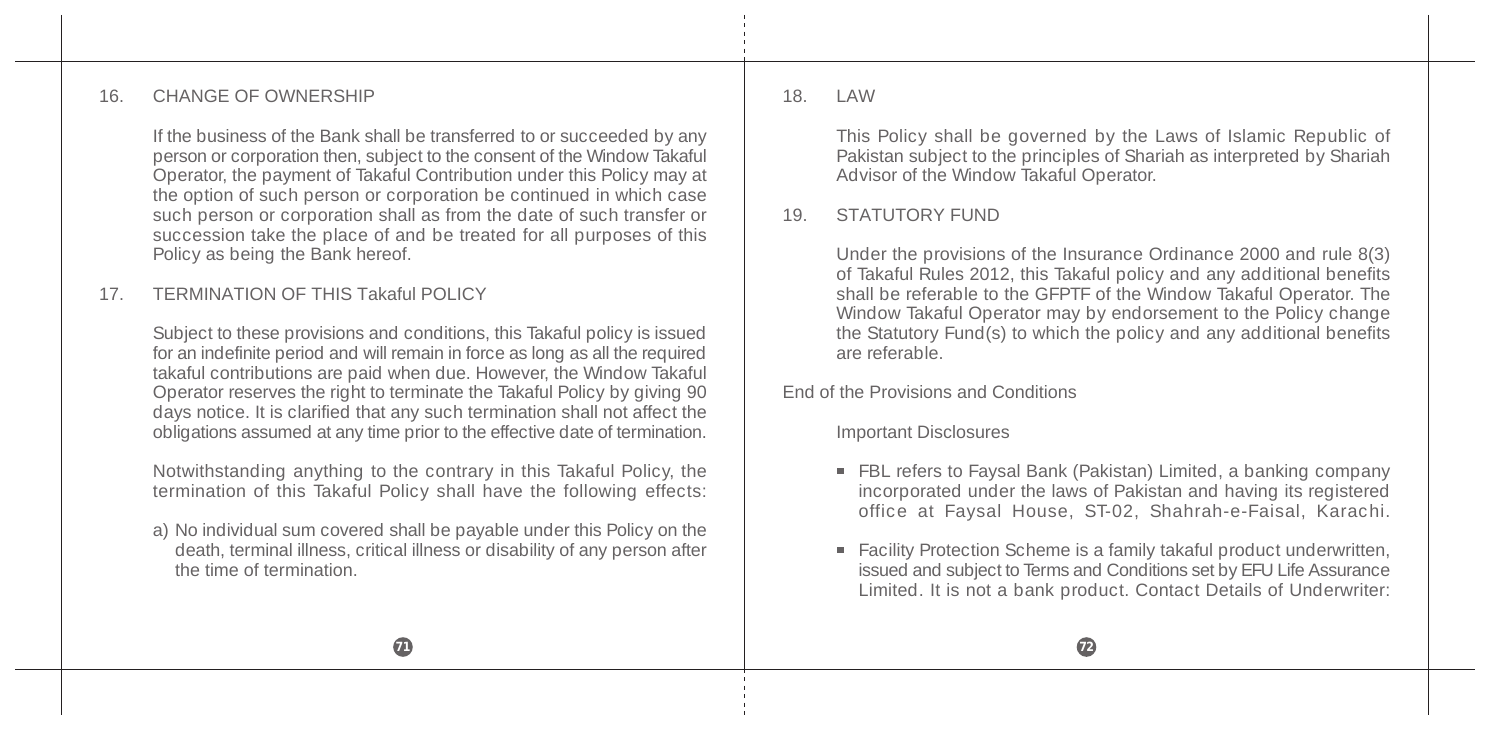#### 16. CHANGE OF OWNERSHIP

If the business of the Bank shall be transferred to or succeeded by any person or corporation then, subject to the consent of the Window Takaful Operator, the payment of Takaful Contribution under this Policy may at the option of such person or corporation be continued in which case such person or corporation shall as from the date of such transfer or succession take the place of and be treated for all purposes of this Policy as being the Bank hereof.

#### 17. TERMINATION OF THIS Takaful POLICY

Subject to these provisions and conditions, this Takaful policy is issued for an indefinite period and will remain in force as long as all the required takaful contributions are paid when due. However, the Window Takaful Operator reserves the right to terminate the Takaful Policy by giving 90 days notice. It is clarified that any such termination shall not affect the obligations assumed at any time prior to the effective date of termination.

Notwithstanding anything to the contrary in this Takaful Policy, the termination of this Takaful Policy shall have the following effects:

a) No individual sum covered shall be payable under this Policy on the death, terminal illness, critical illness or disability of any person after the time of termination.

18. LAW

This Policy shall be governed by the Laws of Islamic Republic of Pakistan subject to the principles of Shariah as interpreted by Shariah Advisor of the Window Takaful Operator.

#### 19. STATUTORY FUND

Under the provisions of the Insurance Ordinance 2000 and rule 8(3) of Takaful Rules 2012, this Takaful policy and any additional benefits shall be referable to the GFPTF of the Window Takaful Operator. The Window Takaful Operator may by endorsement to the Policy change the Statutory Fund $(s)$  to which the policy and any additional benefits are referable.

End of the Provisions and Conditions

Important Disclosures

- FBL refers to Faysal Bank (Pakistan) Limited, a banking company incorporated under the laws of Pakistan and having its registered office at Faysal House, ST-02, Shahrah-e-Faisal, Karachi.
- Facility Protection Scheme is a family takaful product underwritten, issued and subject to Terms and Conditions set by EFU Life Assurance Limited. It is not a bank product. Contact Details of Underwriter: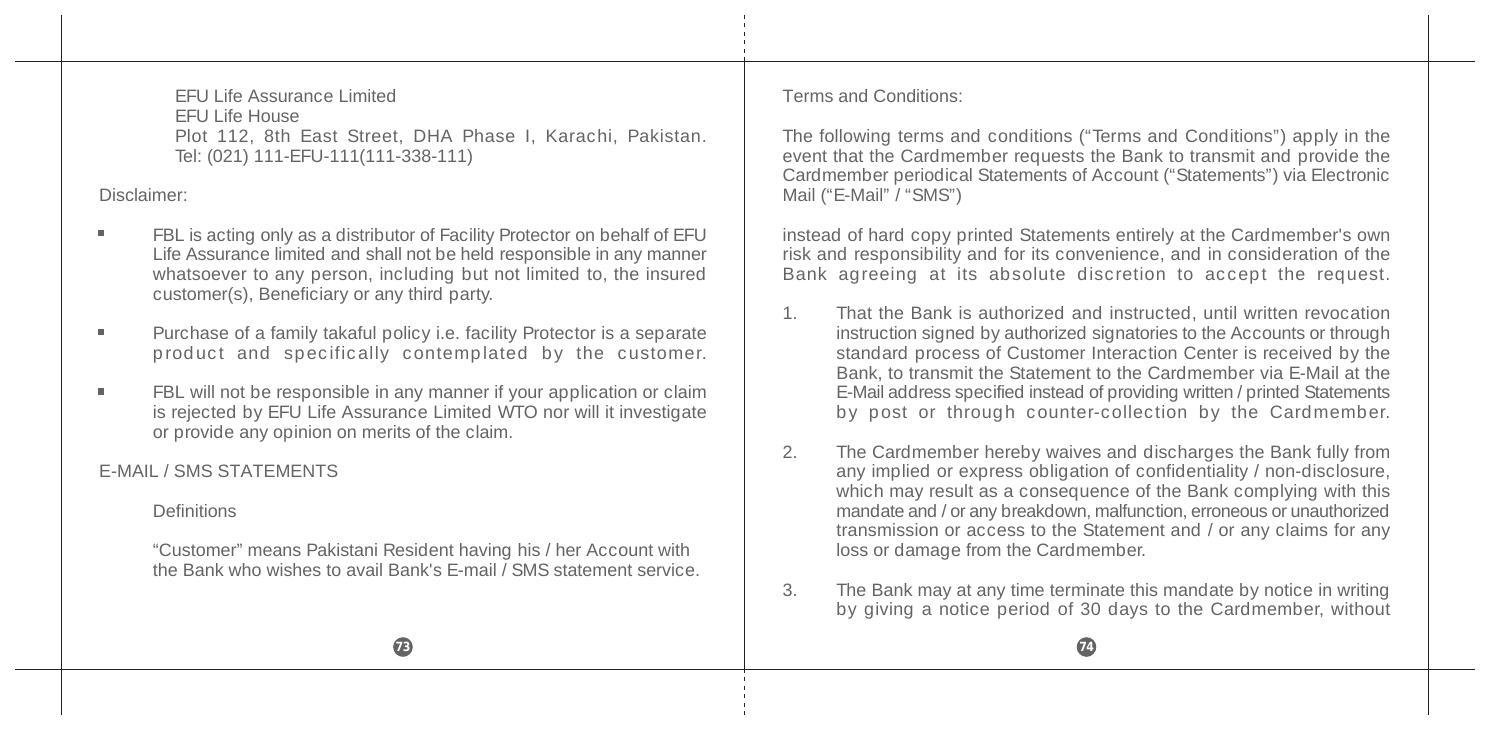EFU Life Assurance Limited EFU Life House Plot 112, 8th East Street, DHA Phase I, Karachi, Pakistan. Tel: (021) 111-EFU-111(111-338-111)

Disclaimer:

- FBL is acting only as a distributor of Facility Protector on behalf of EFU Life Assurance limited and shall not be held responsible in any manner whatsoever to any person, including but not limited to, the insured customer(s), Beneficiary or any third party.
- Purchase of a family takaful policy i.e. facility Protector is a separate product and specifically contemplated by the customer.
- FBL will not be responsible in any manner if your application or claim is rejected by EFU Life Assurance Limited WTO nor will it investigate or provide any opinion on merits of the claim.

E-MAIL / SMS STATEMENTS

**Definitions** 

"Customer" means Pakistani Resident having his / her Account with the Bank who wishes to avail Bank's E-mail / SMS statement service. Terms and Conditions:

The following terms and conditions ("Terms and Conditions") apply in the event that the Cardmember requests the Bank to transmit and provide the Cardmember periodical Statements of Account ("Statements") via Electronic Mail ("E-Mail" $\hat{I}$  "SMS")

instead of hard copy printed Statements entirely at the Cardmember's own risk and responsibility and for its convenience, and in consideration of the Bank agreeing at its absolute discretion to accept the request.

- 1. That the Bank is authorized and instructed, until written revocation instruction signed by authorized signatories to the Accounts or through standard process of Customer Interaction Center is received by the Bank, to transmit the Statement to the Cardmember via E-Mail at the E-Mail address specified instead of providing written / printed Statements by post or through counter-collection by the Cardmember.
- 2. The Cardmember hereby waives and discharges the Bank fully from any implied or express obligation of confidentiality / non-disclosure, which may result as a consequence of the Bank complying with this mandate and / or any breakdown, malfunction, erroneous or unauthorized transmission or access to the Statement and / or any claims for any loss or damage from the Cardmember.
- 3. The Bank may at any time terminate this mandate by notice in writing by giving a notice period of 30 days to the Cardmember, without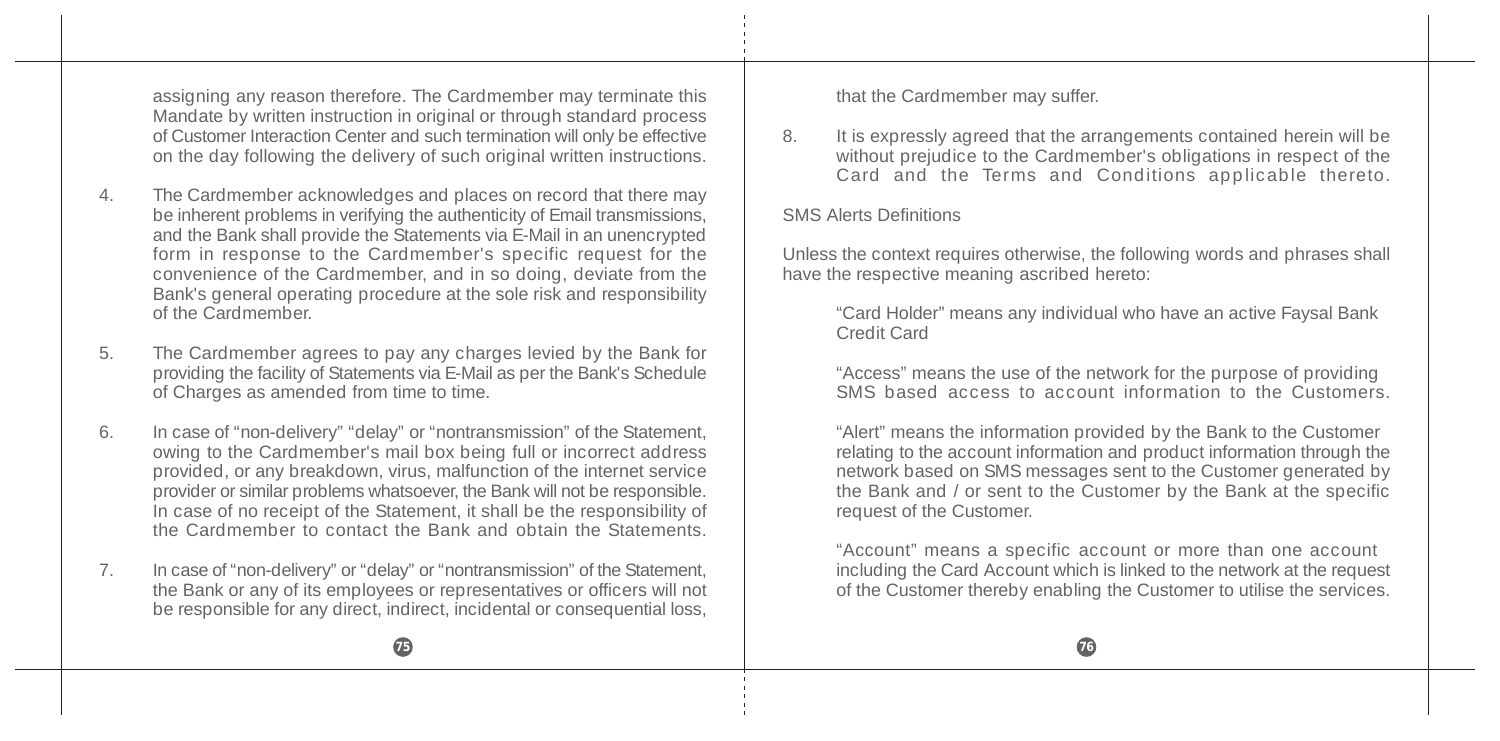assigning any reason therefore. The Cardmember may terminate this Mandate by written instruction in original or through standard process of Customer Interaction Center and such termination will only be effective on the day following the delivery of such original written instructions.

- 4. The Cardmember acknowledges and places on record that there may be inherent problems in verifying the authenticity of Email transmissions, and the Bank shall provide the Statements via E-Mail in an unencrypted form in response to the Cardmember's specific request for the convenience of the Cardmember, and in so doing, deviate from the Bank's general operating procedure at the sole risk and responsibility of the Cardmember.
- 5. The Cardmember agrees to pay any charges levied by the Bank for providing the facility of Statements via E-Mail as per the Bank's Schedule of Charges as amended from time to time.
- 6. In case of "non-delivery" "delay" or "nontransmission" of the Statement, owing to the Cardmember's mail box being full or incorrect address provided, or any breakdown, virus, malfunction of the internet service provider or similar problems whatsoever, the Bank will not be responsible. In case of no receipt of the Statement, it shall be the responsibility of the Cardmember to contact the Bank and obtain the Statements.
- 7. In case of "non-delivery" or "delay" or "nontransmission" of the Statement, the Bank or any of its employees or representatives or officers will not be responsible for any direct, indirect, incidental or consequential loss,

that the Cardmember may suffer.

8. It is expressly agreed that the arrangements contained herein will be without prejudice to the Cardmember's obligations in respect of the Card and the Terms and Conditions applicable thereto.

#### SMS Alerts Definitions

Unless the context requires otherwise, the following words and phrases shall have the respective meaning ascribed hereto:

"Card Holder" means any individual who have an active Faysal Bank Credit Card

"Access" means the use of the network for the purpose of providing SMS based access to account information to the Customers.

"Alert" means the information provided by the Bank to the Customer relating to the account information and product information through the network based on SMS messages sent to the Customer generated by the Bank and / or sent to the Customer by the Bank at the specific request of the Customer.

"Account" means a specific account or more than one account including the Card Account which is linked to the network at the request of the Customer thereby enabling the Customer to utilise the services.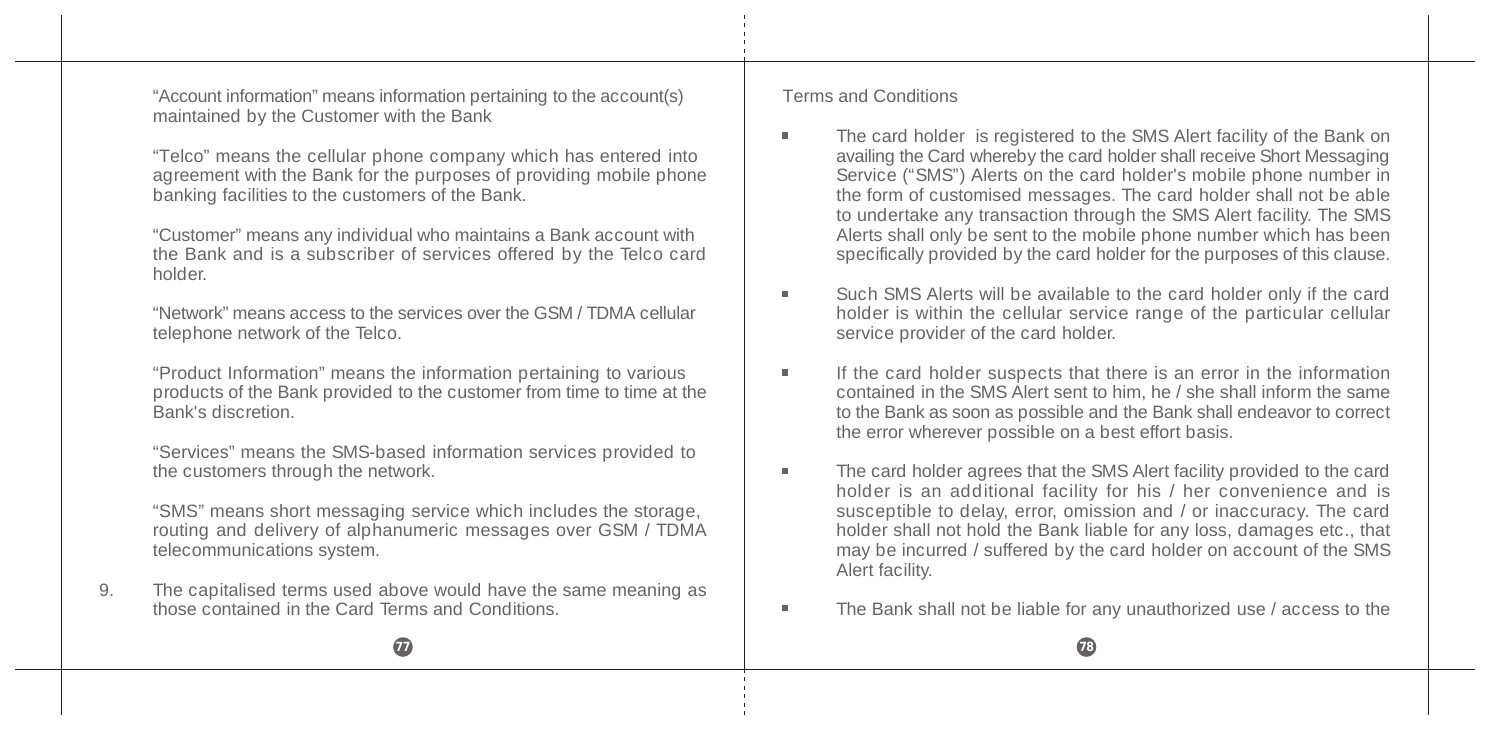"Account information" means information pertaining to the account(s) maintained by the Customer with the Bank

"Telco" means the cellular phone company which has entered into agreement with the Bank for the purposes of providing mobile phone banking facilities to the customers of the Bank.

"Customer" means any individual who maintains a Bank account with the Bank and is a subscriber of services offered by the Telco card holder.

"Network" means access to the services over the GSM / TDMA cellular telephone network of the Telco.

"Product Information" means the information pertaining to various products of the Bank provided to the customer from time to time at the Bank's discretion.

"Services" means the SMS-based information services provided to the customers through the network.

"SMS" means short messaging service which includes the storage, routing and delivery of alphanumeric messages over GSM / TDMA telecommunications system.

9. The capitalised terms used above would have the same meaning as those contained in the Card Terms and Conditions.

#### Terms and Conditions

- The card holder is registered to the SMS Alert facility of the Bank on  $\blacksquare$ availing the Card whereby the card holder shall receive Short Messaging Service ("SMS") Alerts on the card holder's mobile phone number in the form of customised messages. The card holder shall not be able to undertake any transaction through the SMS Alert facility. The SMS Alerts shall only be sent to the mobile phone number which has been specifically provided by the card holder for the purposes of this clause.
- Such SMS Alerts will be available to the card holder only if the card  $\blacksquare$ holder is within the cellular service range of the particular cellular service provider of the card holder.
- If the card holder suspects that there is an error in the information m. contained in the SMS Alert sent to him, he / she shall inform the same to the Bank as soon as possible and the Bank shall endeavor to correct the error wherever possible on a best effort basis.
- The card holder agrees that the SMS Alert facility provided to the card  $\blacksquare$ holder is an additional facility for his / her convenience and is susceptible to delay, error, omission and / or inaccuracy. The card holder shall not hold the Bank liable for any loss, damages etc., that may be incurred / suffered by the card holder on account of the SMS Alert facility.
- The Bank shall not be liable for any unauthorized use / access to them.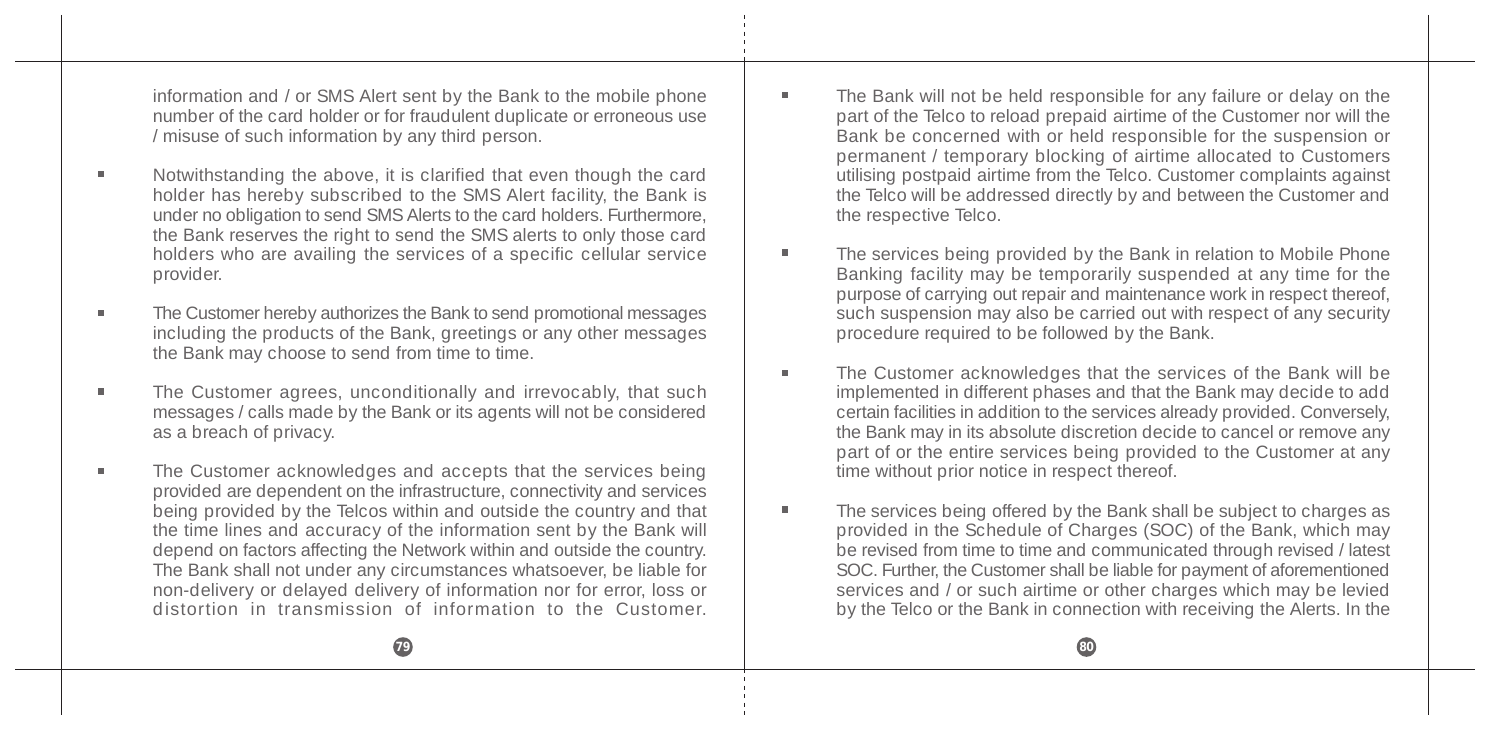information and / or SMS Alert sent by the Bank to the mobile phone number of the card holder or for fraudulent duplicate or erroneous use / misuse of such information by any third person.

- Notwithstanding the above, it is clarified that even though the card holder has hereby subscribed to the SMS Alert facility, the Bank is under no obligation to send SMS Alerts to the card holders. Furthermore, the Bank reserves the right to send the SMS alerts to only those card holders who are availing the services of a specific cellular service provider.
- The Customer hereby authorizes the Bank to send promotional messages including the products of the Bank, greetings or any other messages the Bank may choose to send from time to time.
- The Customer agrees, unconditionally and irrevocably, that such messages / calls made by the Bank or its agents will not be considered as a breach of privacy.
- The Customer acknowledges and accepts that the services being provided are dependent on the infrastructure, connectivity and services being provided by the Telcos within and outside the country and that the time lines and accuracy of the information sent by the Bank will depend on factors affecting the Network within and outside the country. The Bank shall not under any circumstances whatsoever, be liable for non-delivery or delayed delivery of information nor for error, loss or distortion in transmission of information to the Customer.
- The Bank will not be held responsible for any failure or delay on the part of the Telco to reload prepaid airtime of the Customer nor will the Bank be concerned with or held responsible for the suspension or permanent / temporary blocking of airtime allocated to Customers utilising postpaid airtime from the Telco. Customer complaints against the Telco will be addressed directly by and between the Customer and the respective Telco.
- The services being provided by the Bank in relation to Mobile Phone ٠ Banking facility may be temporarily suspended at any time for the purpose of carrying out repair and maintenance work in respect thereof, such suspension may also be carried out with respect of any security procedure required to be followed by the Bank.
- The Customer acknowledges that the services of the Bank will be  $\blacksquare$ implemented in different phases and that the Bank may decide to add certain facilities in addition to the services already provided. Conversely, the Bank may in its absolute discretion decide to cancel or remove any part of or the entire services being provided to the Customer at any time without prior notice in respect thereof.
- The services being offered by the Bank shall be subject to charges as ٠ provided in the Schedule of Charges (SOC) of the Bank, which may be revised from time to time and communicated through revised / latest SOC. Further, the Customer shall be liable for payment of aforementioned services and / or such airtime or other charges which may be levied by the Telco or the Bank in connection with receiving the Alerts. In the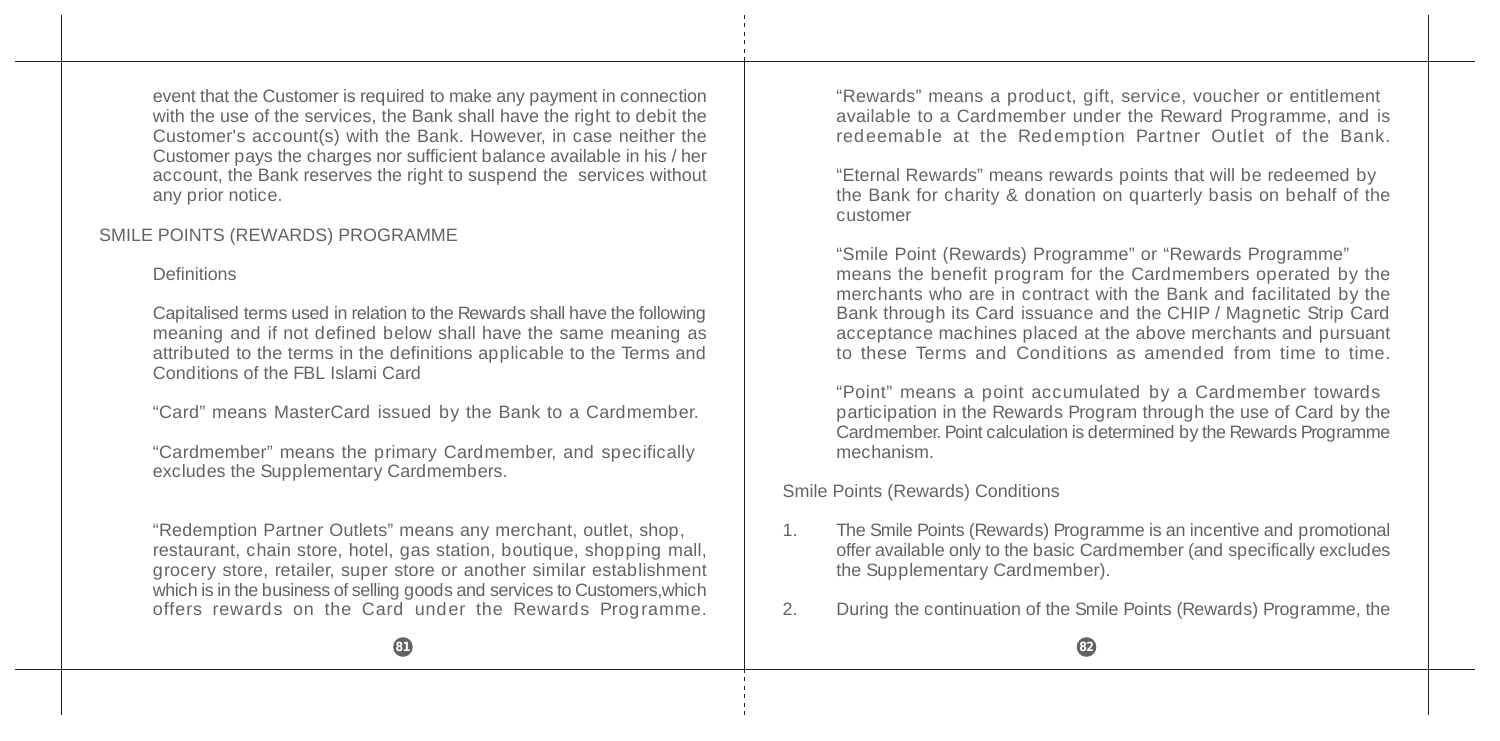event that the Customer is required to make any payment in connection with the use of the services, the Bank shall have the right to debit the Customer's account(s) with the Bank. However, in case neither the Customer pays the charges nor sufficient balance available in his / her account, the Bank reserves the right to suspend the services without any prior notice.

### SMILE POINTS (REWARDS) PROGRAMME

#### Definitions

Capitalised terms used in relation to the Rewards shall have the following meaning and if not defined below shall have the same meaning as attributed to the terms in the definitions applicable to the Terms and Conditions of the FBL Islami Card

"Card" means MasterCard issued by the Bank to a Cardmember.

"Cardmember" means the primary Cardmember, and specifically excludes the Supplementary Cardmembers.

"Redemption Partner Outlets" means any merchant, outlet, shop, restaurant, chain store, hotel, gas station, boutique, shopping mall, grocery store, retailer, super store or another similar establishment which is in the business of selling goods and services to Customers,which offers rewards on the Card under the Rewards Programme.

"Rewards" means a product, gift, service, voucher or entitlement available to a Cardmember under the Reward Programme, and is redeemable at the Redemption Partner Outlet of the Bank.

"Eternal Rewards" means rewards points that will be redeemed by the Bank for charity & donation on quarterly basis on behalf of the customer

"Smile Point (Rewards) Programme" or "Rewards Programme" means the benefit program for the Cardmembers operated by the merchants who are in contract with the Bank and facilitated by the Bank through its Card issuance and the CHIP / Magnetic Strip Card acceptance machines placed at the above merchants and pursuant to these Terms and Conditions as amended from time to time.

"Point" means a point accumulated by a Cardmember towards participation in the Rewards Program through the use of Card by the Cardmember. Point calculation is determined by the Rewards Programme mechanism.

#### Smile Points (Rewards) Conditions

- 1. The Smile Points (Rewards) Programme is an incentive and promotional offer available only to the basic Cardmember (and specifically excludes the Supplementary Cardmember).
- 2. During the continuation of the Smile Points (Rewards) Programme, the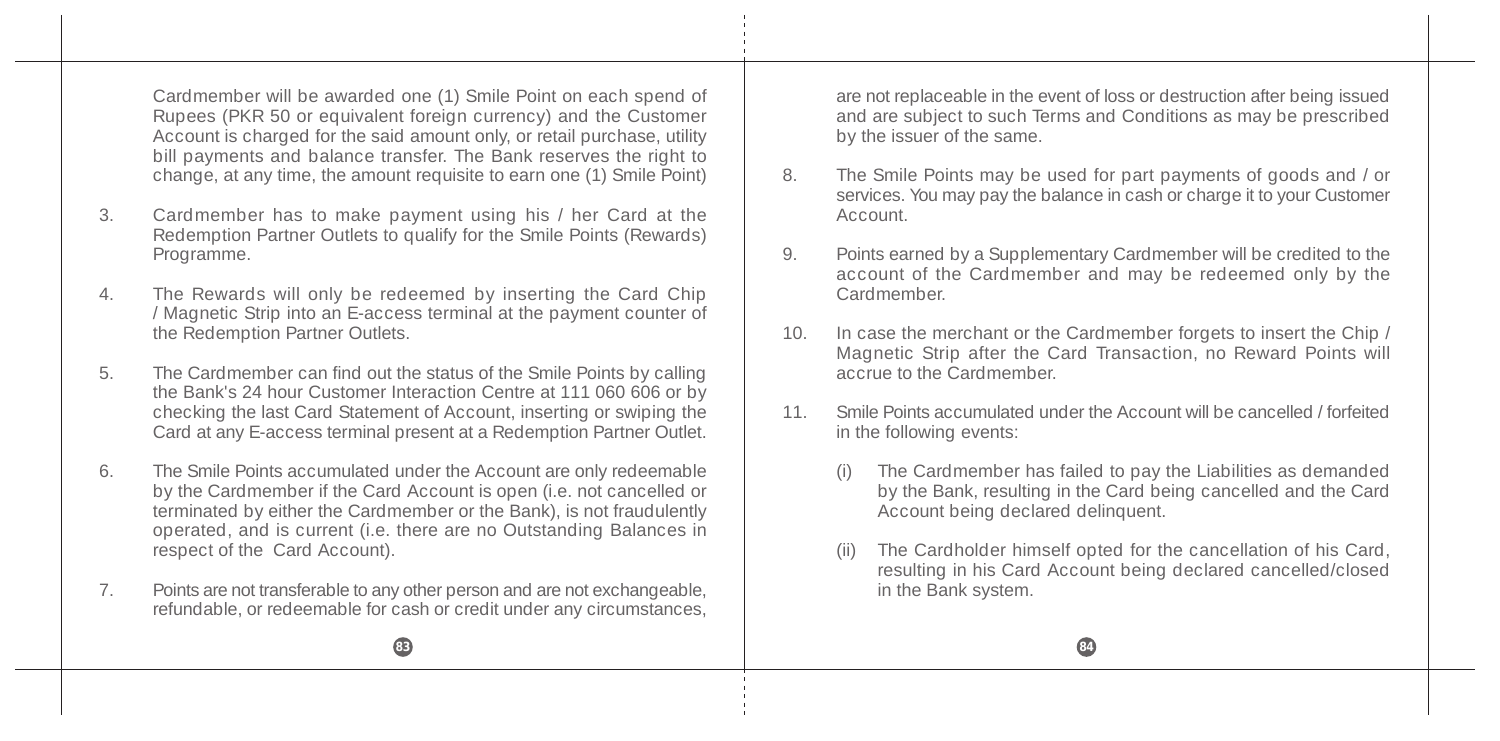Cardmember will be awarded one (1) Smile Point on each spend of Rupees (PKR 50 or equivalent foreign currency) and the Customer Account is charged for the said amount only, or retail purchase, utility bill payments and balance transfer. The Bank reserves the right to change, at any time, the amount requisite to earn one (1) Smile Point)

- 3. Cardmember has to make payment using his / her Card at the Redemption Partner Outlets to qualify for the Smile Points (Rewards) Programme.
- 4. The Rewards will only be redeemed by inserting the Card Chip / Magnetic Strip into an E-access terminal at the payment counter of the Redemption Partner Outlets.
- 5. The Cardmember can find out the status of the Smile Points by calling the Bank's 24 hour Customer Interaction Centre at 111 060 606 or by checking the last Card Statement of Account, inserting or swiping the Card at any E-access terminal present at a Redemption Partner Outlet.
- 6. The Smile Points accumulated under the Account are only redeemable by the Cardmember if the Card Account is open (i.e. not cancelled or terminated by either the Cardmember or the Bank), is not fraudulently operated, and is current (i.e. there are no Outstanding Balances in respect of the Card Account).
- 7. Points are not transferable to any other person and are not exchangeable, refundable, or redeemable for cash or credit under any circumstances,

are not replaceable in the event of loss or destruction after being issued and are subject to such Terms and Conditions as may be prescribed by the issuer of the same.

- 8. The Smile Points may be used for part payments of goods and / or services. You may pay the balance in cash or charge it to your Customer Account.
- 9. Points earned by a Supplementary Cardmember will be credited to the account of the Cardmember and may be redeemed only by the Cardmember.
- 10. In case the merchant or the Cardmember forgets to insert the Chip / Magnetic Strip after the Card Transaction, no Reward Points will accrue to the Cardmember.
- 11. Smile Points accumulated under the Account will be cancelled / forfeited in the following events:
	- The Cardmember has failed to pay the Liabilities as demanded by the Bank, resulting in the Card being cancelled and the Card Account being declared delinquent.
	- (ii) The Cardholder himself opted for the cancellation of his Card, resulting in his Card Account being declared cancelled/closed in the Bank system.

# **83 84**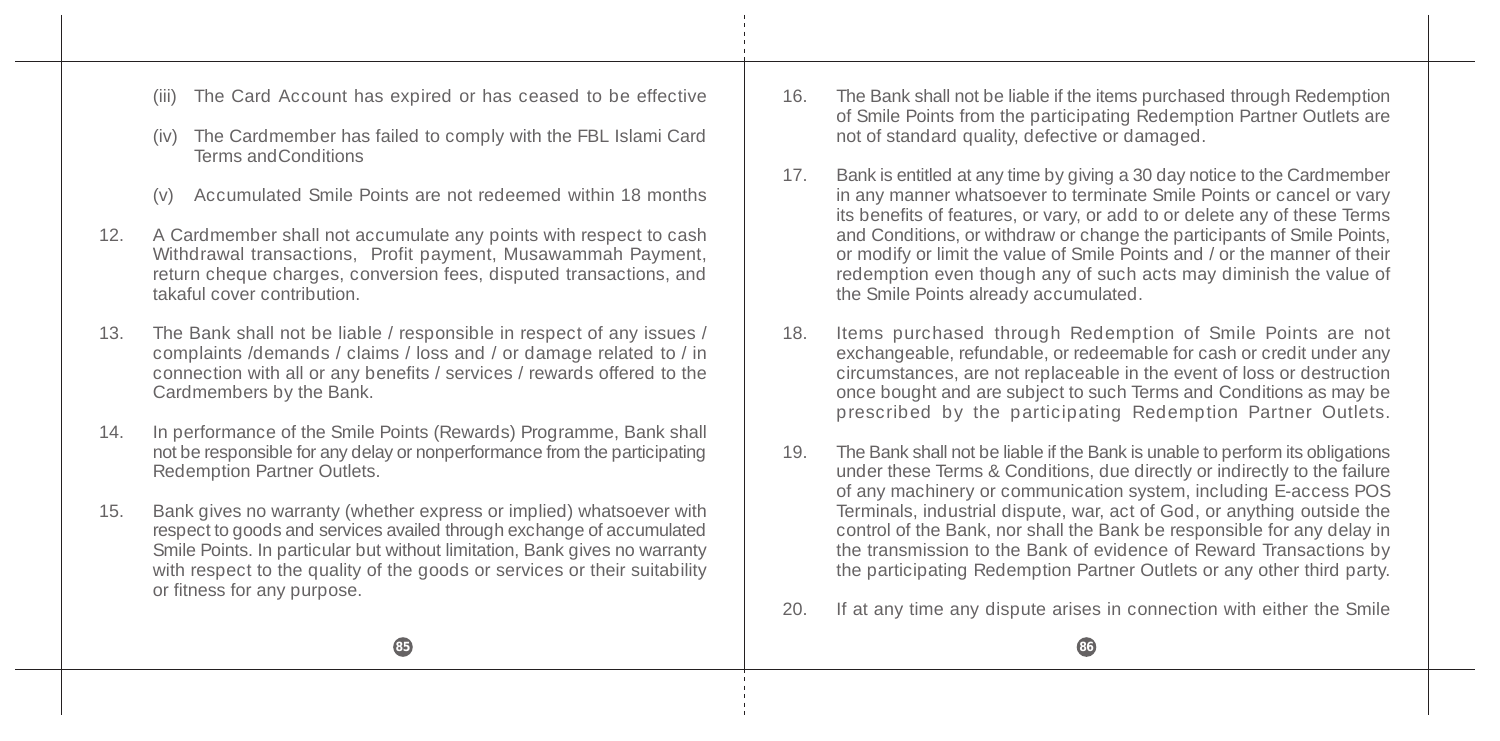- The Card Account has expired or has ceased to be effective
- The Cardmember has failed to comply with the FBL Islami Card Terms andConditions
- (v) Accumulated Smile Points are not redeemed within 18 months
- 12. A Cardmember shall not accumulate any points with respect to cash Withdrawal transactions, Profit payment, Musawammah Payment, return cheque charges, conversion fees, disputed transactions, and takaful cover contribution.
- 13. The Bank shall not be liable / responsible in respect of any issues / complaints /demands / claims / loss and / or damage related to / in connection with all or any benefits / services / rewards offered to the Cardmembers by the Bank.
- 14. In performance of the Smile Points (Rewards) Programme, Bank shall not be responsible for any delay or nonperformance from the participating Redemption Partner Outlets.
- 15. Bank gives no warranty (whether express or implied) whatsoever with respect to goods and services availed through exchange of accumulated Smile Points. In particular but without limitation, Bank gives no warranty with respect to the quality of the goods or services or their suitability or fitness for any purpose.
- 16. The Bank shall not be liable if the items purchased through Redemption of Smile Points from the participating Redemption Partner Outlets are not of standard quality, defective or damaged.
- 17. Bank is entitled at any time by giving a 30 day notice to the Cardmember in any manner whatsoever to terminate Smile Points or cancel or vary its benefits of features, or vary, or add to or delete any of these Terms and Conditions, or withdraw or change the participants of Smile Points, or modify or limit the value of Smile Points and  $\ell$  or the manner of their redemption even though any of such acts may diminish the value of the Smile Points already accumulated.
- 18. Items purchased through Redemption of Smile Points are not exchangeable, refundable, or redeemable for cash or credit under any circumstances, are not replaceable in the event of loss or destruction once bought and are subject to such Terms and Conditions as may be prescribed by the participating Redemption Partner Outlets.
- 19. The Bank shall not be liable if the Bank is unable to perform its obligations under these Terms & Conditions, due directly or indirectly to the failure of any machinery or communication system, including E-access POS Terminals, industrial dispute, war, act of God, or anything outside the control of the Bank, nor shall the Bank be responsible for any delay in the transmission to the Bank of evidence of Reward Transactions by the participating Redemption Partner Outlets or any other third party.
- 20. If at any time any dispute arises in connection with either the Smile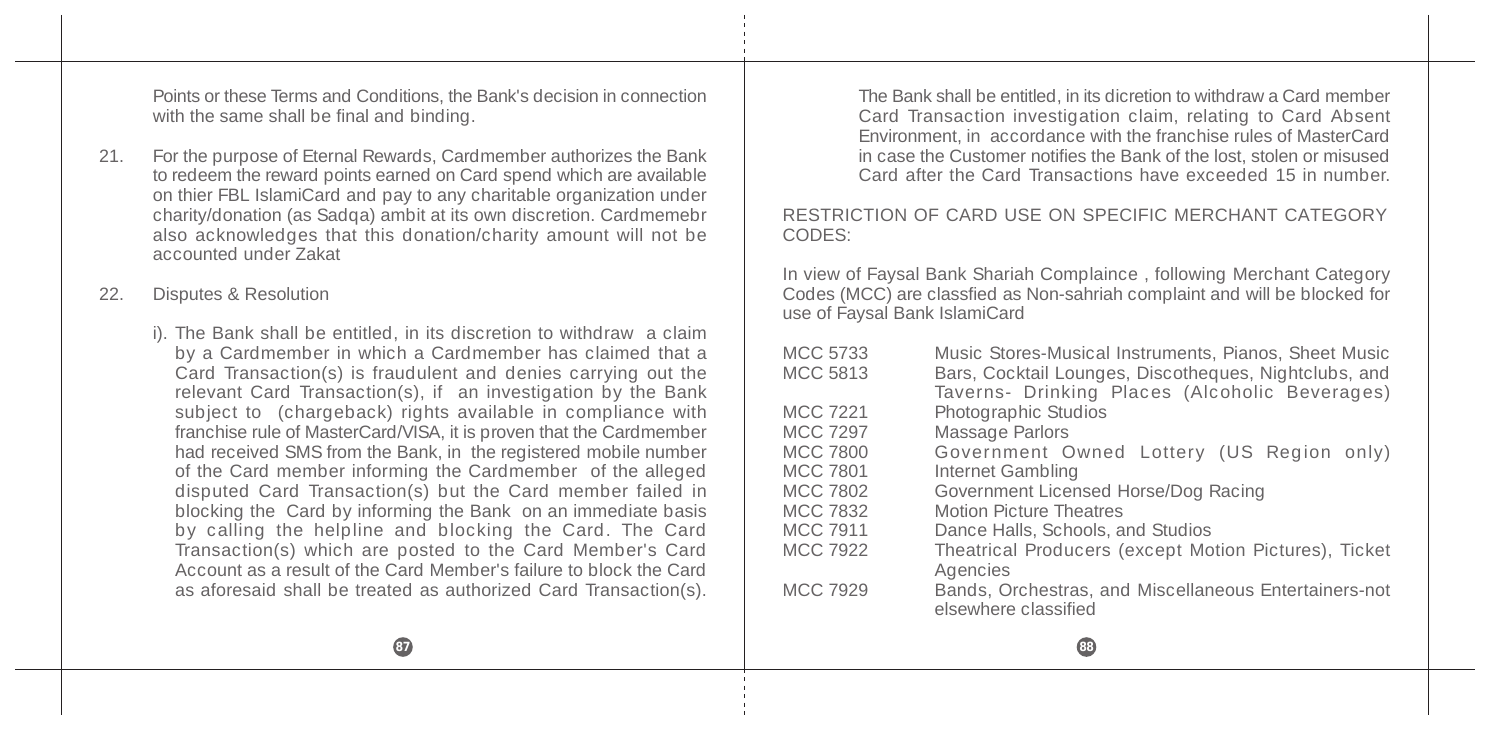Points or these Terms and Conditions, the Bank's decision in connection with the same shall be final and binding.

- 21. For the purpose of Eternal Rewards, Cardmember authorizes the Bank to redeem the reward points earned on Card spend which are available on thier FBL IslamiCard and pay to any charitable organization under charity/donation (as Sadqa) ambit at its own discretion. Cardmemebr also acknowledges that this donation/charity amount will not be accounted under Zakat
- 22. Disputes & Resolution
	- i). The Bank shall be entitled, in its discretion to withdraw a claim by a Cardmember in which a Cardmember has claimed that a Card Transaction(s) is fraudulent and denies carrying out the relevant Card Transaction(s), if an investigation by the Bank subject to (chargeback) rights available in compliance with franchise rule of MasterCard/VISA, it is proven that the Cardmember had received SMS from the Bank, in the registered mobile number of the Card member informing the Cardmember of the alleged disputed Card Transaction(s) but the Card member failed in blocking the Card by informing the Bank on an immediate basis by calling the helpline and blocking the Card. The Card Transaction(s) which are posted to the Card Member's Card Account as a result of the Card Member's failure to block the Card as aforesaid shall be treated as authorized Card Transaction(s).

The Bank shall be entitled, in its dicretion to withdraw a Card member Card Transaction investigation claim, relating to Card Absent Environment, in accordance with the franchise rules of MasterCard in case the Customer notifies the Bank of the lost, stolen or misused Card after the Card Transactions have exceeded 15 in number.

#### RESTRICTION OF CARD USE ON SPECIFIC MERCHANT CATEGORY CODES:

In view of Faysal Bank Shariah Complaince , following Merchant Category Codes (MCC) are classfied as Non-sahriah complaint and will be blocked for use of Faysal Bank IslamiCard

| <b>MCC 5733</b> | Music Stores-Musical Instruments, Pianos, Sheet Music |
|-----------------|-------------------------------------------------------|
| <b>MCC 5813</b> | Bars, Cocktail Lounges, Discotheques, Nightclubs, and |
|                 | Taverns- Drinking Places (Alcoholic Beverages)        |
| <b>MCC 7221</b> | Photographic Studios                                  |
| <b>MCC 7297</b> | Massage Parlors                                       |
| <b>MCC 7800</b> | Government Owned Lottery (US Region only)             |
| <b>MCC 7801</b> | Internet Gambling                                     |
| <b>MCC 7802</b> | Government Licensed Horse/Dog Racing                  |
| <b>MCC 7832</b> | <b>Motion Picture Theatres</b>                        |
| <b>MCC 7911</b> | Dance Halls, Schools, and Studios                     |
| MCC 7922        | Theatrical Producers (except Motion Pictures), Ticket |
|                 | Agencies                                              |
| <b>MCC 7929</b> | Bands, Orchestras, and Miscellaneous Entertainers-not |
|                 | elsewhere classified                                  |
|                 |                                                       |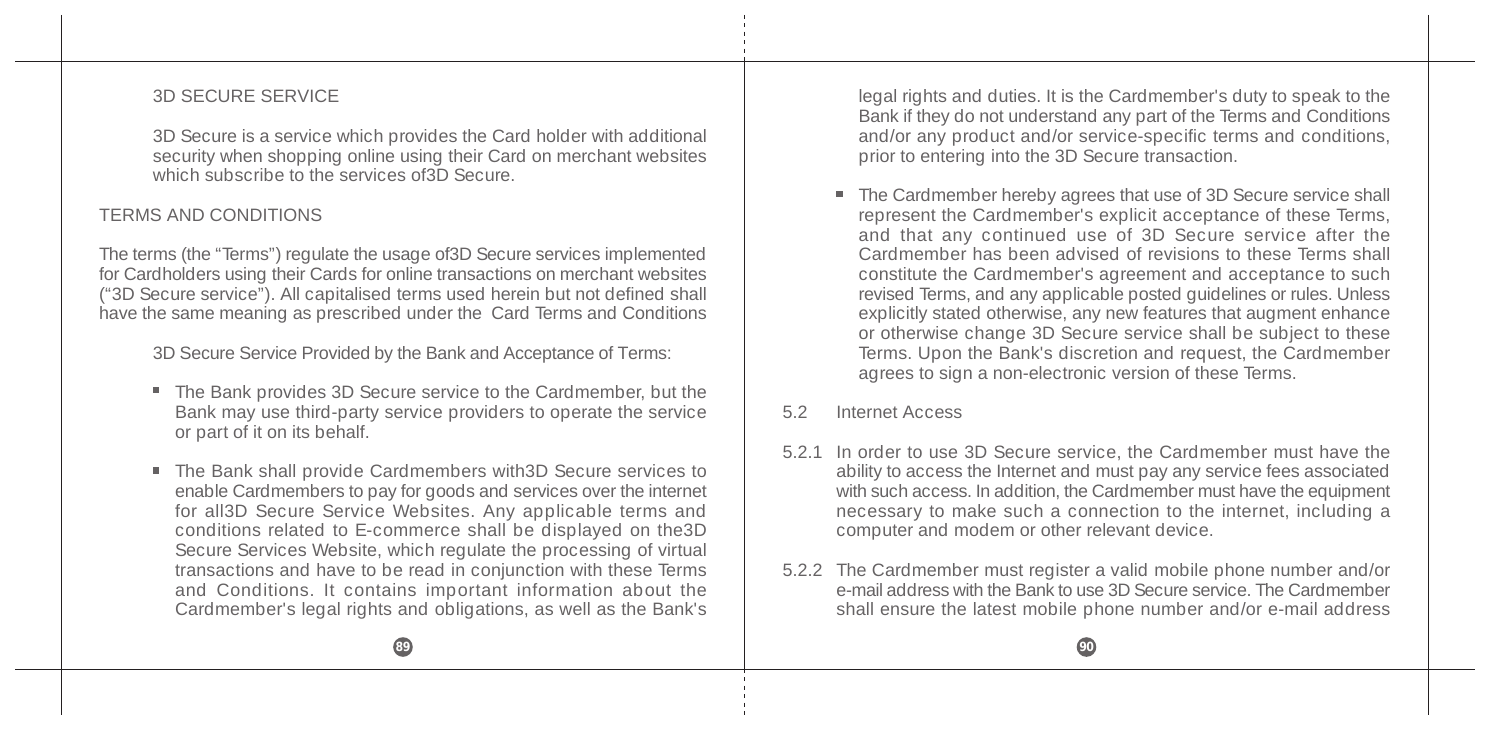#### 3D SECURE SERVICE

3D Secure is a service which provides the Card holder with additional security when shopping online using their Card on merchant websites which subscribe to the services of 3D Secure.

### TERMS AND CONDITIONS

The terms (the "Terms") regulate the usage of3D Secure services implemented for Cardholders using their Cards for online transactions on merchant websites ("3D Secure service"). All capitalised terms used herein but not defined shall have the same meaning as prescribed under the Card Terms and Conditions

3D Secure Service Provided by the Bank and Acceptance of Terms:

- The Bank provides 3D Secure service to the Cardmember, but the Bank may use third-party service providers to operate the service or part of it on its behalf.
- The Bank shall provide Cardmembers with3D Secure services to enable Cardmembers to pay for goods and services over the internet for all3D Secure Service Websites. Any applicable terms and conditions related to E-commerce shall be displayed on the3D Secure Services Website, which regulate the processing of virtual transactions and have to be read in conjunction with these Terms and Conditions. It contains important information about the Cardmember's legal rights and obligations, as well as the Bank's

legal rights and duties. It is the Cardmember's duty to speak to the Bank if they do not understand any part of the Terms and Conditions and/or any product and/or service-specific terms and conditions, prior to entering into the 3D Secure transaction.

■ The Cardmember hereby agrees that use of 3D Secure service shall represent the Cardmember's explicit acceptance of these Terms, and that any continued use of 3D Secure service after the Cardmember has been advised of revisions to these Terms shall constitute the Cardmember's agreement and acceptance to such revised Terms, and any applicable posted guidelines or rules. Unless explicitly stated otherwise, any new features that augment enhance or otherwise change 3D Secure service shall be subject to these Terms. Upon the Bank's discretion and request, the Cardmember agrees to sign a non-electronic version of these Terms.

#### 5.2 Internet Access

- 5.2.1 In order to use 3D Secure service, the Cardmember must have the ability to access the Internet and must pay any service fees associated with such access. In addition, the Cardmember must have the equipment necessary to make such a connection to the internet, including a computer and modem or other relevant device.
- 5.2.2 The Cardmember must register a valid mobile phone number and/or e-mail address with the Bank to use 3D Secure service. The Cardmember shall ensure the latest mobile phone number and/or e-mail address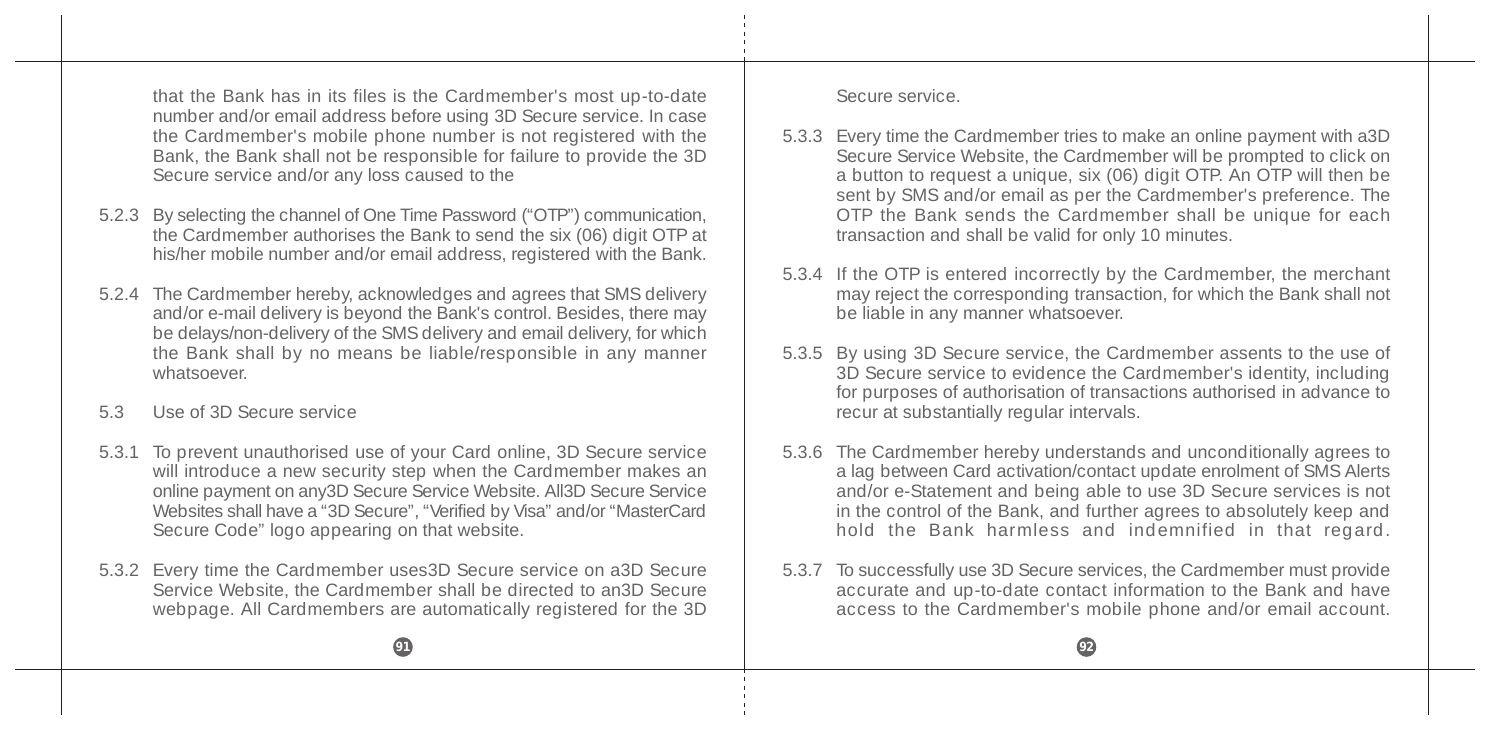that the Bank has in its files is the Cardmember's most up-to-date number and/or email address before using 3D Secure service. In case the Cardmember's mobile phone number is not registered with the Bank, the Bank shall not be responsible for failure to provide the 3D Secure service and/or any loss caused to the

- 5.2.3 By selecting the channel of One Time Password ("OTP") communication, the Cardmember authorises the Bank to send the six (06) digit OTP at his/her mobile number and/or email address, registered with the Bank.
- 5.2.4 The Cardmember hereby, acknowledges and agrees that SMS delivery and/or e-mail delivery is beyond the Bank's control. Besides, there may be delays/non-delivery of the SMS delivery and email delivery, for which the Bank shall by no means be liable/responsible in any manner whatsoever.
- 5.3 Use of 3D Secure service
- 5.3.1 To prevent unauthorised use of your Card online, 3D Secure service will introduce a new security step when the Cardmember makes an online payment on any3D Secure Service Website. All3D Secure Service Websites shall have a "3D Secure", "Verified by Visa" and/or "MasterCard Secure Code" logo appearing on that website.
- 5.3.2 Every time the Cardmember uses3D Secure service on a3D Secure Service Website, the Cardmember shall be directed to an3D Secure webpage. All Cardmembers are automatically registered for the 3D

Secure service.

- 5.3.3 Every time the Cardmember tries to make an online payment with a3D Secure Service Website, the Cardmember will be prompted to click on a button to request a unique, six (06) digit OTP. An OTP will then be sent by SMS and/or email as per the Cardmember's preference. The OTP the Bank sends the Cardmember shall be unique for each transaction and shall be valid for only 10 minutes.
- 5.3.4 If the OTP is entered incorrectly by the Cardmember, the merchant may reject the corresponding transaction, for which the Bank shall not be liable in any manner whatsoever.
- 5.3.5 By using 3D Secure service, the Cardmember assents to the use of 3D Secure service to evidence the Cardmember's identity, including for purposes of authorisation of transactions authorised in advance to recur at substantially regular intervals.
- 5.3.6 The Cardmember hereby understands and unconditionally agrees to a lag between Card activation/contact update enrolment of SMS Alerts and/or e-Statement and being able to use 3D Secure services is not in the control of the Bank, and further agrees to absolutely keep and hold the Bank harmless and indemnified in that regard.
- 5.3.7 To successfully use 3D Secure services, the Cardmember must provide accurate and up-to-date contact information to the Bank and have access to the Cardmember's mobile phone and/or email account.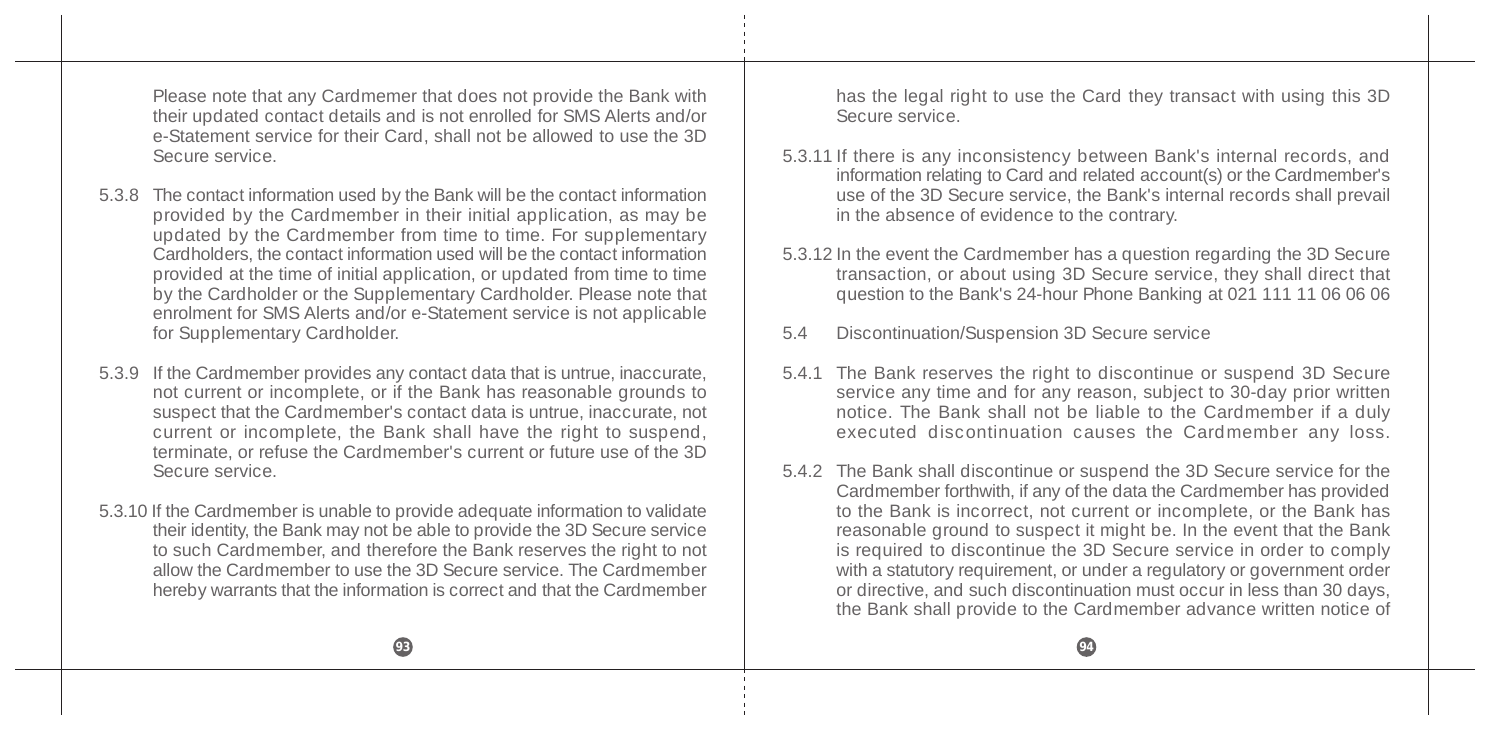Please note that any Cardmemer that does not provide the Bank with their updated contact details and is not enrolled for SMS Alerts and/or e-Statement service for their Card, shall not be allowed to use the 3D Secure service.

- 5.3.8 The contact information used by the Bank will be the contact information provided by the Cardmember in their initial application, as may be updated by the Cardmember from time to time. For supplementary Cardholders, the contact information used will be the contact information provided at the time of initial application, or updated from time to time by the Cardholder or the Supplementary Cardholder. Please note that enrolment for SMS Alerts and/or e-Statement service is not applicable for Supplementary Cardholder.
- 5.3.9 If the Cardmember provides any contact data that is untrue, inaccurate, not current or incomplete, or if the Bank has reasonable grounds to suspect that the Cardmember's contact data is untrue, inaccurate, not current or incomplete, the Bank shall have the right to suspend, terminate, or refuse the Cardmember's current or future use of the 3D Secure service.
- 5.3.10 If the Cardmember is unable to provide adequate information to validate their identity, the Bank may not be able to provide the 3D Secure service to such Cardmember, and therefore the Bank reserves the right to not allow the Cardmember to use the 3D Secure service. The Cardmember hereby warrants that the information is correct and that the Cardmember

has the legal right to use the Card they transact with using this 3D Secure service.

- 5.3.11 If there is any inconsistency between Bank's internal records, and information relating to Card and related account(s) or the Cardmember's use of the 3D Secure service, the Bank's internal records shall prevail in the absence of evidence to the contrary.
- 5.3.12 In the event the Cardmember has a question regarding the 3D Secure transaction, or about using 3D Secure service, they shall direct that question to the Bank's 24-hour Phone Banking at 021 111 11 06 06 06
- 5.4 Discontinuation/Suspension 3D Secure service
- 5.4.1 The Bank reserves the right to discontinue or suspend 3D Secure service any time and for any reason, subject to 30-day prior written notice. The Bank shall not be liable to the Cardmember if a duly executed discontinuation causes the Cardmember any loss.
- 5.4.2 The Bank shall discontinue or suspend the 3D Secure service for the Cardmember forthwith, if any of the data the Cardmember has provided to the Bank is incorrect, not current or incomplete, or the Bank has reasonable ground to suspect it might be. In the event that the Bank is required to discontinue the 3D Secure service in order to comply with a statutory requirement, or under a regulatory or government order or directive, and such discontinuation must occur in less than 30 days, the Bank shall provide to the Cardmember advance written notice of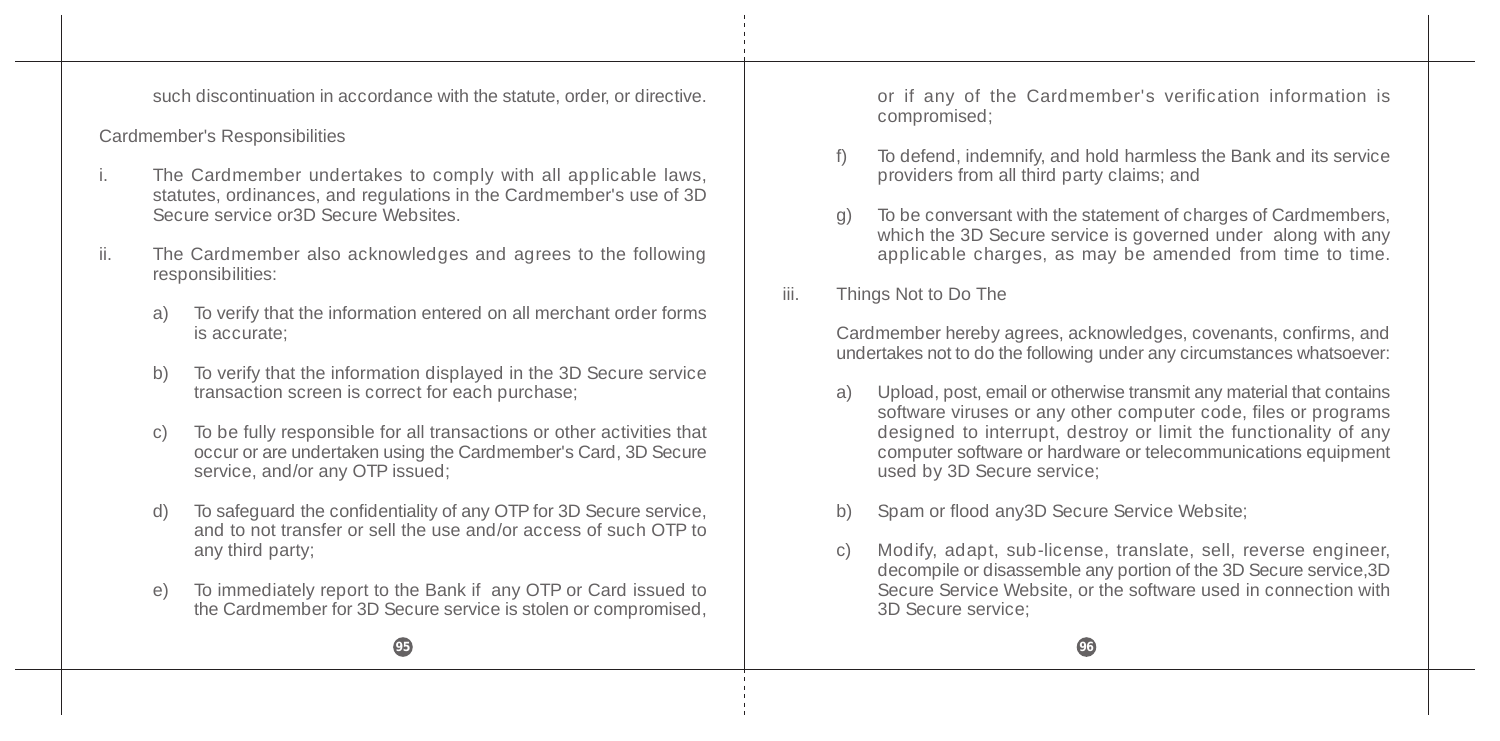such discontinuation in accordance with the statute, order, or directive.

#### Cardmember's Responsibilities

- i. The Cardmember undertakes to comply with all applicable laws, statutes, ordinances, and regulations in the Cardmember's use of 3D Secure service or3D Secure Websites.
- ii. The Cardmember also acknowledges and agrees to the following responsibilities:
	- a) To verify that the information entered on all merchant order forms is accurate;
	- b) To verify that the information displayed in the 3D Secure service transaction screen is correct for each purchase;
	- c) To be fully responsible for all transactions or other activities that occur or are undertaken using the Cardmember's Card, 3D Secure service, and/or any OTP issued;
	- d) To safeguard the confidentiality of any OTP for 3D Secure service, and to not transfer or sell the use and/or access of such OTP to any third party;
	- e) To immediately report to the Bank if any OTP or Card issued to the Cardmember for 3D Secure service is stolen or compromised,

or if any of the Cardmember's verification information is compromised;

- f) To defend, indemnify, and hold harmless the Bank and its service providers from all third party claims; and
- g) To be conversant with the statement of charges of Cardmembers, which the 3D Secure service is governed under along with any applicable charges, as may be amended from time to time.
- iii. Things Not to Do The

Cardmember hereby agrees, acknowledges, covenants, confirms, and undertakes not to do the following under any circumstances whatsoever:

- a) Upload, post, email or otherwise transmit any material that contains software viruses or any other computer code, files or programs designed to interrupt, destroy or limit the functionality of any computer software or hardware or telecommunications equipment used by 3D Secure service;
- b) Spam or flood any3D Secure Service Website;
- c) Modify, adapt, sub-license, translate, sell, reverse engineer, decompile or disassemble any portion of the 3D Secure service,3D Secure Service Website, or the software used in connection with 3D Secure service;

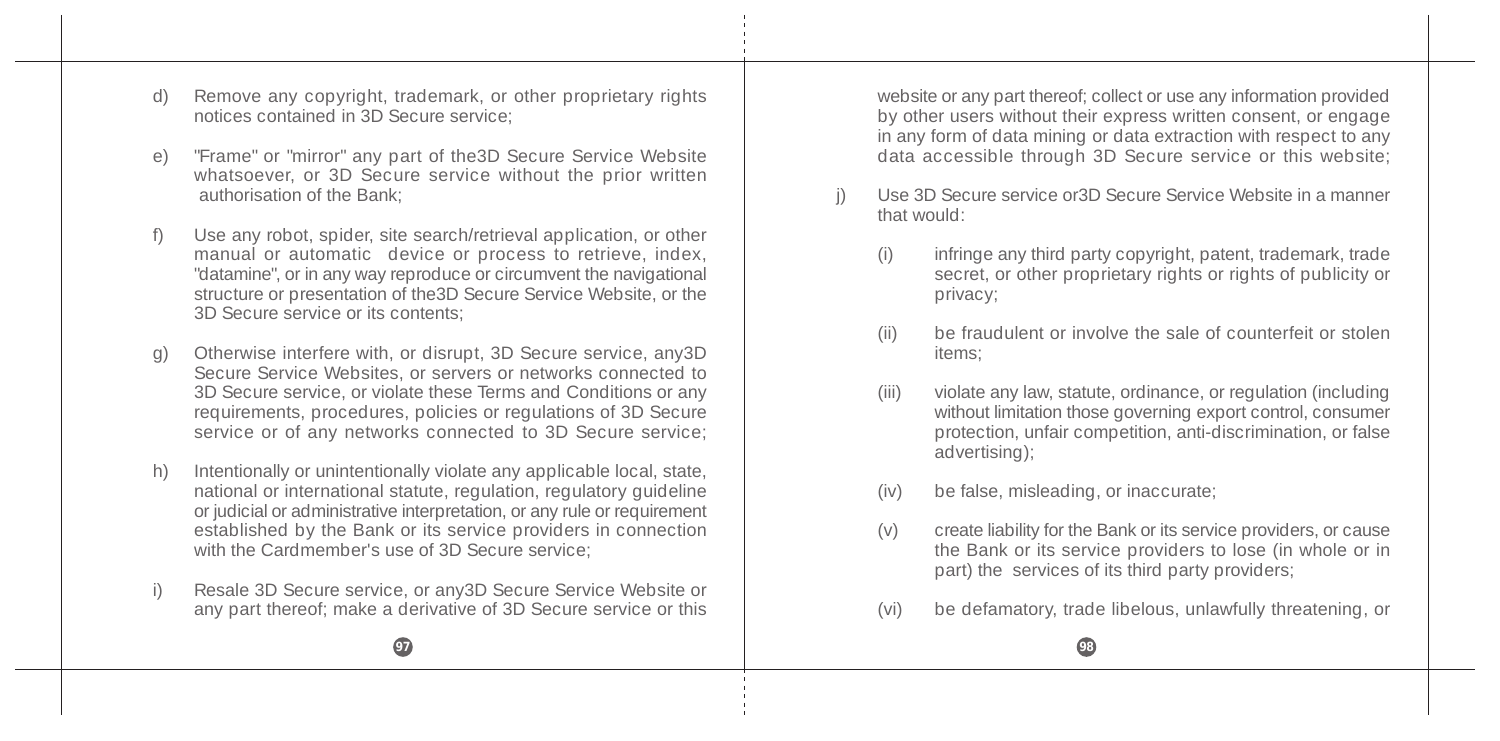- d) Remove any copyright, trademark, or other proprietary rights notices contained in 3D Secure service;
- e) "Frame" or "mirror" any part of the3D Secure Service Website whatsoever, or 3D Secure service without the prior written authorisation of the Bank;
- Use any robot, spider, site search/retrieval application, or other manual or automatic device or process to retrieve, index, "datamine", or in any way reproduce or circumvent the navigational structure or presentation of the3D Secure Service Website, or the 3D Secure service or its contents;
- g) Otherwise interfere with, or disrupt, 3D Secure service, any3D Secure Service Websites, or servers or networks connected to 3D Secure service, or violate these Terms and Conditions or any requirements, procedures, policies or regulations of 3D Secure service or of any networks connected to 3D Secure service;
- h) Intentionally or unintentionally violate any applicable local, state, national or international statute, regulation, regulatory guideline or judicial or administrative interpretation, or any rule or requirement established by the Bank or its service providers in connection with the Cardmember's use of 3D Secure service;
- i) Resale 3D Secure service, or any3D Secure Service Website or any part thereof; make a derivative of 3D Secure service or this

website or any part thereof; collect or use any information provided by other users without their express written consent, or engage in any form of data mining or data extraction with respect to any data accessible through 3D Secure service or this website;

- j) Use 3D Secure service or3D Secure Service Website in a manner that would:
	- (i) infringe any third party copyright, patent, trademark, trade secret, or other proprietary rights or rights of publicity or privacy;
	- (ii) be fraudulent or involve the sale of counterfeit or stolen items;
	- (iii) violate any law, statute, ordinance, or regulation (including without limitation those governing export control, consumer protection, unfair competition, anti-discrimination, or false advertising);
	- (iv) be false, misleading, or inaccurate;
	- (v) create liability for the Bank or its service providers, or cause the Bank or its service providers to lose (in whole or in part) the services of its third party providers;
	- (vi) be defamatory, trade libelous, unlawfully threatening, or

**97 98**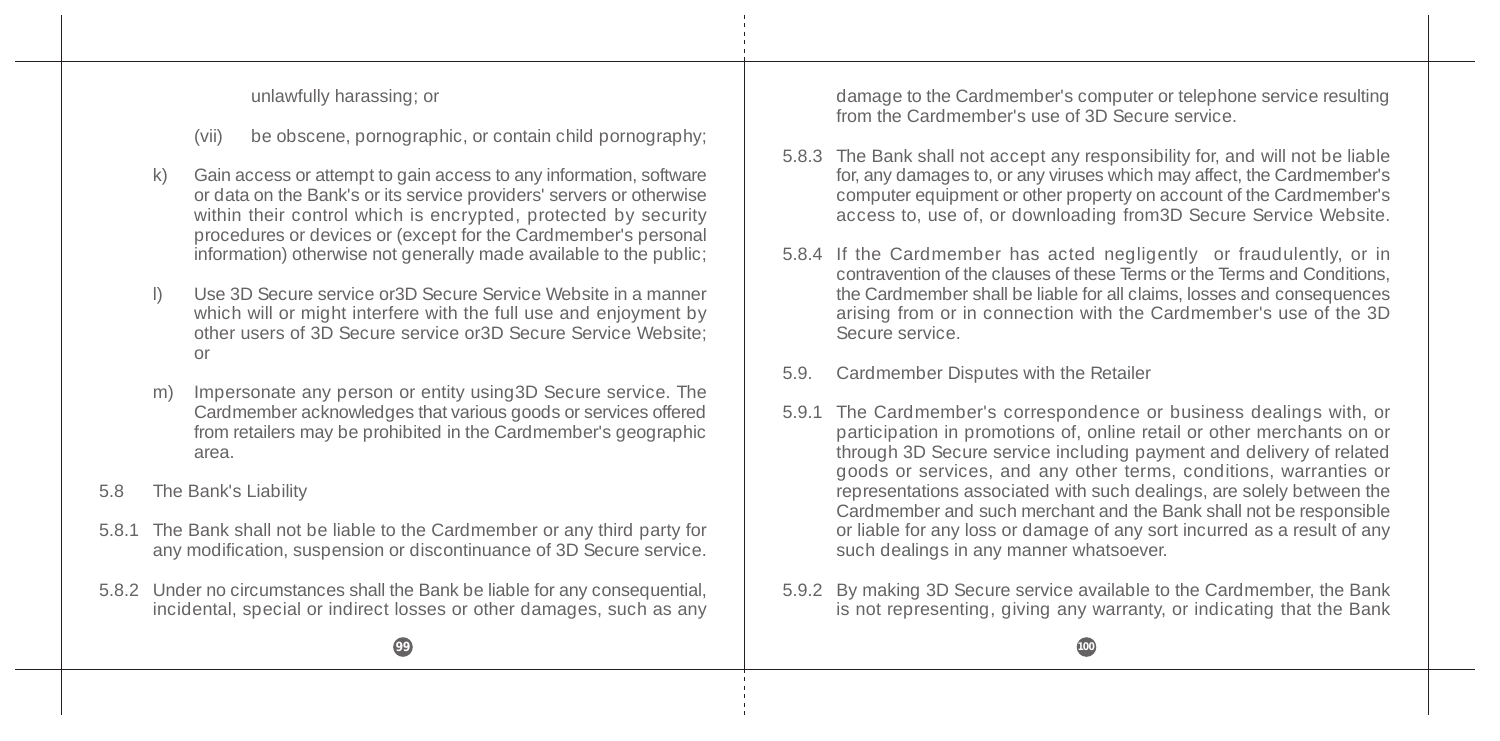unlawfully harassing; or

- (vii) be obscene, pornographic, or contain child pornography;
- k) Gain access or attempt to gain access to any information, software or data on the Bank's or its service providers' servers or otherwise within their control which is encrypted, protected by security procedures or devices or (except for the Cardmember's personal information) otherwise not generally made available to the public;
- l) Use 3D Secure service or3D Secure Service Website in a manner which will or might interfere with the full use and enjoyment by other users of 3D Secure service or3D Secure Service Website; or
- m) Impersonate any person or entity using3D Secure service. The Cardmember acknowledges that various goods or services offered from retailers may be prohibited in the Cardmember's geographic area.
- 5.8 The Bank's Liability
- 5.8.1 The Bank shall not be liable to the Cardmember or any third party for any modification, suspension or discontinuance of 3D Secure service.
- 5.8.2 Under no circumstances shall the Bank be liable for any consequential, incidental, special or indirect losses or other damages, such as any

damage to the Cardmember's computer or telephone service resulting from the Cardmember's use of 3D Secure service.

- 5.8.3 The Bank shall not accept any responsibility for, and will not be liable for, any damages to, or any viruses which may affect, the Cardmember's computer equipment or other property on account of the Cardmember's access to, use of, or downloading from3D Secure Service Website.
- 5.8.4 If the Cardmember has acted negligently or fraudulently, or in contravention of the clauses of these Terms or the Terms and Conditions, the Cardmember shall be liable for all claims, losses and consequences arising from or in connection with the Cardmember's use of the 3D Secure service.
- 5.9. Cardmember Disputes with the Retailer
- 5.9.1 The Cardmember's correspondence or business dealings with, or participation in promotions of, online retail or other merchants on or through 3D Secure service including payment and delivery of related goods or services, and any other terms, conditions, warranties or representations associated with such dealings, are solely between the Cardmember and such merchant and the Bank shall not be responsible or liable for any loss or damage of any sort incurred as a result of any such dealings in any manner whatsoever.
- 5.9.2 By making 3D Secure service available to the Cardmember, the Bank is not representing, giving any warranty, or indicating that the Bank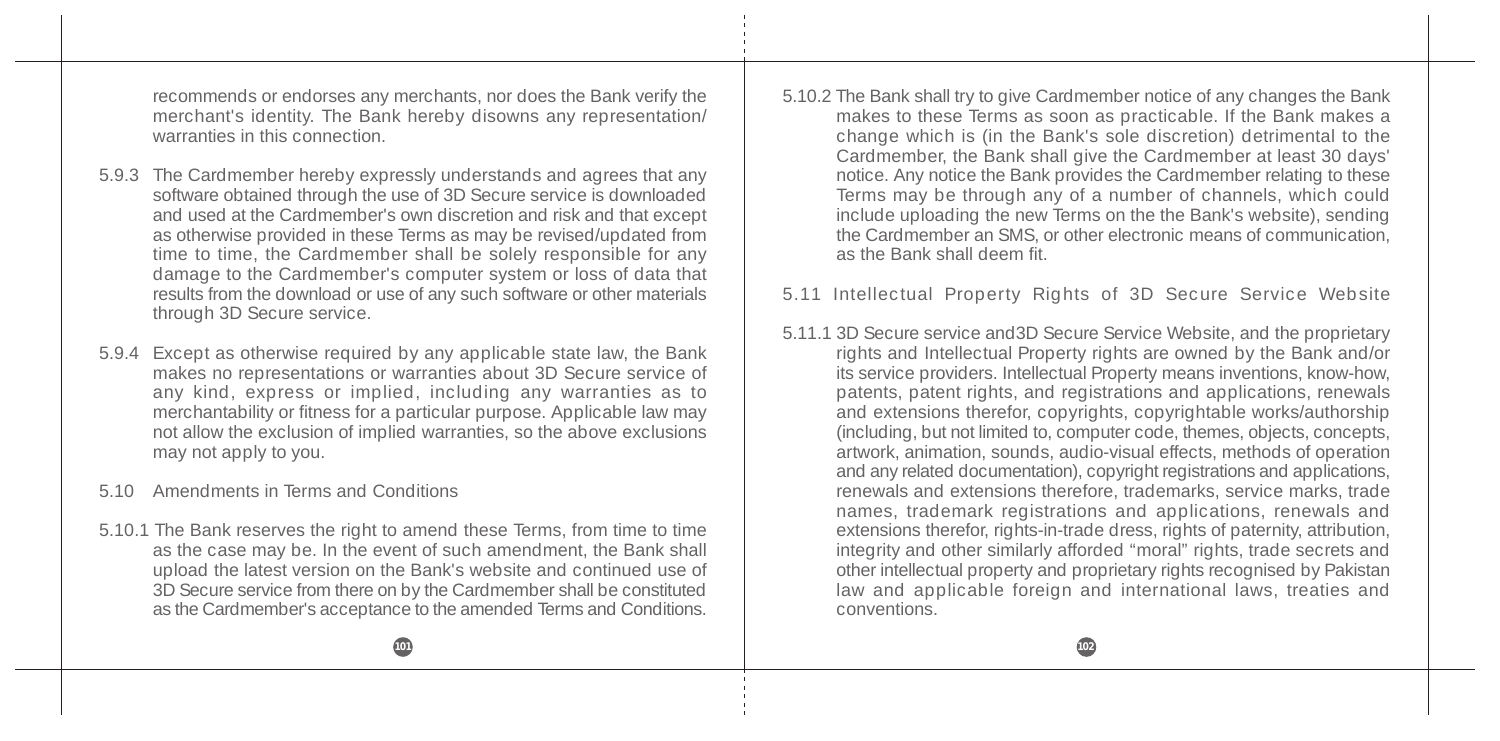recommends or endorses any merchants, nor does the Bank verify the merchant's identity. The Bank hereby disowns any representation/ warranties in this connection.

- 5.9.3 The Cardmember hereby expressly understands and agrees that any software obtained through the use of 3D Secure service is downloaded and used at the Cardmember's own discretion and risk and that except as otherwise provided in these Terms as may be revised/updated from time to time, the Cardmember shall be solely responsible for any damage to the Cardmember's computer system or loss of data that results from the download or use of any such software or other materials through 3D Secure service.
- 5.9.4 Except as otherwise required by any applicable state law, the Bank makes no representations or warranties about 3D Secure service of any kind, express or implied, including any warranties as to merchantability or fitness for a particular purpose. Applicable law may not allow the exclusion of implied warranties, so the above exclusions may not apply to you.
- 5.10 Amendments in Terms and Conditions
- 5.10.1 The Bank reserves the right to amend these Terms, from time to time as the case may be. In the event of such amendment, the Bank shall upload the latest version on the Bank's website and continued use of 3D Secure service from there on by the Cardmember shall be constituted as the Cardmember's acceptance to the amended Terms and Conditions.

5.10.2 The Bank shall try to give Cardmember notice of any changes the Bank makes to these Terms as soon as practicable. If the Bank makes a change which is (in the Bank's sole discretion) detrimental to the Cardmember, the Bank shall give the Cardmember at least 30 days' notice. Any notice the Bank provides the Cardmember relating to these Terms may be through any of a number of channels, which could include uploading the new Terms on the the Bank's website), sending the Cardmember an SMS, or other electronic means of communication, as the Bank shall deem fit.

#### 5.11 Intellectual Property Rights of 3D Secure Service Website

5.11.1 3D Secure service and3D Secure Service Website, and the proprietary rights and Intellectual Property rights are owned by the Bank and/or its service providers. Intellectual Property means inventions, know-how, patents, patent rights, and registrations and applications, renewals and extensions therefor, copyrights, copyrightable works/authorship (including, but not limited to, computer code, themes, objects, concepts, artwork, animation, sounds, audio-visual effects, methods of operation and any related documentation), copyright registrations and applications, renewals and extensions therefore, trademarks, service marks, trade names, trademark registrations and applications, renewals and extensions therefor, rights-in-trade dress, rights of paternity, attribution, integrity and other similarly afforded "moral" rights, trade secrets and other intellectual property and proprietary rights recognised by Pakistan law and applicable foreign and international laws, treaties and conventions.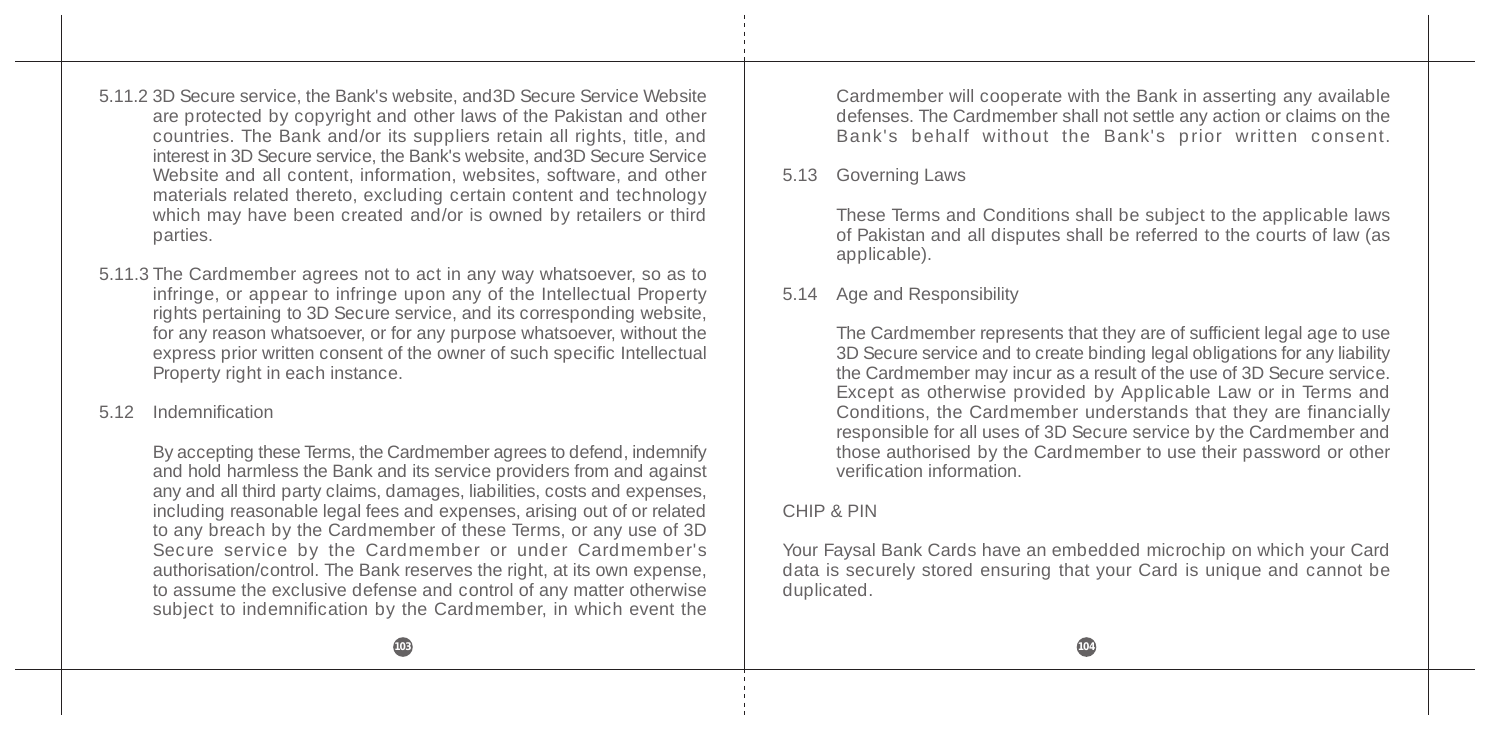5.11.2 3D Secure service, the Bank's website, and3D Secure Service Website are protected by copyright and other laws of the Pakistan and other countries. The Bank and/or its suppliers retain all rights, title, and interest in 3D Secure service, the Bank's website, and3D Secure Service Website and all content, information, websites, software, and other materials related thereto, excluding certain content and technology which may have been created and/or is owned by retailers or third parties.

- 5.11.3 The Cardmember agrees not to act in any way whatsoever, so as to infringe, or appear to infringe upon any of the Intellectual Property rights pertaining to 3D Secure service, and its corresponding website, for any reason whatsoever, or for any purpose whatsoever, without the express prior written consent of the owner of such specific Intellectual Property right in each instance.
- 5.12 Indemnification

By accepting these Terms, the Cardmember agrees to defend, indemnify and hold harmless the Bank and its service providers from and against any and all third party claims, damages, liabilities, costs and expenses, including reasonable legal fees and expenses, arising out of or related to any breach by the Cardmember of these Terms, or any use of 3D Secure service by the Cardmember or under Cardmember's authorisation/control. The Bank reserves the right, at its own expense, to assume the exclusive defense and control of any matter otherwise subject to indemnification by the Cardmember, in which event the

Cardmember will cooperate with the Bank in asserting any available defenses. The Cardmember shall not settle any action or claims on the Bank's behalf without the Bank's prior written consent.

### 5.13 Governing Laws

These Terms and Conditions shall be subject to the applicable laws of Pakistan and all disputes shall be referred to the courts of law (as applicable).

### 5.14 Age and Responsibility

The Cardmember represents that they are of sufficient legal age to use 3D Secure service and to create binding legal obligations for any liability the Cardmember may incur as a result of the use of 3D Secure service. Except as otherwise provided by Applicable Law or in Terms and Conditions, the Cardmember understands that they are financially responsible for all uses of 3D Secure service by the Cardmember and those authorised by the Cardmember to use their password or other verification information.

# CHIP & PIN

Your Faysal Bank Cards have an embedded microchip on which your Card data is securely stored ensuring that your Card is unique and cannot be duplicated.